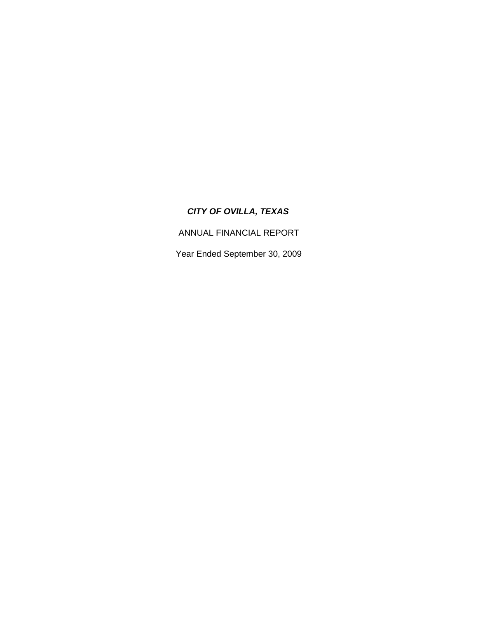ANNUAL FINANCIAL REPORT

Year Ended September 30, 2009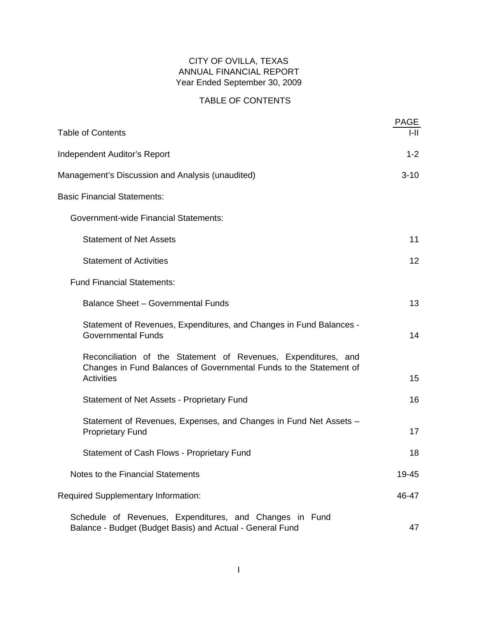## CITY OF OVILLA, TEXAS ANNUAL FINANCIAL REPORT Year Ended September 30, 2009

# TABLE OF CONTENTS

| <b>Table of Contents</b>                                                                                                                                  | <b>PAGE</b><br>I-II |
|-----------------------------------------------------------------------------------------------------------------------------------------------------------|---------------------|
| <b>Independent Auditor's Report</b>                                                                                                                       | $1 - 2$             |
| Management's Discussion and Analysis (unaudited)                                                                                                          | $3 - 10$            |
| <b>Basic Financial Statements:</b>                                                                                                                        |                     |
| <b>Government-wide Financial Statements:</b>                                                                                                              |                     |
| <b>Statement of Net Assets</b>                                                                                                                            | 11                  |
| <b>Statement of Activities</b>                                                                                                                            | 12                  |
| <b>Fund Financial Statements:</b>                                                                                                                         |                     |
| <b>Balance Sheet - Governmental Funds</b>                                                                                                                 | 13                  |
| Statement of Revenues, Expenditures, and Changes in Fund Balances -<br><b>Governmental Funds</b>                                                          | 14                  |
| Reconciliation of the Statement of Revenues, Expenditures, and<br>Changes in Fund Balances of Governmental Funds to the Statement of<br><b>Activities</b> | 15                  |
| Statement of Net Assets - Proprietary Fund                                                                                                                | 16                  |
| Statement of Revenues, Expenses, and Changes in Fund Net Assets -<br><b>Proprietary Fund</b>                                                              | 17                  |
| <b>Statement of Cash Flows - Proprietary Fund</b>                                                                                                         | 18                  |
| Notes to the Financial Statements                                                                                                                         | 19-45               |
| <b>Required Supplementary Information:</b>                                                                                                                | 46-47               |
| Schedule of Revenues, Expenditures, and Changes in Fund<br>Balance - Budget (Budget Basis) and Actual - General Fund                                      | 47                  |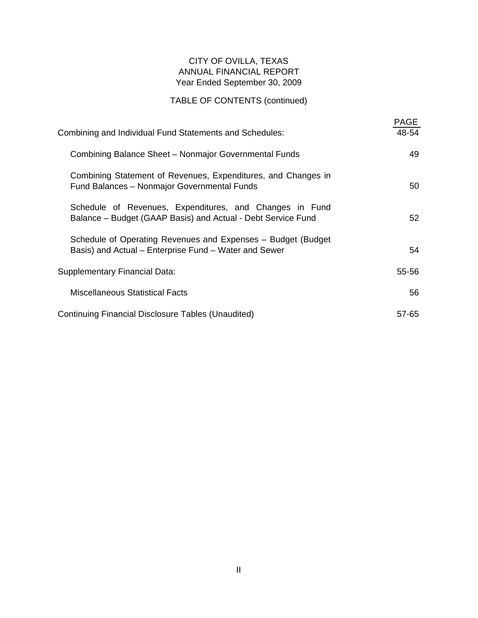## CITY OF OVILLA, TEXAS ANNUAL FINANCIAL REPORT Year Ended September 30, 2009

# TABLE OF CONTENTS (continued)

| Combining and Individual Fund Statements and Schedules:                                                                 | PAGE<br>48-54 |
|-------------------------------------------------------------------------------------------------------------------------|---------------|
| Combining Balance Sheet - Nonmajor Governmental Funds                                                                   | 49            |
| Combining Statement of Revenues, Expenditures, and Changes in<br>Fund Balances - Nonmajor Governmental Funds            | 50            |
| Schedule of Revenues, Expenditures, and Changes in Fund<br>Balance - Budget (GAAP Basis) and Actual - Debt Service Fund | 52            |
| Schedule of Operating Revenues and Expenses - Budget (Budget<br>Basis) and Actual - Enterprise Fund - Water and Sewer   | 54            |
| Supplementary Financial Data:                                                                                           | 55-56         |
| <b>Miscellaneous Statistical Facts</b>                                                                                  | 56            |
| Continuing Financial Disclosure Tables (Unaudited)                                                                      | 57-65         |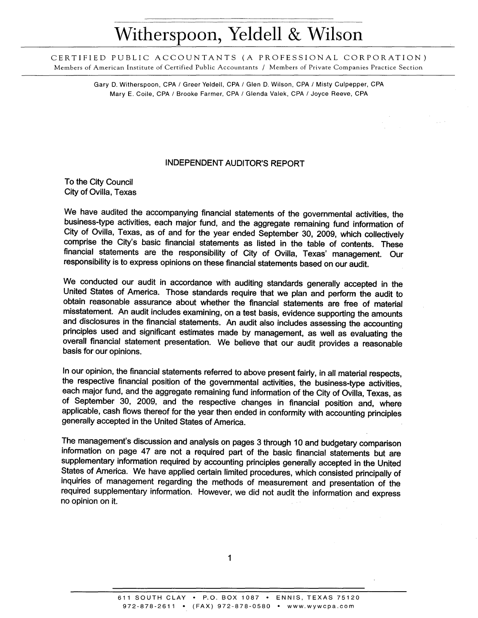# Witherspoon, Yeldell & Wilson

CERTIFIED PUBLIC ACCOUNTANTS (A PROFESSIONAL CORPORATION) Members of American Institute of Certified Public Accountants / Members of Private Companies Practice Section

> Gary D. Witherspoon, CPA / Greer Yeldell, CPA / Glen D. Wilson, CPA / Misty Culpepper, CPA Mary E. Coile, CPA / Brooke Farmer, CPA / Glenda Valek, CPA / Joyce Reeve, CPA

#### **INDEPENDENT AUDITOR'S REPORT**

To the City Council City of Ovilla, Texas

We have audited the accompanying financial statements of the governmental activities, the business-type activities, each major fund, and the aggregate remaining fund information of City of Ovilla, Texas, as of and for the year ended September 30, 2009, which collectively comprise the City's basic financial statements as listed in the table of contents. These financial statements are the responsibility of City of Ovilla, Texas' management. Our responsibility is to express opinions on these financial statements based on our audit.

We conducted our audit in accordance with auditing standards generally accepted in the United States of America. Those standards require that we plan and perform the audit to obtain reasonable assurance about whether the financial statements are free of material misstatement. An audit includes examining, on a test basis, evidence supporting the amounts and disclosures in the financial statements. An audit also includes assessing the accounting principles used and significant estimates made by management, as well as evaluating the overall financial statement presentation. We believe that our audit provides a reasonable basis for our opinions.

In our opinion, the financial statements referred to above present fairly, in all material respects, the respective financial position of the governmental activities, the business-type activities, each major fund, and the aggregate remaining fund information of the City of Ovilla, Texas, as of September 30, 2009, and the respective changes in financial position and, where applicable, cash flows thereof for the year then ended in conformity with accounting principles generally accepted in the United States of America.

The management's discussion and analysis on pages 3 through 10 and budgetary comparison information on page 47 are not a required part of the basic financial statements but are supplementary information required by accounting principles generally accepted in the United States of America. We have applied certain limited procedures, which consisted principally of inquiries of management regarding the methods of measurement and presentation of the required supplementary information. However, we did not audit the information and express no opinion on it.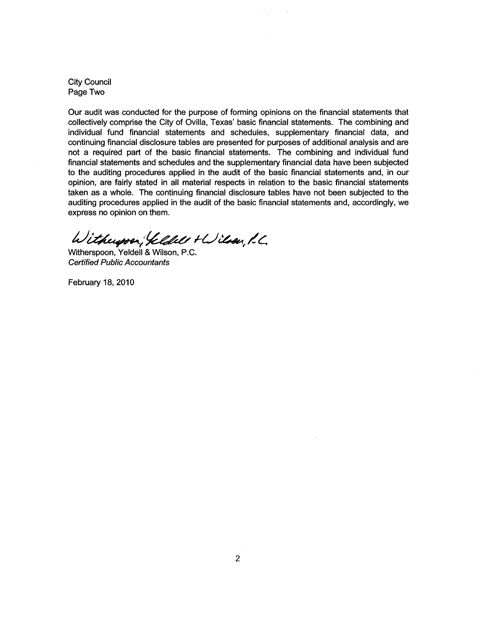**City Council** Page Two

Our audit was conducted for the purpose of forming opinions on the financial statements that collectively comprise the City of Ovilla, Texas' basic financial statements. The combining and individual fund financial statements and schedules, supplementary financial data, and continuing financial disclosure tables are presented for purposes of additional analysis and are not a required part of the basic financial statements. The combining and individual fund financial statements and schedules and the supplementary financial data have been subjected to the auditing procedures applied in the audit of the basic financial statements and, in our opinion, are fairly stated in all material respects in relation to the basic financial statements taken as a whole. The continuing financial disclosure tables have not been subjected to the auditing procedures applied in the audit of the basic financial statements and, accordingly, we express no opinion on them.

ang P

Witherpre, Veldels + Wilson, L.C.

Witherspoon, Yeldell & Wilson, P.C. **Certified Public Accountants** 

February 18, 2010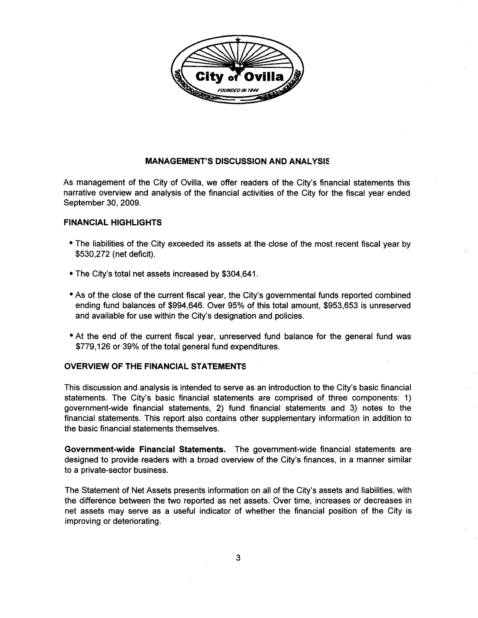

#### **MANAGEMENT'S DISCUSSION AND ANALYSIS**

As management of the City of Ovilla, we offer readers of the City's financial statements this narrative overview and analysis of the financial activities of the City for the fiscal year ended September 30, 2009.

#### **FINANCIAL HIGHLIGHTS**

- The liabilities of the City exceeded its assets at the close of the most recent fiscal year by \$530,272 (net deficit).
- The City's total net assets increased by \$304,641.
- As of the close of the current fiscal year, the City's governmental funds reported combined ending fund balances of \$994,646. Over 95% of this total amount, \$953,653 is unreserved and available for use within the City's designation and policies.
- At the end of the current fiscal year, unreserved fund balance for the general fund was \$779,126 or 39% of the total general fund expenditures.

#### **OVERVIEW OF THE FINANCIAL STATEMENTS**

This discussion and analysis is intended to serve as an introduction to the City's basic financial statements. The City's basic financial statements are comprised of three components: 1) government-wide financial statements, 2) fund financial statements and 3) notes to the financial statements. This report also contains other supplementary information in addition to the basic financial statements themselves.

Government-wide Financial Statements. The government-wide financial statements are designed to provide readers with a broad overview of the City's finances, in a manner similar to a private-sector business.

The Statement of Net Assets presents information on all of the City's assets and liabilities, with the difference between the two reported as net assets. Over time, increases or decreases in net assets may serve as a useful indicator of whether the financial position of the City is improving or deteriorating.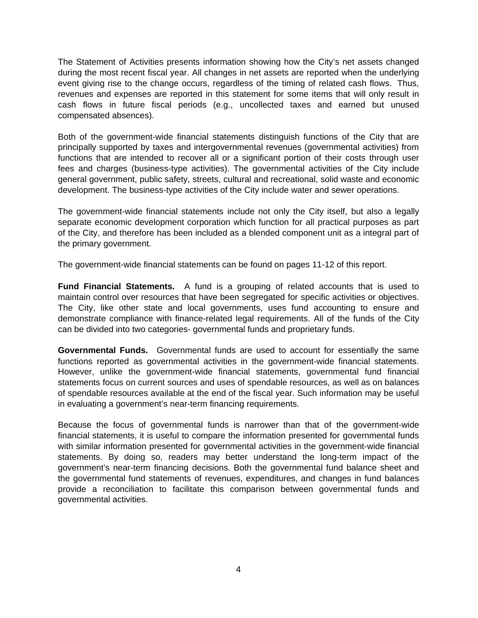The Statement of Activities presents information showing how the City's net assets changed during the most recent fiscal year. All changes in net assets are reported when the underlying event giving rise to the change occurs, regardless of the timing of related cash flows. Thus, revenues and expenses are reported in this statement for some items that will only result in cash flows in future fiscal periods (e.g., uncollected taxes and earned but unused compensated absences).

Both of the government-wide financial statements distinguish functions of the City that are principally supported by taxes and intergovernmental revenues (governmental activities) from functions that are intended to recover all or a significant portion of their costs through user fees and charges (business-type activities). The governmental activities of the City include general government, public safety, streets, cultural and recreational, solid waste and economic development. The business-type activities of the City include water and sewer operations.

The government-wide financial statements include not only the City itself, but also a legally separate economic development corporation which function for all practical purposes as part of the City, and therefore has been included as a blended component unit as a integral part of the primary government.

The government-wide financial statements can be found on pages 11-12 of this report.

**Fund Financial Statements.** A fund is a grouping of related accounts that is used to maintain control over resources that have been segregated for specific activities or objectives. The City, like other state and local governments, uses fund accounting to ensure and demonstrate compliance with finance-related legal requirements. All of the funds of the City can be divided into two categories- governmental funds and proprietary funds.

**Governmental Funds.** Governmental funds are used to account for essentially the same functions reported as governmental activities in the government-wide financial statements. However, unlike the government-wide financial statements, governmental fund financial statements focus on current sources and uses of spendable resources, as well as on balances of spendable resources available at the end of the fiscal year. Such information may be useful in evaluating a government's near-term financing requirements.

Because the focus of governmental funds is narrower than that of the government-wide financial statements, it is useful to compare the information presented for governmental funds with similar information presented for governmental activities in the government-wide financial statements. By doing so, readers may better understand the long-term impact of the government's near-term financing decisions. Both the governmental fund balance sheet and the governmental fund statements of revenues, expenditures, and changes in fund balances provide a reconciliation to facilitate this comparison between governmental funds and governmental activities.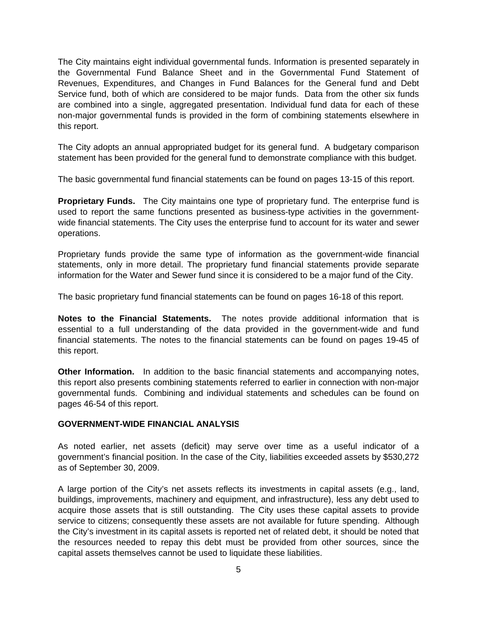The City maintains eight individual governmental funds. Information is presented separately in the Governmental Fund Balance Sheet and in the Governmental Fund Statement of Revenues, Expenditures, and Changes in Fund Balances for the General fund and Debt Service fund, both of which are considered to be major funds. Data from the other six funds are combined into a single, aggregated presentation. Individual fund data for each of these non-major governmental funds is provided in the form of combining statements elsewhere in this report.

The City adopts an annual appropriated budget for its general fund. A budgetary comparison statement has been provided for the general fund to demonstrate compliance with this budget.

The basic governmental fund financial statements can be found on pages 13-15 of this report.

**Proprietary Funds.** The City maintains one type of proprietary fund. The enterprise fund is used to report the same functions presented as business-type activities in the governmentwide financial statements. The City uses the enterprise fund to account for its water and sewer operations.

Proprietary funds provide the same type of information as the government-wide financial statements, only in more detail. The proprietary fund financial statements provide separate information for the Water and Sewer fund since it is considered to be a major fund of the City.

The basic proprietary fund financial statements can be found on pages 16-18 of this report.

**Notes to the Financial Statements.** The notes provide additional information that is essential to a full understanding of the data provided in the government-wide and fund financial statements. The notes to the financial statements can be found on pages 19-45 of this report.

**Other Information.** In addition to the basic financial statements and accompanying notes, this report also presents combining statements referred to earlier in connection with non-major governmental funds. Combining and individual statements and schedules can be found on pages 46-54 of this report.

#### **GOVERNMENT-WIDE FINANCIAL ANALYSIS**

As noted earlier, net assets (deficit) may serve over time as a useful indicator of a government's financial position. In the case of the City, liabilities exceeded assets by \$530,272 as of September 30, 2009.

A large portion of the City's net assets reflects its investments in capital assets (e.g., land, buildings, improvements, machinery and equipment, and infrastructure), less any debt used to acquire those assets that is still outstanding. The City uses these capital assets to provide service to citizens; consequently these assets are not available for future spending. Although the City's investment in its capital assets is reported net of related debt, it should be noted that the resources needed to repay this debt must be provided from other sources, since the capital assets themselves cannot be used to liquidate these liabilities.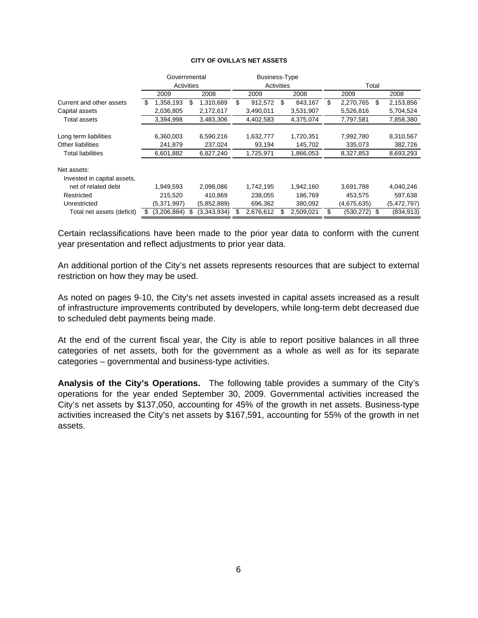|                                                    |   | Governmental |   |             |            | <b>Business-Type</b> |    |           |                  |      |             |
|----------------------------------------------------|---|--------------|---|-------------|------------|----------------------|----|-----------|------------------|------|-------------|
|                                                    |   | Activities   |   |             | Activities |                      |    |           | Total            |      |             |
|                                                    |   | 2009         |   | 2008        |            | 2009                 |    | 2008      | 2009             |      | 2008        |
| Current and other assets                           | S | 1,358,193    | S | 1,310,689   | \$         | 912.572              | \$ | 843,167   | \$<br>2,270,765  | \$   | 2,153,856   |
| Capital assets                                     |   | 2,036,805    |   | 2,172,617   |            | 3,490,011            |    | 3,531,907 | 5,526,816        |      | 5,704,524   |
| Total assets                                       |   | 3,394,998    |   | 3,483,306   |            | 4,402,583            |    | 4,375,074 | 7,797,581        |      | 7,858,380   |
| Long term liabilities                              |   | 6,360,003    |   | 6,590,216   |            | 1,632,777            |    | 1,720,351 | 7,992,780        |      | 8,310,567   |
| Other liabilities                                  |   | 241,879      |   | 237,024     |            | 93,194               |    | 145,702   | 335,073          |      | 382,726     |
| Total liabilities                                  |   | 6,601,882    |   | 6,827,240   |            | 1,725,971            |    | 1,866,053 | 8,327,853        |      | 8,693,293   |
| Net assets:                                        |   |              |   |             |            |                      |    |           |                  |      |             |
| Invested in capital assets,<br>net of related debt |   | 1,949,593    |   | 2,098,086   |            | 1,742,195            |    | 1,942,160 | 3,691,788        |      | 4,040,246   |
| Restricted                                         |   | 215,520      |   | 410,869     |            | 238,055              |    | 186,769   | 453,575          |      | 597,638     |
| Unrestricted                                       |   | (5,371,997)  |   | (5,852,889) |            | 696,362              |    | 380,092   | (4,675,635)      |      | (5,472,797) |
| Total net assets (deficit)                         | S | (3,206,884)  |   | (3,343,934) |            | 2,676,612            |    | 2,509,021 | \$<br>(530, 272) | - \$ | (834, 913)  |

#### **CITY OF OVILLA'S NET ASSETS**

Certain reclassifications have been made to the prior year data to conform with the current year presentation and reflect adjustments to prior year data.

An additional portion of the City's net assets represents resources that are subject to external restriction on how they may be used.

As noted on pages 9-10, the City's net assets invested in capital assets increased as a result of infrastructure improvements contributed by developers, while long-term debt decreased due to scheduled debt payments being made.

At the end of the current fiscal year, the City is able to report positive balances in all three categories of net assets, both for the government as a whole as well as for its separate categories – governmental and business-type activities.

**Analysis of the City's Operations.** The following table provides a summary of the City's operations for the year ended September 30, 2009. Governmental activities increased the City's net assets by \$137,050, accounting for 45% of the growth in net assets. Business-type activities increased the City's net assets by \$167,591, accounting for 55% of the growth in net assets.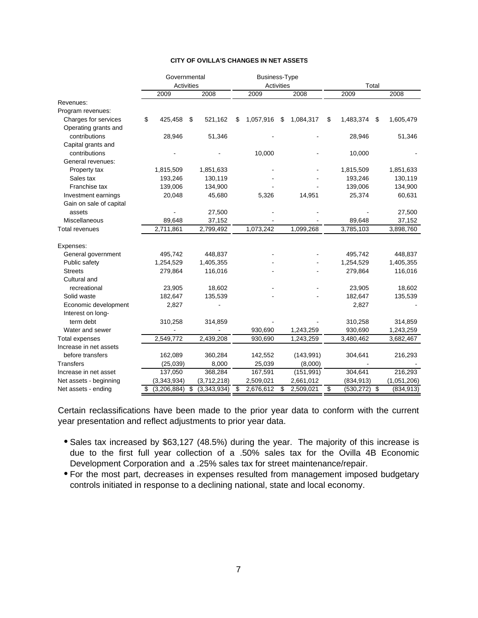|                         | Governmental      |                   | <b>Business-Type</b> |    |            |                       |       |             |  |
|-------------------------|-------------------|-------------------|----------------------|----|------------|-----------------------|-------|-------------|--|
|                         | <b>Activities</b> |                   | Activities           |    |            |                       | Total |             |  |
|                         | 2009              | 2008              | 2009                 |    | 2008       | 2009                  |       | 2008        |  |
| Revenues:               |                   |                   |                      |    |            |                       |       |             |  |
| Program revenues:       |                   |                   |                      |    |            |                       |       |             |  |
| Charges for services    | \$<br>425,458     | \$<br>521,162     | \$<br>1,057,916      | S  | 1,084,317  | \$<br>1,483,374       | \$    | 1,605,479   |  |
| Operating grants and    |                   |                   |                      |    |            |                       |       |             |  |
| contributions           | 28,946            | 51,346            |                      |    |            | 28,946                |       | 51,346      |  |
| Capital grants and      |                   |                   |                      |    |            |                       |       |             |  |
| contributions           |                   |                   | 10,000               |    |            | 10,000                |       |             |  |
| General revenues:       |                   |                   |                      |    |            |                       |       |             |  |
| Property tax            | 1,815,509         | 1,851,633         |                      |    |            | 1,815,509             |       | 1,851,633   |  |
| Sales tax               | 193,246           | 130,119           |                      |    |            | 193,246               |       | 130,119     |  |
| Franchise tax           | 139,006           | 134,900           |                      |    |            | 139,006               |       | 134,900     |  |
| Investment earnings     | 20,048            | 45,680            | 5,326                |    | 14,951     | 25,374                |       | 60,631      |  |
| Gain on sale of capital |                   |                   |                      |    |            |                       |       |             |  |
| assets                  |                   | 27,500            |                      |    |            |                       |       | 27,500      |  |
| Miscellaneous           | 89,648            | 37,152            |                      |    |            | 89,648                |       | 37,152      |  |
| <b>Total revenues</b>   | 2,711,861         | 2,799,492         | 1,073,242            |    | 1,099,268  | 3,785,103             |       | 3,898,760   |  |
| Expenses:               |                   |                   |                      |    |            |                       |       |             |  |
| General government      | 495,742           | 448,837           |                      |    |            | 495,742               |       | 448,837     |  |
| Public safety           | 1,254,529         | 1,405,355         |                      |    |            | 1,254,529             |       | 1,405,355   |  |
| <b>Streets</b>          | 279,864           | 116,016           |                      |    |            | 279,864               |       | 116,016     |  |
| Cultural and            |                   |                   |                      |    |            |                       |       |             |  |
| recreational            | 23,905            | 18,602            |                      |    |            | 23,905                |       | 18,602      |  |
| Solid waste             | 182,647           | 135,539           |                      |    |            | 182,647               |       | 135,539     |  |
| Economic development    | 2,827             |                   |                      |    |            | 2,827                 |       |             |  |
| Interest on long-       |                   |                   |                      |    |            |                       |       |             |  |
| term debt               | 310,258           | 314,859           |                      |    |            | 310,258               |       | 314,859     |  |
| Water and sewer         |                   |                   | 930,690              |    | 1,243,259  | 930,690               |       | 1,243,259   |  |
| Total expenses          | 2,549,772         | 2,439,208         | 930,690              |    | 1,243,259  | 3,480,462             |       | 3,682,467   |  |
| Increase in net assets  |                   |                   |                      |    |            |                       |       |             |  |
| before transfers        | 162,089           | 360,284           | 142,552              |    | (143, 991) | 304,641               |       | 216,293     |  |
| <b>Transfers</b>        | (25,039)          | 8,000             | 25,039               |    | (8,000)    |                       |       |             |  |
| Increase in net asset   | 137,050           | 368,284           | 167,591              |    | (151, 991) | 304,641               |       | 216,293     |  |
| Net assets - beginning  | (3,343,934)       | (3,712,218)       | 2,509,021            |    | 2,661,012  | (834, 913)            |       | (1,051,206) |  |
| Net assets - ending     | \$<br>(3,206,884) | \$<br>(3,343,934) | \$<br>2,676,612      | \$ | 2,509,021  | \$<br>$(530, 272)$ \$ |       | (834, 913)  |  |

#### **CITY OF OVILLA'S CHANGES IN NET ASSETS**

Certain reclassifications have been made to the prior year data to conform with the current year presentation and reflect adjustments to prior year data.

- Sales tax increased by \$63,127 (48.5%) during the year. The majority of this increase is due to the first full year collection of a .50% sales tax for the Ovilla 4B Economic Development Corporation and a .25% sales tax for street maintenance/repair.
- For the most part, decreases in expenses resulted from management imposed budgetary controls initiated in response to a declining national, state and local economy.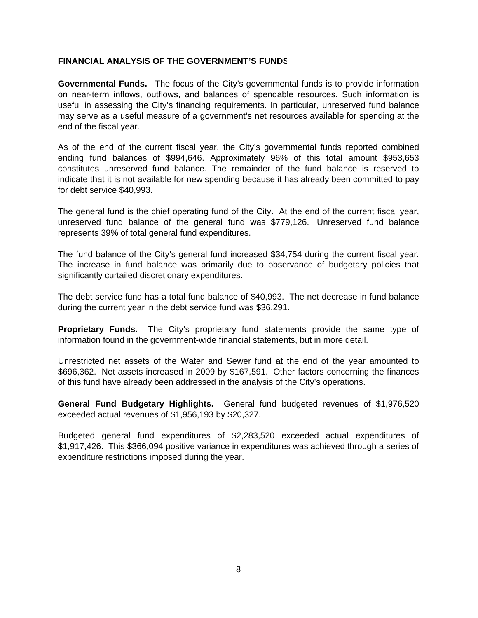#### **FINANCIAL ANALYSIS OF THE GOVERNMENT'S FUNDS**

**Governmental Funds.** The focus of the City's governmental funds is to provide information on near-term inflows, outflows, and balances of spendable resources. Such information is useful in assessing the City's financing requirements. In particular, unreserved fund balance may serve as a useful measure of a government's net resources available for spending at the end of the fiscal year.

As of the end of the current fiscal year, the City's governmental funds reported combined ending fund balances of \$994,646. Approximately 96% of this total amount \$953,653 constitutes unreserved fund balance. The remainder of the fund balance is reserved to indicate that it is not available for new spending because it has already been committed to pay for debt service \$40,993.

The general fund is the chief operating fund of the City. At the end of the current fiscal year, unreserved fund balance of the general fund was \$779,126. Unreserved fund balance represents 39% of total general fund expenditures.

The fund balance of the City's general fund increased \$34,754 during the current fiscal year. The increase in fund balance was primarily due to observance of budgetary policies that significantly curtailed discretionary expenditures.

The debt service fund has a total fund balance of \$40,993. The net decrease in fund balance during the current year in the debt service fund was \$36,291.

**Proprietary Funds.** The City's proprietary fund statements provide the same type of information found in the government-wide financial statements, but in more detail.

Unrestricted net assets of the Water and Sewer fund at the end of the year amounted to \$696,362. Net assets increased in 2009 by \$167,591. Other factors concerning the finances of this fund have already been addressed in the analysis of the City's operations.

**General Fund Budgetary Highlights.** General fund budgeted revenues of \$1,976,520 exceeded actual revenues of \$1,956,193 by \$20,327.

Budgeted general fund expenditures of \$2,283,520 exceeded actual expenditures of \$1,917,426. This \$366,094 positive variance in expenditures was achieved through a series of expenditure restrictions imposed during the year.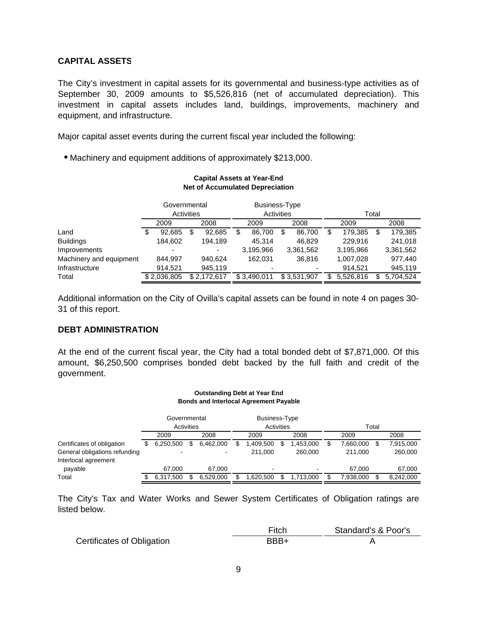#### **CAPITAL ASSETS**

The City's investment in capital assets for its governmental and business-type activities as of September 30, 2009 amounts to \$5,526,816 (net of accumulated depreciation). This investment in capital assets includes land, buildings, improvements, machinery and equipment, and infrastructure.

Major capital asset events during the current fiscal year included the following:

Machinery and equipment additions of approximately \$213,000.

| <b>Net of Accumulated Depreciation</b> |    |              |                                 |             |                      |             |    |             |    |           |   |           |
|----------------------------------------|----|--------------|---------------------------------|-------------|----------------------|-------------|----|-------------|----|-----------|---|-----------|
|                                        |    | Governmental |                                 |             | <b>Business-Type</b> |             |    |             |    |           |   |           |
|                                        |    |              | <b>Activities</b><br>Activities |             | Total                |             |    |             |    |           |   |           |
|                                        |    | 2009         |                                 | 2008        | 2009<br>2008         |             |    | 2009        |    | 2008      |   |           |
| Land                                   | \$ | 92,685       | S                               | 92,685      | S                    | 86.700      | \$ | 86,700      | \$ | 179,385   | S | 179,385   |
| <b>Buildings</b>                       |    | 184,602      |                                 | 194,189     |                      | 45,314      |    | 46,829      |    | 229,916   |   | 241,018   |
| Improvements                           |    |              |                                 |             |                      | 3,195,966   |    | 3,361,562   |    | 3,195,966 |   | 3,361,562 |
| Machinery and equipment                |    | 844.997      |                                 | 940,624     |                      | 162.031     |    | 36.816      |    | 1,007,028 |   | 977.440   |
| Infrastructure                         |    | 914.521      |                                 | 945,119     |                      |             |    |             |    | 914.521   |   | 945,119   |
| Total                                  |    | \$2.036.805  |                                 | \$2.172.617 |                      | \$3.490.011 |    | \$3.531.907 | S  | 5,526,816 | S | 5.704.524 |

**Capital Assets at Year-End**

Additional information on the City of Ovilla's capital assets can be found in note 4 on pages 30- 31 of this report.

#### **DEBT ADMINISTRATION**

At the end of the current fiscal year, the City had a total bonded debt of \$7,871,000. Of this amount, \$6,250,500 comprises bonded debt backed by the full faith and credit of the government.

|                                                                                     |    |                            |   | <b>Outstanding Debt at Year End</b><br><b>Bonds and Interlocal Agreement Payable</b> |    |                                    |   |                      |   |                      |       |                      |
|-------------------------------------------------------------------------------------|----|----------------------------|---|--------------------------------------------------------------------------------------|----|------------------------------------|---|----------------------|---|----------------------|-------|----------------------|
|                                                                                     |    | Governmental<br>Activities |   |                                                                                      |    | <b>Business-Type</b><br>Activities |   |                      |   |                      | Total |                      |
|                                                                                     |    | 2009                       |   | 2008                                                                                 |    | 2009                               |   | 2008                 |   | 2009                 |       | 2008                 |
| Certificates of obligation<br>General obligations refunding<br>Interlocal agreement | SS | 6,250,500                  | S | 6,462,000<br>$\blacksquare$                                                          | S. | 1,409,500<br>211.000               | S | 1,453,000<br>260.000 | S | 7,660,000<br>211.000 | S     | 7,915,000<br>260,000 |
| payable                                                                             |    | 67.000                     |   | 67.000                                                                               |    |                                    |   |                      |   | 67.000               |       | 67,000               |
| Total                                                                               |    | 6.317.500                  |   | 6.529.000                                                                            |    | 1,620,500                          |   | 1,713,000            |   | 7,938,000            |       | 8,242,000            |

The City's Tax and Water Works and Sewer System Certificates of Obligation ratings are listed below.

|                                   | Fitch | Standard's & Poor's |
|-----------------------------------|-------|---------------------|
| <b>Certificates of Obligation</b> | BBB+  |                     |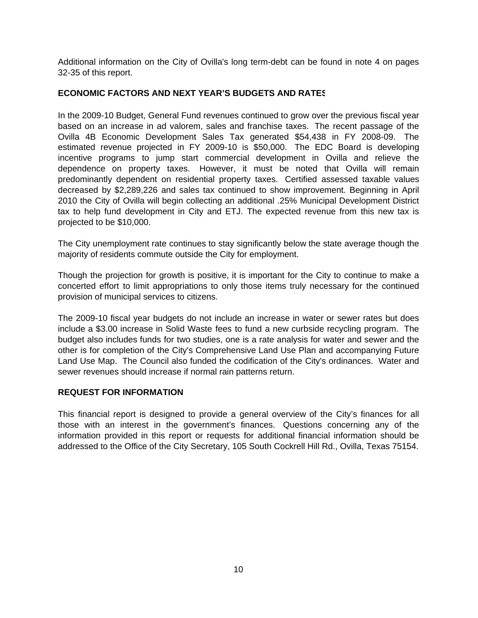Additional information on the City of Ovilla's long term-debt can be found in note 4 on pages 32-35 of this report.

#### **ECONOMIC FACTORS AND NEXT YEAR'S BUDGETS AND RATES**

In the 2009-10 Budget, General Fund revenues continued to grow over the previous fiscal year based on an increase in ad valorem, sales and franchise taxes. The recent passage of the Ovilla 4B Economic Development Sales Tax generated \$54,438 in FY 2008-09. The estimated revenue projected in FY 2009-10 is \$50,000. The EDC Board is developing incentive programs to jump start commercial development in Ovilla and relieve the dependence on property taxes. However, it must be noted that Ovilla will remain predominantly dependent on residential property taxes. Certified assessed taxable values decreased by \$2,289,226 and sales tax continued to show improvement. Beginning in April 2010 the City of Ovilla will begin collecting an additional .25% Municipal Development District tax to help fund development in City and ETJ. The expected revenue from this new tax is projected to be \$10,000.

The City unemployment rate continues to stay significantly below the state average though the majority of residents commute outside the City for employment.

Though the projection for growth is positive, it is important for the City to continue to make a concerted effort to limit appropriations to only those items truly necessary for the continued provision of municipal services to citizens.

The 2009-10 fiscal year budgets do not include an increase in water or sewer rates but does include a \$3.00 increase in Solid Waste fees to fund a new curbside recycling program. The budget also includes funds for two studies, one is a rate analysis for water and sewer and the other is for completion of the City's Comprehensive Land Use Plan and accompanying Future Land Use Map. The Council also funded the codification of the City's ordinances. Water and sewer revenues should increase if normal rain patterns return.

#### **REQUEST FOR INFORMATION**

This financial report is designed to provide a general overview of the City's finances for all those with an interest in the government's finances. Questions concerning any of the information provided in this report or requests for additional financial information should be addressed to the Office of the City Secretary, 105 South Cockrell Hill Rd., Ovilla, Texas 75154.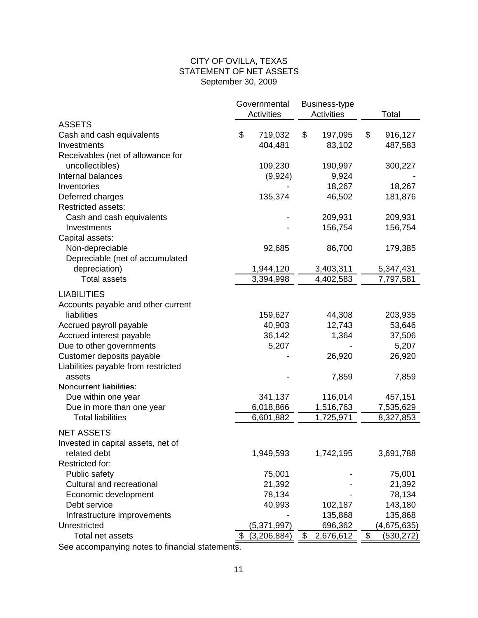#### CITY OF OVILLA, TEXAS STATEMENT OF NET ASSETS September 30, 2009

|                                     | Governmental<br><b>Business-type</b><br><b>Activities</b> |             |    |           | Total           |  |  |
|-------------------------------------|-----------------------------------------------------------|-------------|----|-----------|-----------------|--|--|
| <b>ASSETS</b>                       |                                                           | Activities  |    |           |                 |  |  |
| Cash and cash equivalents           | \$                                                        | 719,032     | \$ | 197,095   | \$<br>916,127   |  |  |
| Investments                         |                                                           | 404,481     |    | 83,102    | 487,583         |  |  |
| Receivables (net of allowance for   |                                                           |             |    |           |                 |  |  |
| uncollectibles)                     |                                                           | 109,230     |    | 190,997   | 300,227         |  |  |
| Internal balances                   |                                                           |             |    |           |                 |  |  |
|                                     |                                                           | (9,924)     |    | 9,924     |                 |  |  |
| Inventories                         |                                                           |             |    | 18,267    | 18,267          |  |  |
| Deferred charges                    |                                                           | 135,374     |    | 46,502    | 181,876         |  |  |
| <b>Restricted assets:</b>           |                                                           |             |    |           |                 |  |  |
| Cash and cash equivalents           |                                                           |             |    | 209,931   | 209,931         |  |  |
| Investments                         |                                                           |             |    | 156,754   | 156,754         |  |  |
| Capital assets:                     |                                                           |             |    |           |                 |  |  |
| Non-depreciable                     |                                                           | 92,685      |    | 86,700    | 179,385         |  |  |
| Depreciable (net of accumulated     |                                                           |             |    |           |                 |  |  |
| depreciation)                       |                                                           | 1,944,120   |    | 3,403,311 | 5,347,431       |  |  |
| <b>Total assets</b>                 |                                                           | 3,394,998   |    | 4,402,583 | 7,797,581       |  |  |
| <b>LIABILITIES</b>                  |                                                           |             |    |           |                 |  |  |
| Accounts payable and other current  |                                                           |             |    |           |                 |  |  |
| liabilities                         |                                                           | 159,627     |    | 44,308    | 203,935         |  |  |
| Accrued payroll payable             |                                                           | 40,903      |    | 12,743    | 53,646          |  |  |
| Accrued interest payable            |                                                           | 36,142      |    | 1,364     | 37,506          |  |  |
| Due to other governments            |                                                           | 5,207       |    |           | 5,207           |  |  |
| Customer deposits payable           |                                                           |             |    | 26,920    | 26,920          |  |  |
| Liabilities payable from restricted |                                                           |             |    |           |                 |  |  |
| assets                              |                                                           |             |    | 7,859     | 7,859           |  |  |
| Noncurrent liabilities:             |                                                           |             |    |           |                 |  |  |
| Due within one year                 |                                                           | 341,137     |    | 116,014   | 457,151         |  |  |
| Due in more than one year           |                                                           | 6,018,866   |    | 1,516,763 | 7,535,629       |  |  |
| <b>Total liabilities</b>            |                                                           | 6,601,882   |    | 1,725,971 | 8,327,853       |  |  |
|                                     |                                                           |             |    |           |                 |  |  |
| <b>NET ASSETS</b>                   |                                                           |             |    |           |                 |  |  |
| Invested in capital assets, net of  |                                                           |             |    |           |                 |  |  |
| related debt                        |                                                           | 1,949,593   |    | 1,742,195 | 3,691,788       |  |  |
| Restricted for:                     |                                                           |             |    |           |                 |  |  |
| Public safety                       |                                                           | 75,001      |    |           | 75,001          |  |  |
| Cultural and recreational           |                                                           | 21,392      |    |           | 21,392          |  |  |
| Economic development                |                                                           | 78,134      |    |           | 78,134          |  |  |
| Debt service                        |                                                           | 40,993      |    | 102,187   | 143,180         |  |  |
| Infrastructure improvements         |                                                           |             |    | 135,868   | 135,868         |  |  |
| Unrestricted                        |                                                           | (5,371,997) |    | 696,362   | (4,675,635)     |  |  |
| Total net assets                    |                                                           | (3,206,884) | \$ | 2,676,612 | \$<br>(530,272) |  |  |

See accompanying notes to financial statements.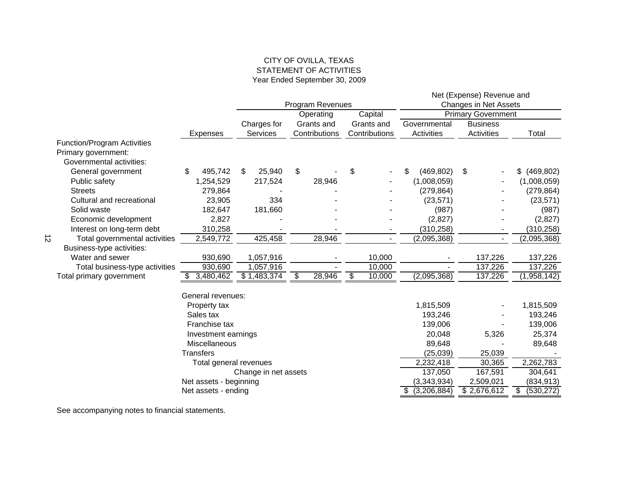#### CITY OF OVILLA, TEXAS STATEMENT OF ACTIVITIES Year Ended September 30, 2009

|           |                                    |                                               |                      |                  |               |                              | Net (Expense) Revenue and |                                |  |  |
|-----------|------------------------------------|-----------------------------------------------|----------------------|------------------|---------------|------------------------------|---------------------------|--------------------------------|--|--|
|           |                                    |                                               |                      | Program Revenues |               | <b>Changes in Net Assets</b> |                           |                                |  |  |
|           |                                    |                                               |                      | Operating        | Capital       |                              | <b>Primary Government</b> |                                |  |  |
|           |                                    |                                               | Charges for          | Grants and       | Grants and    | Governmental                 | <b>Business</b>           |                                |  |  |
|           |                                    | <b>Expenses</b>                               | <b>Services</b>      | Contributions    | Contributions | Activities                   | Activities                | Total                          |  |  |
|           | <b>Function/Program Activities</b> |                                               |                      |                  |               |                              |                           |                                |  |  |
|           | Primary government:                |                                               |                      |                  |               |                              |                           |                                |  |  |
|           | Governmental activities:           |                                               |                      |                  |               |                              |                           |                                |  |  |
|           | General government                 | \$<br>495,742                                 | 25,940<br>S.         | \$               | \$            | (469, 802)<br>\$             | \$                        | (469, 802)<br>\$               |  |  |
|           | Public safety                      | 1,254,529                                     | 217,524              | 28,946           |               | (1,008,059)                  |                           | (1,008,059)                    |  |  |
|           | <b>Streets</b>                     | 279,864                                       |                      |                  |               | (279, 864)                   |                           | (279, 864)                     |  |  |
|           | Cultural and recreational          | 23,905                                        | 334                  |                  |               | (23, 571)                    |                           | (23, 571)                      |  |  |
|           | Solid waste                        | 182,647                                       | 181,660              |                  |               | (987)                        |                           | (987)                          |  |  |
|           | Economic development               | 2,827                                         |                      |                  |               | (2,827)                      |                           | (2,827)                        |  |  |
|           | Interest on long-term debt         | 310,258                                       |                      |                  |               | (310, 258)                   |                           | (310, 258)                     |  |  |
| $\vec{z}$ | Total governmental activities      | 2,549,772                                     | 425,458              | 28,946           |               | (2,095,368)                  |                           | (2,095,368)                    |  |  |
|           | Business-type activities:          |                                               |                      |                  |               |                              |                           |                                |  |  |
|           | Water and sewer                    | 930,690                                       | 1,057,916            |                  | 10,000        |                              | 137,226                   | 137,226                        |  |  |
|           | Total business-type activities     | 930,690                                       | 1,057,916            |                  | 10,000        |                              | 137,226                   | 137,226                        |  |  |
|           | Total primary government           | 3,480,462                                     | \$1,483,374          | \$<br>28,946     | \$<br>10,000  | (2,095,368)                  | 137,226                   | (1,958,142)                    |  |  |
|           |                                    | General revenues:                             |                      |                  |               |                              |                           |                                |  |  |
|           |                                    | Property tax                                  |                      |                  |               | 1,815,509                    |                           | 1,815,509                      |  |  |
|           |                                    | Sales tax                                     |                      |                  |               | 193,246                      |                           | 193,246                        |  |  |
|           |                                    | Franchise tax                                 |                      |                  |               | 139,006                      |                           | 139,006                        |  |  |
|           |                                    | Investment earnings                           |                      |                  |               | 20,048                       | 5,326                     | 25,374                         |  |  |
|           |                                    | Miscellaneous                                 |                      |                  |               | 89,648                       |                           | 89,648                         |  |  |
|           |                                    | <b>Transfers</b>                              |                      |                  |               | (25, 039)                    | 25,039                    |                                |  |  |
|           |                                    | Total general revenues                        |                      |                  |               | 2,232,418                    | 30,365                    | 2,262,783                      |  |  |
|           |                                    |                                               | Change in net assets |                  |               | 137,050                      | 167,591                   | 304,641                        |  |  |
|           |                                    |                                               |                      |                  |               | (3,343,934)                  | 2,509,021                 |                                |  |  |
|           |                                    | Net assets - beginning<br>Net assets - ending |                      |                  |               | \$ (3,206,884)               | \$2,676,612               | (834, 913)<br>\$<br>(530, 272) |  |  |
|           |                                    |                                               |                      |                  |               |                              |                           |                                |  |  |

See accompanying notes to financial statements.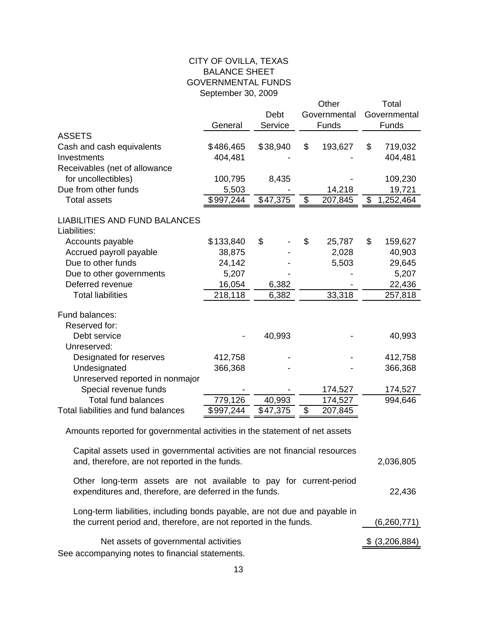### CITY OF OVILLA, TEXAS BALANCE SHEET GOVERNMENTAL FUNDS September 30, 2009

|                                      |           |          |                           | Other        |       | Total                  |  |
|--------------------------------------|-----------|----------|---------------------------|--------------|-------|------------------------|--|
|                                      |           | Debt     |                           | Governmental |       | Governmental           |  |
|                                      | General   | Service  |                           | Funds        | Funds |                        |  |
| <b>ASSETS</b>                        |           |          |                           |              |       |                        |  |
| Cash and cash equivalents            | \$486,465 | \$38,940 | \$                        | 193,627      | \$    | 719,032                |  |
| Investments                          | 404,481   |          |                           |              |       | 404,481                |  |
| Receivables (net of allowance        |           |          |                           |              |       |                        |  |
| for uncollectibles)                  | 100,795   | 8,435    |                           |              |       | 109,230                |  |
| Due from other funds                 | 5,503     |          |                           | 14,218       |       | 19,721                 |  |
| <b>Total assets</b>                  | \$997,244 | \$47,375 | $\boldsymbol{\mathsf{S}}$ | 207,845      | \$    | $\overline{1,}252,464$ |  |
|                                      |           |          |                           |              |       |                        |  |
| <b>LIABILITIES AND FUND BALANCES</b> |           |          |                           |              |       |                        |  |
| Liabilities:                         |           |          |                           |              |       |                        |  |
| Accounts payable                     | \$133,840 | \$       | \$                        | 25,787       | \$    | 159,627                |  |
| Accrued payroll payable              | 38,875    |          |                           | 2,028        |       | 40,903                 |  |
| Due to other funds                   | 24,142    |          |                           | 5,503        |       | 29,645                 |  |
| Due to other governments             | 5,207     |          |                           |              |       | 5,207                  |  |
| Deferred revenue                     | 16,054    | 6,382    |                           |              |       | 22,436                 |  |
| <b>Total liabilities</b>             | 218,118   | 6,382    |                           | 33,318       |       | 257,818                |  |
| Fund balances:                       |           |          |                           |              |       |                        |  |
| Reserved for:                        |           |          |                           |              |       |                        |  |
| Debt service                         |           | 40,993   |                           |              |       | 40,993                 |  |
| Unreserved:                          |           |          |                           |              |       |                        |  |
| Designated for reserves              | 412,758   |          |                           |              |       | 412,758                |  |
| Undesignated                         | 366,368   |          |                           |              |       | 366,368                |  |
| Unreserved reported in nonmajor      |           |          |                           |              |       |                        |  |
| Special revenue funds                |           |          |                           | 174,527      |       | 174,527                |  |
| <b>Total fund balances</b>           | 779,126   | 40,993   |                           | 174,527      |       | 994,646                |  |
| Total liabilities and fund balances  | \$997,244 | \$47,375 | \$                        | 207,845      |       |                        |  |
|                                      |           |          |                           |              |       |                        |  |

Amounts reported for governmental activities in the statement of net assets

| Capital assets used in governmental activities are not financial resources<br>and, therefore, are not reported in the funds.                    | 2,036,805      |
|-------------------------------------------------------------------------------------------------------------------------------------------------|----------------|
| Other long-term assets are not available to pay for current-period<br>expenditures and, therefore, are deferred in the funds.                   | 22,436         |
| Long-term liabilities, including bonds payable, are not due and payable in<br>the current period and, therefore, are not reported in the funds. | (6,260,771)    |
| Net assets of governmental activities<br>See accompanying notes to financial statements.                                                        | \$ (3,206,884) |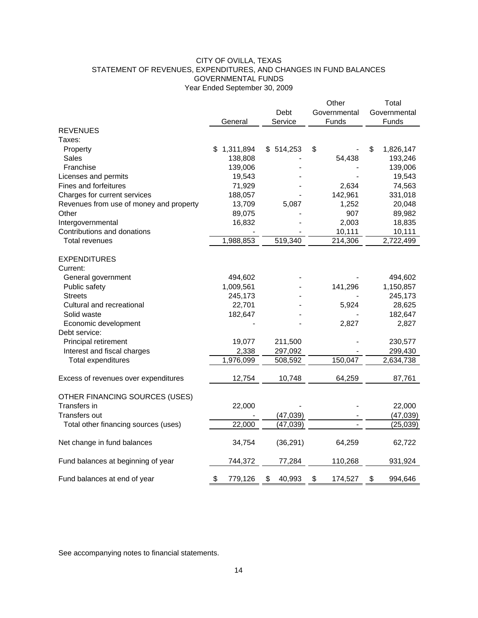#### CITY OF OVILLA, TEXAS STATEMENT OF REVENUES, EXPENDITURES, AND CHANGES IN FUND BALANCES GOVERNMENTAL FUNDS Year Ended September 30, 2009

| Debt<br>Governmental<br>Governmental<br>Service<br>Funds<br>Funds<br>General<br><b>REVENUES</b><br>Taxes:<br>1,311,894<br>\$514,253<br>\$<br>\$<br>1,826,147<br>Property<br>\$<br>Sales<br>138,808<br>193,246<br>54,438<br>Franchise<br>139,006<br>139,006<br>19,543<br>19,543<br>Licenses and permits<br>Fines and forfeitures<br>71,929<br>2,634<br>74,563<br>142,961<br>Charges for current services<br>188,057<br>331,018<br>Revenues from use of money and property<br>13,709<br>5,087<br>1,252<br>20,048<br>Other<br>89,075<br>907<br>89,982<br>16,832<br>18,835<br>Intergovernmental<br>2,003<br>Contributions and donations<br>10,111<br>10,111<br>1,988,853<br>519,340<br>214,306<br>2,722,499<br><b>Total revenues</b><br><b>EXPENDITURES</b><br>Current:<br>494,602<br>General government<br>494,602<br>1,009,561<br>141,296<br>1,150,857<br>Public safety<br><b>Streets</b><br>245,173<br>245,173<br>Cultural and recreational<br>22,701<br>5,924<br>28,625<br>182,647<br>182,647<br>Solid waste<br>Economic development<br>2,827<br>2,827<br>Debt service:<br>19,077<br>230,577<br>Principal retirement<br>211,500<br>2,338<br>299,430<br>Interest and fiscal charges<br>297,092<br>1,976,099<br>150,047<br>2,634,738<br><b>Total expenditures</b><br>508,592<br>Excess of revenues over expenditures<br>12,754<br>10,748<br>64,259<br>87,761<br>OTHER FINANCING SOURCES (USES)<br>22,000<br>Transfers in<br>22,000 |  | Other | Total |
|----------------------------------------------------------------------------------------------------------------------------------------------------------------------------------------------------------------------------------------------------------------------------------------------------------------------------------------------------------------------------------------------------------------------------------------------------------------------------------------------------------------------------------------------------------------------------------------------------------------------------------------------------------------------------------------------------------------------------------------------------------------------------------------------------------------------------------------------------------------------------------------------------------------------------------------------------------------------------------------------------------------------------------------------------------------------------------------------------------------------------------------------------------------------------------------------------------------------------------------------------------------------------------------------------------------------------------------------------------------------------------------------------------------------------------|--|-------|-------|
|                                                                                                                                                                                                                                                                                                                                                                                                                                                                                                                                                                                                                                                                                                                                                                                                                                                                                                                                                                                                                                                                                                                                                                                                                                                                                                                                                                                                                                  |  |       |       |
|                                                                                                                                                                                                                                                                                                                                                                                                                                                                                                                                                                                                                                                                                                                                                                                                                                                                                                                                                                                                                                                                                                                                                                                                                                                                                                                                                                                                                                  |  |       |       |
|                                                                                                                                                                                                                                                                                                                                                                                                                                                                                                                                                                                                                                                                                                                                                                                                                                                                                                                                                                                                                                                                                                                                                                                                                                                                                                                                                                                                                                  |  |       |       |
|                                                                                                                                                                                                                                                                                                                                                                                                                                                                                                                                                                                                                                                                                                                                                                                                                                                                                                                                                                                                                                                                                                                                                                                                                                                                                                                                                                                                                                  |  |       |       |
|                                                                                                                                                                                                                                                                                                                                                                                                                                                                                                                                                                                                                                                                                                                                                                                                                                                                                                                                                                                                                                                                                                                                                                                                                                                                                                                                                                                                                                  |  |       |       |
|                                                                                                                                                                                                                                                                                                                                                                                                                                                                                                                                                                                                                                                                                                                                                                                                                                                                                                                                                                                                                                                                                                                                                                                                                                                                                                                                                                                                                                  |  |       |       |
|                                                                                                                                                                                                                                                                                                                                                                                                                                                                                                                                                                                                                                                                                                                                                                                                                                                                                                                                                                                                                                                                                                                                                                                                                                                                                                                                                                                                                                  |  |       |       |
|                                                                                                                                                                                                                                                                                                                                                                                                                                                                                                                                                                                                                                                                                                                                                                                                                                                                                                                                                                                                                                                                                                                                                                                                                                                                                                                                                                                                                                  |  |       |       |
|                                                                                                                                                                                                                                                                                                                                                                                                                                                                                                                                                                                                                                                                                                                                                                                                                                                                                                                                                                                                                                                                                                                                                                                                                                                                                                                                                                                                                                  |  |       |       |
|                                                                                                                                                                                                                                                                                                                                                                                                                                                                                                                                                                                                                                                                                                                                                                                                                                                                                                                                                                                                                                                                                                                                                                                                                                                                                                                                                                                                                                  |  |       |       |
|                                                                                                                                                                                                                                                                                                                                                                                                                                                                                                                                                                                                                                                                                                                                                                                                                                                                                                                                                                                                                                                                                                                                                                                                                                                                                                                                                                                                                                  |  |       |       |
|                                                                                                                                                                                                                                                                                                                                                                                                                                                                                                                                                                                                                                                                                                                                                                                                                                                                                                                                                                                                                                                                                                                                                                                                                                                                                                                                                                                                                                  |  |       |       |
|                                                                                                                                                                                                                                                                                                                                                                                                                                                                                                                                                                                                                                                                                                                                                                                                                                                                                                                                                                                                                                                                                                                                                                                                                                                                                                                                                                                                                                  |  |       |       |
|                                                                                                                                                                                                                                                                                                                                                                                                                                                                                                                                                                                                                                                                                                                                                                                                                                                                                                                                                                                                                                                                                                                                                                                                                                                                                                                                                                                                                                  |  |       |       |
|                                                                                                                                                                                                                                                                                                                                                                                                                                                                                                                                                                                                                                                                                                                                                                                                                                                                                                                                                                                                                                                                                                                                                                                                                                                                                                                                                                                                                                  |  |       |       |
|                                                                                                                                                                                                                                                                                                                                                                                                                                                                                                                                                                                                                                                                                                                                                                                                                                                                                                                                                                                                                                                                                                                                                                                                                                                                                                                                                                                                                                  |  |       |       |
|                                                                                                                                                                                                                                                                                                                                                                                                                                                                                                                                                                                                                                                                                                                                                                                                                                                                                                                                                                                                                                                                                                                                                                                                                                                                                                                                                                                                                                  |  |       |       |
|                                                                                                                                                                                                                                                                                                                                                                                                                                                                                                                                                                                                                                                                                                                                                                                                                                                                                                                                                                                                                                                                                                                                                                                                                                                                                                                                                                                                                                  |  |       |       |
|                                                                                                                                                                                                                                                                                                                                                                                                                                                                                                                                                                                                                                                                                                                                                                                                                                                                                                                                                                                                                                                                                                                                                                                                                                                                                                                                                                                                                                  |  |       |       |
|                                                                                                                                                                                                                                                                                                                                                                                                                                                                                                                                                                                                                                                                                                                                                                                                                                                                                                                                                                                                                                                                                                                                                                                                                                                                                                                                                                                                                                  |  |       |       |
|                                                                                                                                                                                                                                                                                                                                                                                                                                                                                                                                                                                                                                                                                                                                                                                                                                                                                                                                                                                                                                                                                                                                                                                                                                                                                                                                                                                                                                  |  |       |       |
|                                                                                                                                                                                                                                                                                                                                                                                                                                                                                                                                                                                                                                                                                                                                                                                                                                                                                                                                                                                                                                                                                                                                                                                                                                                                                                                                                                                                                                  |  |       |       |
|                                                                                                                                                                                                                                                                                                                                                                                                                                                                                                                                                                                                                                                                                                                                                                                                                                                                                                                                                                                                                                                                                                                                                                                                                                                                                                                                                                                                                                  |  |       |       |
|                                                                                                                                                                                                                                                                                                                                                                                                                                                                                                                                                                                                                                                                                                                                                                                                                                                                                                                                                                                                                                                                                                                                                                                                                                                                                                                                                                                                                                  |  |       |       |
|                                                                                                                                                                                                                                                                                                                                                                                                                                                                                                                                                                                                                                                                                                                                                                                                                                                                                                                                                                                                                                                                                                                                                                                                                                                                                                                                                                                                                                  |  |       |       |
|                                                                                                                                                                                                                                                                                                                                                                                                                                                                                                                                                                                                                                                                                                                                                                                                                                                                                                                                                                                                                                                                                                                                                                                                                                                                                                                                                                                                                                  |  |       |       |
|                                                                                                                                                                                                                                                                                                                                                                                                                                                                                                                                                                                                                                                                                                                                                                                                                                                                                                                                                                                                                                                                                                                                                                                                                                                                                                                                                                                                                                  |  |       |       |
|                                                                                                                                                                                                                                                                                                                                                                                                                                                                                                                                                                                                                                                                                                                                                                                                                                                                                                                                                                                                                                                                                                                                                                                                                                                                                                                                                                                                                                  |  |       |       |
|                                                                                                                                                                                                                                                                                                                                                                                                                                                                                                                                                                                                                                                                                                                                                                                                                                                                                                                                                                                                                                                                                                                                                                                                                                                                                                                                                                                                                                  |  |       |       |
|                                                                                                                                                                                                                                                                                                                                                                                                                                                                                                                                                                                                                                                                                                                                                                                                                                                                                                                                                                                                                                                                                                                                                                                                                                                                                                                                                                                                                                  |  |       |       |
|                                                                                                                                                                                                                                                                                                                                                                                                                                                                                                                                                                                                                                                                                                                                                                                                                                                                                                                                                                                                                                                                                                                                                                                                                                                                                                                                                                                                                                  |  |       |       |
|                                                                                                                                                                                                                                                                                                                                                                                                                                                                                                                                                                                                                                                                                                                                                                                                                                                                                                                                                                                                                                                                                                                                                                                                                                                                                                                                                                                                                                  |  |       |       |
|                                                                                                                                                                                                                                                                                                                                                                                                                                                                                                                                                                                                                                                                                                                                                                                                                                                                                                                                                                                                                                                                                                                                                                                                                                                                                                                                                                                                                                  |  |       |       |
|                                                                                                                                                                                                                                                                                                                                                                                                                                                                                                                                                                                                                                                                                                                                                                                                                                                                                                                                                                                                                                                                                                                                                                                                                                                                                                                                                                                                                                  |  |       |       |
| Transfers out<br>(47, 039)<br>(47, 039)                                                                                                                                                                                                                                                                                                                                                                                                                                                                                                                                                                                                                                                                                                                                                                                                                                                                                                                                                                                                                                                                                                                                                                                                                                                                                                                                                                                          |  |       |       |
| Total other financing sources (uses)<br>22,000<br>(47, 039)<br>(25, 039)                                                                                                                                                                                                                                                                                                                                                                                                                                                                                                                                                                                                                                                                                                                                                                                                                                                                                                                                                                                                                                                                                                                                                                                                                                                                                                                                                         |  |       |       |
|                                                                                                                                                                                                                                                                                                                                                                                                                                                                                                                                                                                                                                                                                                                                                                                                                                                                                                                                                                                                                                                                                                                                                                                                                                                                                                                                                                                                                                  |  |       |       |
| Net change in fund balances<br>34,754<br>(36, 291)<br>64,259<br>62,722                                                                                                                                                                                                                                                                                                                                                                                                                                                                                                                                                                                                                                                                                                                                                                                                                                                                                                                                                                                                                                                                                                                                                                                                                                                                                                                                                           |  |       |       |
|                                                                                                                                                                                                                                                                                                                                                                                                                                                                                                                                                                                                                                                                                                                                                                                                                                                                                                                                                                                                                                                                                                                                                                                                                                                                                                                                                                                                                                  |  |       |       |
| 77,284<br>Fund balances at beginning of year<br>744,372<br>110,268<br>931,924                                                                                                                                                                                                                                                                                                                                                                                                                                                                                                                                                                                                                                                                                                                                                                                                                                                                                                                                                                                                                                                                                                                                                                                                                                                                                                                                                    |  |       |       |
| \$<br>779,126<br>\$<br>40,993<br>\$<br>174,527<br>\$<br>994,646<br>Fund balances at end of year                                                                                                                                                                                                                                                                                                                                                                                                                                                                                                                                                                                                                                                                                                                                                                                                                                                                                                                                                                                                                                                                                                                                                                                                                                                                                                                                  |  |       |       |

See accompanying notes to financial statements.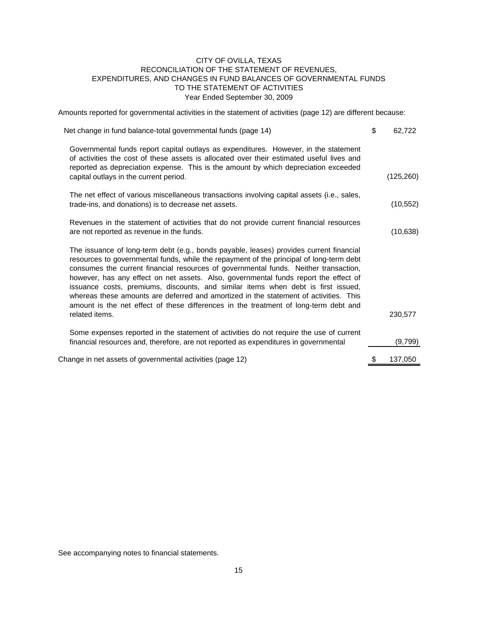#### CITY OF OVILLA, TEXAS RECONCILIATION OF THE STATEMENT OF REVENUES, EXPENDITURES, AND CHANGES IN FUND BALANCES OF GOVERNMENTAL FUNDS TO THE STATEMENT OF ACTIVITIES Year Ended September 30, 2009

Amounts reported for governmental activities in the statement of activities (page 12) are different because:

| Net change in fund balance-total governmental funds (page 14)                                                                                                                                                                                                                                                                                                                                                                                                                                                                                                                                                                                              | \$<br>62,722  |
|------------------------------------------------------------------------------------------------------------------------------------------------------------------------------------------------------------------------------------------------------------------------------------------------------------------------------------------------------------------------------------------------------------------------------------------------------------------------------------------------------------------------------------------------------------------------------------------------------------------------------------------------------------|---------------|
| Governmental funds report capital outlays as expenditures. However, in the statement<br>of activities the cost of these assets is allocated over their estimated useful lives and<br>reported as depreciation expense. This is the amount by which depreciation exceeded                                                                                                                                                                                                                                                                                                                                                                                   |               |
| capital outlays in the current period.                                                                                                                                                                                                                                                                                                                                                                                                                                                                                                                                                                                                                     | (125, 260)    |
| The net effect of various miscellaneous transactions involving capital assets (i.e., sales,<br>trade-ins, and donations) is to decrease net assets.                                                                                                                                                                                                                                                                                                                                                                                                                                                                                                        | (10, 552)     |
| Revenues in the statement of activities that do not provide current financial resources<br>are not reported as revenue in the funds.                                                                                                                                                                                                                                                                                                                                                                                                                                                                                                                       | (10, 638)     |
| The issuance of long-term debt (e.g., bonds payable, leases) provides current financial<br>resources to governmental funds, while the repayment of the principal of long-term debt<br>consumes the current financial resources of governmental funds. Neither transaction,<br>however, has any effect on net assets. Also, governmental funds report the effect of<br>issuance costs, premiums, discounts, and similar items when debt is first issued,<br>whereas these amounts are deferred and amortized in the statement of activities. This<br>amount is the net effect of these differences in the treatment of long-term debt and<br>related items. | 230,577       |
|                                                                                                                                                                                                                                                                                                                                                                                                                                                                                                                                                                                                                                                            |               |
| Some expenses reported in the statement of activities do not require the use of current<br>financial resources and, therefore, are not reported as expenditures in governmental                                                                                                                                                                                                                                                                                                                                                                                                                                                                            | (9,799)       |
| Change in net assets of governmental activities (page 12)                                                                                                                                                                                                                                                                                                                                                                                                                                                                                                                                                                                                  | \$<br>137,050 |

See accompanying notes to financial statements.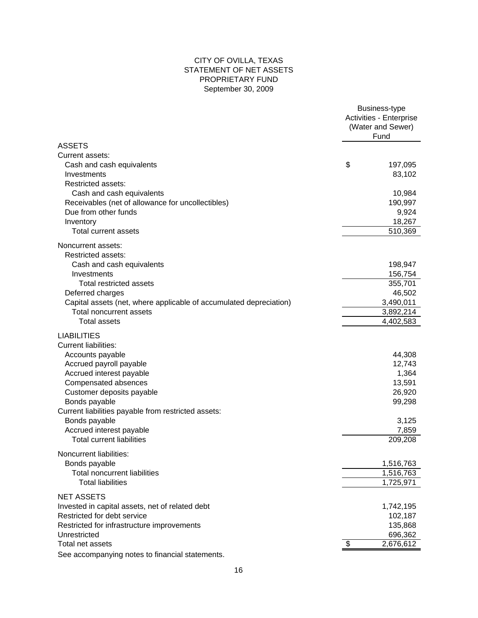#### CITY OF OVILLA, TEXAS STATEMENT OF NET ASSETS PROPRIETARY FUND September 30, 2009

|                                                                                                                                                                                                                                                                                                                                                                                                                               | Business-type<br>Activities - Enterprise<br>(Water and Sewer)<br>Fund |                                                                                                                |  |
|-------------------------------------------------------------------------------------------------------------------------------------------------------------------------------------------------------------------------------------------------------------------------------------------------------------------------------------------------------------------------------------------------------------------------------|-----------------------------------------------------------------------|----------------------------------------------------------------------------------------------------------------|--|
| ASSETS                                                                                                                                                                                                                                                                                                                                                                                                                        |                                                                       |                                                                                                                |  |
| Current assets:                                                                                                                                                                                                                                                                                                                                                                                                               |                                                                       |                                                                                                                |  |
| Cash and cash equivalents                                                                                                                                                                                                                                                                                                                                                                                                     | \$                                                                    | 197,095                                                                                                        |  |
| Investments                                                                                                                                                                                                                                                                                                                                                                                                                   |                                                                       | 83,102                                                                                                         |  |
| <b>Restricted assets:</b>                                                                                                                                                                                                                                                                                                                                                                                                     |                                                                       |                                                                                                                |  |
| Cash and cash equivalents                                                                                                                                                                                                                                                                                                                                                                                                     |                                                                       | 10,984                                                                                                         |  |
| Receivables (net of allowance for uncollectibles)                                                                                                                                                                                                                                                                                                                                                                             |                                                                       | 190,997                                                                                                        |  |
| Due from other funds                                                                                                                                                                                                                                                                                                                                                                                                          |                                                                       | 9,924                                                                                                          |  |
|                                                                                                                                                                                                                                                                                                                                                                                                                               |                                                                       |                                                                                                                |  |
| Inventory                                                                                                                                                                                                                                                                                                                                                                                                                     |                                                                       | 18,267                                                                                                         |  |
| Total current assets                                                                                                                                                                                                                                                                                                                                                                                                          |                                                                       | 510,369                                                                                                        |  |
| Noncurrent assets:                                                                                                                                                                                                                                                                                                                                                                                                            |                                                                       |                                                                                                                |  |
| <b>Restricted assets:</b>                                                                                                                                                                                                                                                                                                                                                                                                     |                                                                       |                                                                                                                |  |
| Cash and cash equivalents                                                                                                                                                                                                                                                                                                                                                                                                     |                                                                       | 198,947                                                                                                        |  |
| Investments                                                                                                                                                                                                                                                                                                                                                                                                                   |                                                                       | 156,754                                                                                                        |  |
| Total restricted assets                                                                                                                                                                                                                                                                                                                                                                                                       |                                                                       | 355,701                                                                                                        |  |
| Deferred charges                                                                                                                                                                                                                                                                                                                                                                                                              |                                                                       | 46,502                                                                                                         |  |
| Capital assets (net, where applicable of accumulated depreciation)                                                                                                                                                                                                                                                                                                                                                            |                                                                       | 3,490,011                                                                                                      |  |
| Total noncurrent assets                                                                                                                                                                                                                                                                                                                                                                                                       |                                                                       | 3,892,214                                                                                                      |  |
| <b>Total assets</b>                                                                                                                                                                                                                                                                                                                                                                                                           |                                                                       | 4,402,583                                                                                                      |  |
| <b>LIABILITIES</b><br><b>Current liabilities:</b><br>Accounts payable<br>Accrued payroll payable<br>Accrued interest payable<br>Compensated absences<br>Customer deposits payable<br>Bonds payable<br>Current liabilities payable from restricted assets:<br>Bonds payable<br>Accrued interest payable<br><b>Total current liabilities</b><br>Noncurrent liabilities:<br>Bonds payable<br><b>Total noncurrent liabilities</b> |                                                                       | 44,308<br>12,743<br>1,364<br>13,591<br>26,920<br>99,298<br>3,125<br>7,859<br>209,208<br>1,516,763<br>1,516,763 |  |
|                                                                                                                                                                                                                                                                                                                                                                                                                               |                                                                       |                                                                                                                |  |
| <b>Total liabilities</b>                                                                                                                                                                                                                                                                                                                                                                                                      |                                                                       | 1,725,971                                                                                                      |  |
| <b>NET ASSETS</b>                                                                                                                                                                                                                                                                                                                                                                                                             |                                                                       |                                                                                                                |  |
| Invested in capital assets, net of related debt                                                                                                                                                                                                                                                                                                                                                                               |                                                                       | 1,742,195                                                                                                      |  |
| Restricted for debt service                                                                                                                                                                                                                                                                                                                                                                                                   |                                                                       | 102,187                                                                                                        |  |
| Restricted for infrastructure improvements                                                                                                                                                                                                                                                                                                                                                                                    |                                                                       | 135,868                                                                                                        |  |
| Unrestricted                                                                                                                                                                                                                                                                                                                                                                                                                  |                                                                       | 696,362                                                                                                        |  |
| Total net assets                                                                                                                                                                                                                                                                                                                                                                                                              | $\boldsymbol{\mathsf{\$}}$                                            | 2,676,612                                                                                                      |  |
| See accompanying notes to financial statements.                                                                                                                                                                                                                                                                                                                                                                               |                                                                       |                                                                                                                |  |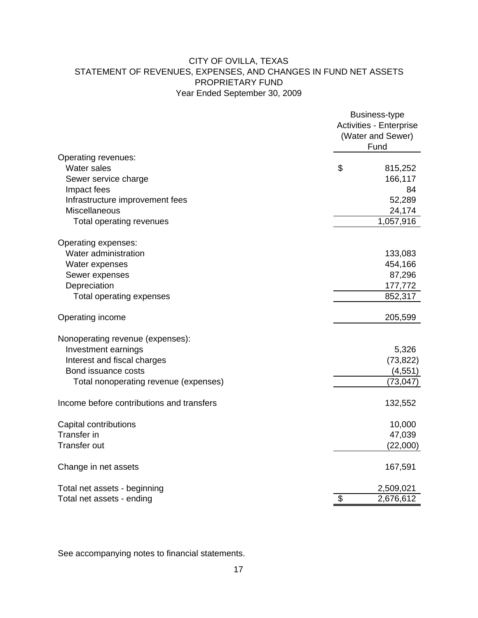### CITY OF OVILLA, TEXAS STATEMENT OF REVENUES, EXPENSES, AND CHANGES IN FUND NET ASSETS PROPRIETARY FUND Year Ended September 30, 2009

|                                           | Business-type<br>Activities - Enterprise<br>(Water and Sewer)<br>Fund |           |  |
|-------------------------------------------|-----------------------------------------------------------------------|-----------|--|
| Operating revenues:                       |                                                                       |           |  |
| Water sales                               | \$                                                                    | 815,252   |  |
| Sewer service charge                      |                                                                       | 166,117   |  |
| Impact fees                               |                                                                       | 84        |  |
| Infrastructure improvement fees           |                                                                       | 52,289    |  |
| Miscellaneous                             |                                                                       | 24,174    |  |
| Total operating revenues                  |                                                                       | 1,057,916 |  |
| Operating expenses:                       |                                                                       |           |  |
| Water administration                      |                                                                       | 133,083   |  |
| Water expenses                            |                                                                       | 454,166   |  |
| Sewer expenses                            |                                                                       | 87,296    |  |
| Depreciation                              |                                                                       | 177,772   |  |
| Total operating expenses                  |                                                                       | 852,317   |  |
| Operating income                          |                                                                       | 205,599   |  |
| Nonoperating revenue (expenses):          |                                                                       |           |  |
| Investment earnings                       |                                                                       | 5,326     |  |
| Interest and fiscal charges               |                                                                       | (73, 822) |  |
| Bond issuance costs                       |                                                                       | (4, 551)  |  |
| Total nonoperating revenue (expenses)     |                                                                       | (73, 047) |  |
| Income before contributions and transfers |                                                                       | 132,552   |  |
| Capital contributions                     |                                                                       | 10,000    |  |
| <b>Transfer in</b>                        |                                                                       | 47,039    |  |
| <b>Transfer out</b>                       |                                                                       | (22,000)  |  |
| Change in net assets                      |                                                                       | 167,591   |  |
| Total net assets - beginning              |                                                                       | 2,509,021 |  |
| Total net assets - ending                 | \$                                                                    | 2,676,612 |  |

See accompanying notes to financial statements.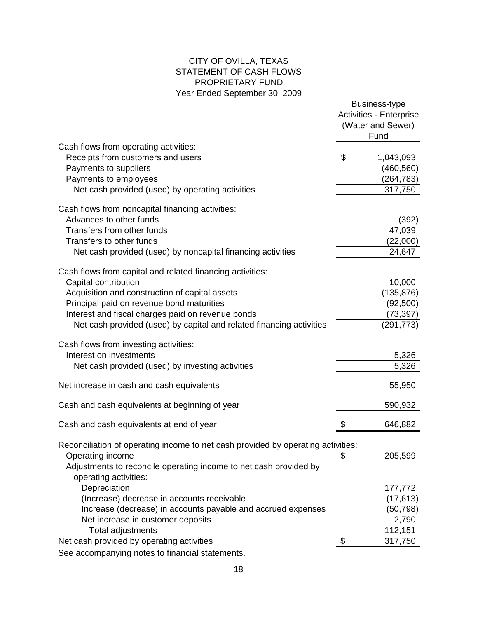### CITY OF OVILLA, TEXAS STATEMENT OF CASH FLOWS PROPRIETARY FUND Year Ended September 30, 2009

|                                                                                                                                                                                                                                                                                                               | Business-type<br>Activities - Enterprise<br>(Water and Sewer)<br>Fund |
|---------------------------------------------------------------------------------------------------------------------------------------------------------------------------------------------------------------------------------------------------------------------------------------------------------------|-----------------------------------------------------------------------|
| Cash flows from operating activities:<br>Receipts from customers and users<br>Payments to suppliers<br>Payments to employees                                                                                                                                                                                  | \$<br>1,043,093<br>(460, 560)<br>(264, 783)                           |
| Net cash provided (used) by operating activities                                                                                                                                                                                                                                                              | 317,750                                                               |
| Cash flows from noncapital financing activities:<br>Advances to other funds<br>Transfers from other funds<br>Transfers to other funds<br>Net cash provided (used) by noncapital financing activities                                                                                                          | (392)<br>47,039<br>(22,000)<br>24,647                                 |
| Cash flows from capital and related financing activities:<br>Capital contribution<br>Acquisition and construction of capital assets<br>Principal paid on revenue bond maturities<br>Interest and fiscal charges paid on revenue bonds<br>Net cash provided (used) by capital and related financing activities | 10,000<br>(135, 876)<br>(92, 500)<br>(73, 397)<br>(291, 773)          |
| Cash flows from investing activities:<br>Interest on investments<br>Net cash provided (used) by investing activities                                                                                                                                                                                          | 5,326<br>5,326                                                        |
| Net increase in cash and cash equivalents                                                                                                                                                                                                                                                                     | 55,950                                                                |
| Cash and cash equivalents at beginning of year                                                                                                                                                                                                                                                                | 590,932                                                               |
| Cash and cash equivalents at end of year                                                                                                                                                                                                                                                                      | 646,882                                                               |
| Reconciliation of operating income to net cash provided by operating activities:<br>Operating income<br>Adjustments to reconcile operating income to net cash provided by<br>operating activities:                                                                                                            | \$<br>205,599                                                         |
| Depreciation<br>(Increase) decrease in accounts receivable                                                                                                                                                                                                                                                    | 177,772<br>(17, 613)                                                  |
| Increase (decrease) in accounts payable and accrued expenses<br>Net increase in customer deposits                                                                                                                                                                                                             | (50, 798)<br>2,790                                                    |
| <b>Total adjustments</b>                                                                                                                                                                                                                                                                                      | 112,151                                                               |
| Net cash provided by operating activities                                                                                                                                                                                                                                                                     | 317,750                                                               |
| See accompanying notes to financial statements.                                                                                                                                                                                                                                                               |                                                                       |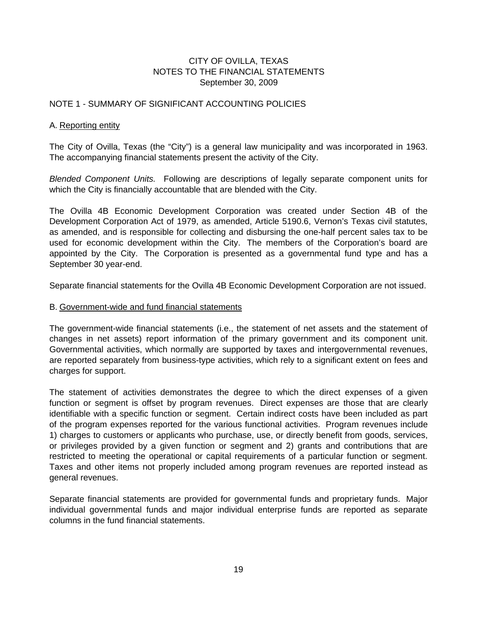#### NOTE 1 - SUMMARY OF SIGNIFICANT ACCOUNTING POLICIES

#### A. Reporting entity

The City of Ovilla, Texas (the "City") is a general law municipality and was incorporated in 1963. The accompanying financial statements present the activity of the City.

*Blended Component Units.* Following are descriptions of legally separate component units for which the City is financially accountable that are blended with the City.

The Ovilla 4B Economic Development Corporation was created under Section 4B of the Development Corporation Act of 1979, as amended, Article 5190.6, Vernon's Texas civil statutes, as amended, and is responsible for collecting and disbursing the one-half percent sales tax to be used for economic development within the City. The members of the Corporation's board are appointed by the City. The Corporation is presented as a governmental fund type and has a September 30 year-end.

Separate financial statements for the Ovilla 4B Economic Development Corporation are not issued.

#### B. Government-wide and fund financial statements

The government-wide financial statements (i.e., the statement of net assets and the statement of changes in net assets) report information of the primary government and its component unit. Governmental activities, which normally are supported by taxes and intergovernmental revenues, are reported separately from business-type activities, which rely to a significant extent on fees and charges for support.

The statement of activities demonstrates the degree to which the direct expenses of a given function or segment is offset by program revenues. Direct expenses are those that are clearly identifiable with a specific function or segment. Certain indirect costs have been included as part of the program expenses reported for the various functional activities. Program revenues include 1) charges to customers or applicants who purchase, use, or directly benefit from goods, services, or privileges provided by a given function or segment and 2) grants and contributions that are restricted to meeting the operational or capital requirements of a particular function or segment. Taxes and other items not properly included among program revenues are reported instead as general revenues.

Separate financial statements are provided for governmental funds and proprietary funds. Major individual governmental funds and major individual enterprise funds are reported as separate columns in the fund financial statements.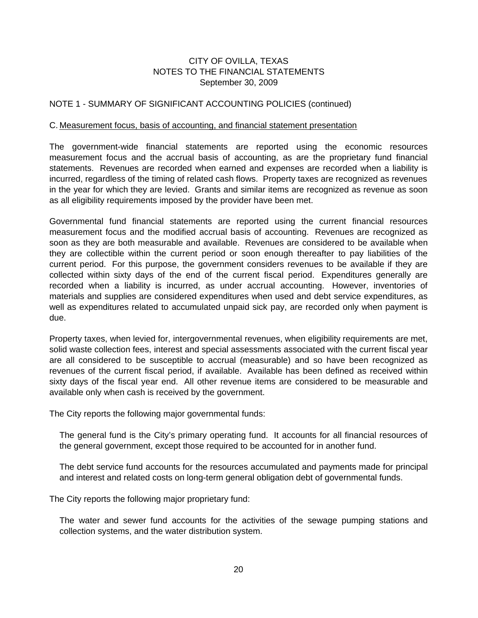#### NOTE 1 - SUMMARY OF SIGNIFICANT ACCOUNTING POLICIES (continued)

#### C. Measurement focus, basis of accounting, and financial statement presentation

The government-wide financial statements are reported using the economic resources measurement focus and the accrual basis of accounting, as are the proprietary fund financial statements. Revenues are recorded when earned and expenses are recorded when a liability is incurred, regardless of the timing of related cash flows. Property taxes are recognized as revenues in the year for which they are levied. Grants and similar items are recognized as revenue as soon as all eligibility requirements imposed by the provider have been met.

Governmental fund financial statements are reported using the current financial resources measurement focus and the modified accrual basis of accounting. Revenues are recognized as soon as they are both measurable and available. Revenues are considered to be available when they are collectible within the current period or soon enough thereafter to pay liabilities of the current period. For this purpose, the government considers revenues to be available if they are collected within sixty days of the end of the current fiscal period. Expenditures generally are recorded when a liability is incurred, as under accrual accounting. However, inventories of materials and supplies are considered expenditures when used and debt service expenditures, as well as expenditures related to accumulated unpaid sick pay, are recorded only when payment is due.

Property taxes, when levied for, intergovernmental revenues, when eligibility requirements are met, solid waste collection fees, interest and special assessments associated with the current fiscal year are all considered to be susceptible to accrual (measurable) and so have been recognized as revenues of the current fiscal period, if available. Available has been defined as received within sixty days of the fiscal year end. All other revenue items are considered to be measurable and available only when cash is received by the government.

The City reports the following major governmental funds:

The general fund is the City's primary operating fund. It accounts for all financial resources of the general government, except those required to be accounted for in another fund.

The debt service fund accounts for the resources accumulated and payments made for principal and interest and related costs on long-term general obligation debt of governmental funds.

The City reports the following major proprietary fund:

The water and sewer fund accounts for the activities of the sewage pumping stations and collection systems, and the water distribution system.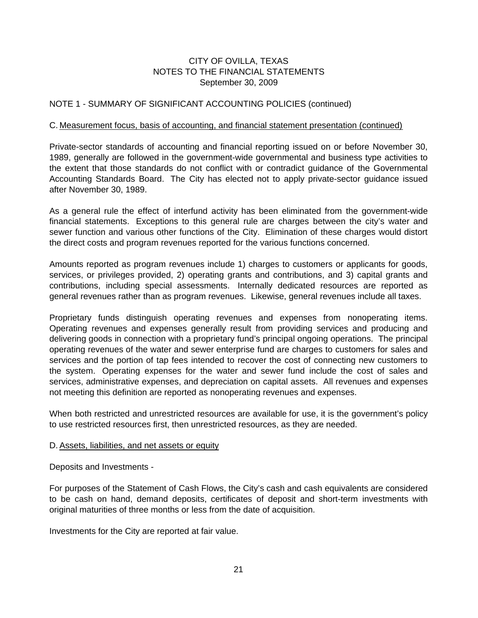#### NOTE 1 - SUMMARY OF SIGNIFICANT ACCOUNTING POLICIES (continued)

#### C. Measurement focus, basis of accounting, and financial statement presentation (continued)

Private-sector standards of accounting and financial reporting issued on or before November 30, 1989, generally are followed in the government-wide governmental and business type activities to the extent that those standards do not conflict with or contradict guidance of the Governmental Accounting Standards Board. The City has elected not to apply private-sector guidance issued after November 30, 1989.

As a general rule the effect of interfund activity has been eliminated from the government-wide financial statements. Exceptions to this general rule are charges between the city's water and sewer function and various other functions of the City. Elimination of these charges would distort the direct costs and program revenues reported for the various functions concerned.

Amounts reported as program revenues include 1) charges to customers or applicants for goods, services, or privileges provided, 2) operating grants and contributions, and 3) capital grants and contributions, including special assessments. Internally dedicated resources are reported as general revenues rather than as program revenues. Likewise, general revenues include all taxes.

Proprietary funds distinguish operating revenues and expenses from nonoperating items. Operating revenues and expenses generally result from providing services and producing and delivering goods in connection with a proprietary fund's principal ongoing operations. The principal operating revenues of the water and sewer enterprise fund are charges to customers for sales and services and the portion of tap fees intended to recover the cost of connecting new customers to the system. Operating expenses for the water and sewer fund include the cost of sales and services, administrative expenses, and depreciation on capital assets. All revenues and expenses not meeting this definition are reported as nonoperating revenues and expenses.

When both restricted and unrestricted resources are available for use, it is the government's policy to use restricted resources first, then unrestricted resources, as they are needed.

#### D. Assets, liabilities, and net assets or equity

Deposits and Investments -

For purposes of the Statement of Cash Flows, the City's cash and cash equivalents are considered to be cash on hand, demand deposits, certificates of deposit and short-term investments with original maturities of three months or less from the date of acquisition.

Investments for the City are reported at fair value.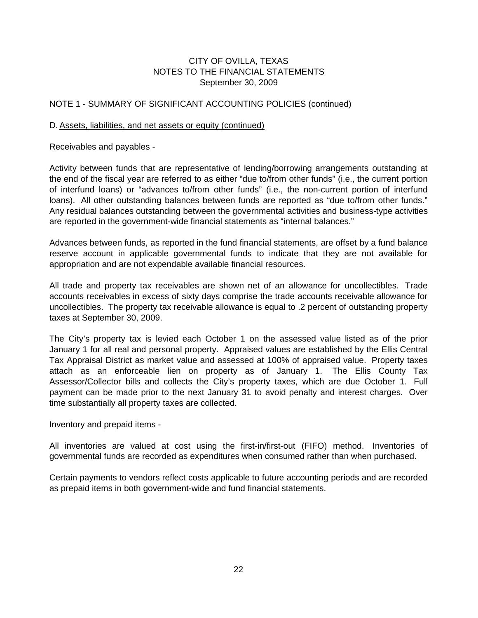#### NOTE 1 - SUMMARY OF SIGNIFICANT ACCOUNTING POLICIES (continued)

#### D. Assets, liabilities, and net assets or equity (continued)

Receivables and payables -

Activity between funds that are representative of lending/borrowing arrangements outstanding at the end of the fiscal year are referred to as either "due to/from other funds" (i.e., the current portion of interfund loans) or "advances to/from other funds" (i.e., the non-current portion of interfund loans). All other outstanding balances between funds are reported as "due to/from other funds." Any residual balances outstanding between the governmental activities and business-type activities are reported in the government-wide financial statements as "internal balances."

Advances between funds, as reported in the fund financial statements, are offset by a fund balance reserve account in applicable governmental funds to indicate that they are not available for appropriation and are not expendable available financial resources.

All trade and property tax receivables are shown net of an allowance for uncollectibles. Trade accounts receivables in excess of sixty days comprise the trade accounts receivable allowance for uncollectibles. The property tax receivable allowance is equal to .2 percent of outstanding property taxes at September 30, 2009.

The City's property tax is levied each October 1 on the assessed value listed as of the prior January 1 for all real and personal property. Appraised values are established by the Ellis Central Tax Appraisal District as market value and assessed at 100% of appraised value. Property taxes attach as an enforceable lien on property as of January 1. The Ellis County Tax Assessor/Collector bills and collects the City's property taxes, which are due October 1. Full payment can be made prior to the next January 31 to avoid penalty and interest charges. Over time substantially all property taxes are collected.

Inventory and prepaid items -

All inventories are valued at cost using the first-in/first-out (FIFO) method. Inventories of governmental funds are recorded as expenditures when consumed rather than when purchased.

Certain payments to vendors reflect costs applicable to future accounting periods and are recorded as prepaid items in both government-wide and fund financial statements.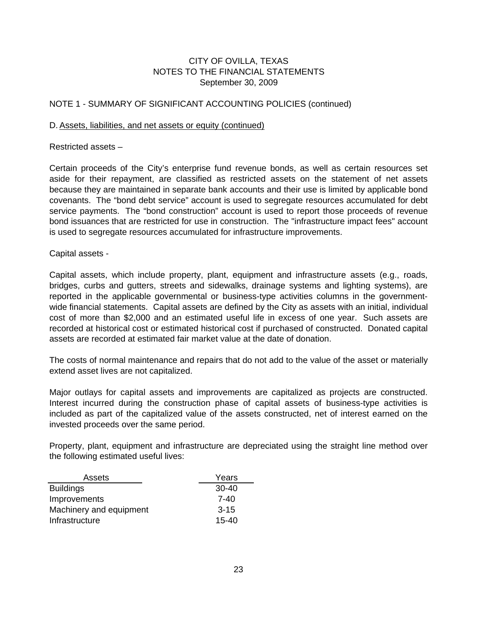#### NOTE 1 - SUMMARY OF SIGNIFICANT ACCOUNTING POLICIES (continued)

#### D. Assets, liabilities, and net assets or equity (continued)

Restricted assets –

Certain proceeds of the City's enterprise fund revenue bonds, as well as certain resources set aside for their repayment, are classified as restricted assets on the statement of net assets because they are maintained in separate bank accounts and their use is limited by applicable bond covenants. The "bond debt service" account is used to segregate resources accumulated for debt service payments. The "bond construction" account is used to report those proceeds of revenue bond issuances that are restricted for use in construction. The "infrastructure impact fees" account is used to segregate resources accumulated for infrastructure improvements.

Capital assets -

Capital assets, which include property, plant, equipment and infrastructure assets (e.g., roads, bridges, curbs and gutters, streets and sidewalks, drainage systems and lighting systems), are reported in the applicable governmental or business-type activities columns in the governmentwide financial statements. Capital assets are defined by the City as assets with an initial, individual cost of more than \$2,000 and an estimated useful life in excess of one year. Such assets are recorded at historical cost or estimated historical cost if purchased of constructed. Donated capital assets are recorded at estimated fair market value at the date of donation.

The costs of normal maintenance and repairs that do not add to the value of the asset or materially extend asset lives are not capitalized.

Major outlays for capital assets and improvements are capitalized as projects are constructed. Interest incurred during the construction phase of capital assets of business-type activities is included as part of the capitalized value of the assets constructed, net of interest earned on the invested proceeds over the same period.

Property, plant, equipment and infrastructure are depreciated using the straight line method over the following estimated useful lives:

| Assets                  | Years     |
|-------------------------|-----------|
| <b>Buildings</b>        | $30-40$   |
| Improvements            | 7-40      |
| Machinery and equipment | $3 - 15$  |
| Infrastructure          | $15 - 40$ |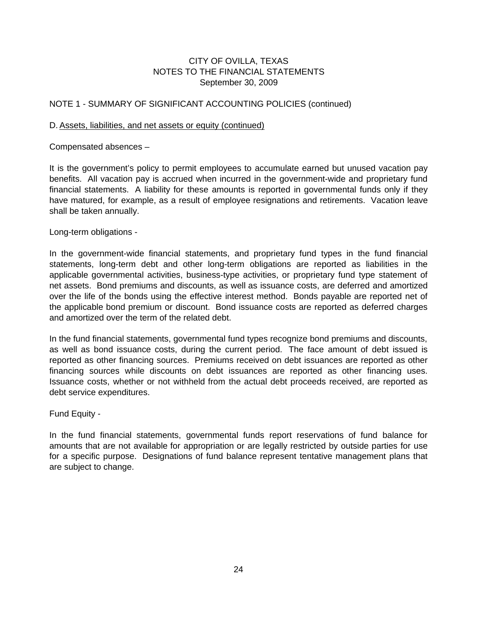#### NOTE 1 - SUMMARY OF SIGNIFICANT ACCOUNTING POLICIES (continued)

#### D. Assets, liabilities, and net assets or equity (continued)

Compensated absences –

It is the government's policy to permit employees to accumulate earned but unused vacation pay benefits. All vacation pay is accrued when incurred in the government-wide and proprietary fund financial statements. A liability for these amounts is reported in governmental funds only if they have matured, for example, as a result of employee resignations and retirements. Vacation leave shall be taken annually.

Long-term obligations -

In the government-wide financial statements, and proprietary fund types in the fund financial statements, long-term debt and other long-term obligations are reported as liabilities in the applicable governmental activities, business-type activities, or proprietary fund type statement of net assets. Bond premiums and discounts, as well as issuance costs, are deferred and amortized over the life of the bonds using the effective interest method. Bonds payable are reported net of the applicable bond premium or discount. Bond issuance costs are reported as deferred charges and amortized over the term of the related debt.

In the fund financial statements, governmental fund types recognize bond premiums and discounts, as well as bond issuance costs, during the current period. The face amount of debt issued is reported as other financing sources. Premiums received on debt issuances are reported as other financing sources while discounts on debt issuances are reported as other financing uses. Issuance costs, whether or not withheld from the actual debt proceeds received, are reported as debt service expenditures.

Fund Equity -

In the fund financial statements, governmental funds report reservations of fund balance for amounts that are not available for appropriation or are legally restricted by outside parties for use for a specific purpose. Designations of fund balance represent tentative management plans that are subject to change.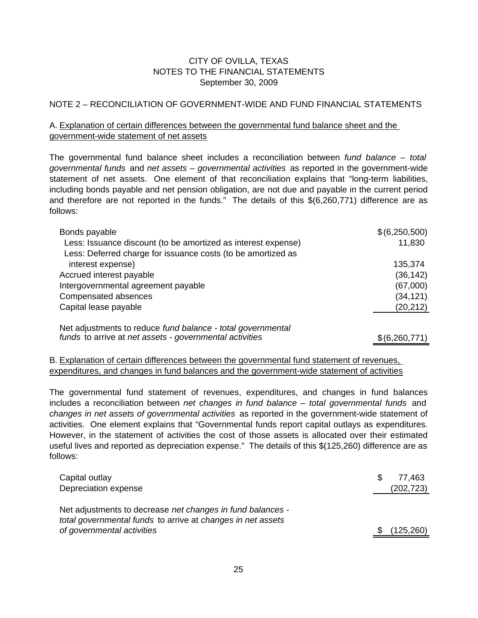#### NOTE 2 – RECONCILIATION OF GOVERNMENT-WIDE AND FUND FINANCIAL STATEMENTS

### A. Explanation of certain differences between the governmental fund balance sheet and the government-wide statement of net assets

The governmental fund balance sheet includes a reconciliation between *fund balance – total governmental funds* and *net assets – governmental activities* as reported in the government-wide statement of net assets. One element of that reconciliation explains that "long-term liabilities, including bonds payable and net pension obligation, are not due and payable in the current period and therefore are not reported in the funds." The details of this \$(6,260,771) difference are as follows:

| Bonds payable                                                                                                          | \$(6,250,500) |
|------------------------------------------------------------------------------------------------------------------------|---------------|
| Less: Issuance discount (to be amortized as interest expense)                                                          | 11,830        |
| Less: Deferred charge for issuance costs (to be amortized as                                                           |               |
| interest expense)                                                                                                      | 135,374       |
| Accrued interest payable                                                                                               | (36, 142)     |
| Intergovernmental agreement payable                                                                                    | (67,000)      |
| Compensated absences                                                                                                   | (34, 121)     |
| Capital lease payable                                                                                                  | (20, 212)     |
| Net adjustments to reduce fund balance - total governmental<br>funds to arrive at net assets - governmental activities | \$(6,260,771) |

#### B. Explanation of certain differences between the governmental fund statement of revenues, expenditures, and changes in fund balances and the government-wide statement of activities

The governmental fund statement of revenues, expenditures, and changes in fund balances includes a reconciliation between *net changes in fund balance – total governmental funds* and *changes in net assets of governmental activities* as reported in the government-wide statement of activities. One element explains that "Governmental funds report capital outlays as expenditures. However, in the statement of activities the cost of those assets is allocated over their estimated useful lives and reported as depreciation expense." The details of this \$(125,260) difference are as follows:

| Capital outlay<br>Depreciation expense                                                                                                                  | \$. | 77.463<br>(202, 723) |
|---------------------------------------------------------------------------------------------------------------------------------------------------------|-----|----------------------|
| Net adjustments to decrease net changes in fund balances -<br>total governmental funds to arrive at changes in net assets<br>of governmental activities |     | (125, 260)           |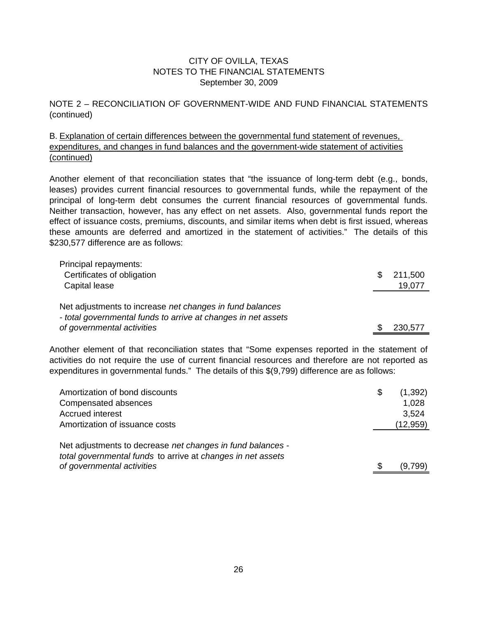NOTE 2 – RECONCILIATION OF GOVERNMENT-WIDE AND FUND FINANCIAL STATEMENTS (continued)

B. Explanation of certain differences between the governmental fund statement of revenues, (continued) expenditures, and changes in fund balances and the government-wide statement of activities

Another element of that reconciliation states that "the issuance of long-term debt (e.g., bonds, leases) provides current financial resources to governmental funds, while the repayment of the principal of long-term debt consumes the current financial resources of governmental funds. Neither transaction, however, has any effect on net assets. Also, governmental funds report the effect of issuance costs, premiums, discounts, and similar items when debt is first issued, whereas these amounts are deferred and amortized in the statement of activities." The details of this \$230,577 difference are as follows:

| Principal repayments:                                         |               |
|---------------------------------------------------------------|---------------|
| Certificates of obligation                                    | \$<br>211,500 |
| Capital lease                                                 | 19,077        |
|                                                               |               |
| Net adjustments to increase net changes in fund balances      |               |
| - total governmental funds to arrive at changes in net assets |               |
| of governmental activities                                    | 230,577       |

Another element of that reconciliation states that "Some expenses reported in the statement of activities do not require the use of current financial resources and therefore are not reported as expenditures in governmental funds." The details of this \$(9,799) difference are as follows:

| Amortization of bond discounts                                                            | (1,392)   |
|-------------------------------------------------------------------------------------------|-----------|
| Compensated absences                                                                      | 1,028     |
| <b>Accrued interest</b>                                                                   | 3,524     |
| Amortization of issuance costs                                                            | (12, 959) |
|                                                                                           |           |
|                                                                                           |           |
| Net adjustments to decrease net changes in fund balances -                                |           |
| total governmental funds to arrive at changes in net assets<br>of governmental activities |           |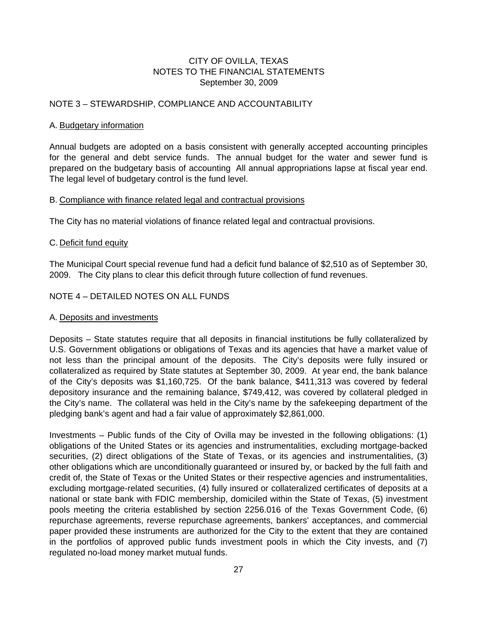#### NOTE 3 – STEWARDSHIP, COMPLIANCE AND ACCOUNTABILITY

#### A. Budgetary information

Annual budgets are adopted on a basis consistent with generally accepted accounting principles for the general and debt service funds. The annual budget for the water and sewer fund is prepared on the budgetary basis of accounting All annual appropriations lapse at fiscal year end. The legal level of budgetary control is the fund level.

#### B. Compliance with finance related legal and contractual provisions

The City has no material violations of finance related legal and contractual provisions.

#### C. Deficit fund equity

The Municipal Court special revenue fund had a deficit fund balance of \$2,510 as of September 30, 2009. The City plans to clear this deficit through future collection of fund revenues.

#### NOTE 4 – DETAILED NOTES ON ALL FUNDS

#### A. Deposits and investments

Deposits – State statutes require that all deposits in financial institutions be fully collateralized by U.S. Government obligations or obligations of Texas and its agencies that have a market value of not less than the principal amount of the deposits. The City's deposits were fully insured or collateralized as required by State statutes at September 30, 2009. At year end, the bank balance of the City's deposits was \$1,160,725. Of the bank balance, \$411,313 was covered by federal depository insurance and the remaining balance, \$749,412, was covered by collateral pledged in the City's name. The collateral was held in the City's name by the safekeeping department of the pledging bank's agent and had a fair value of approximately \$2,861,000.

Investments – Public funds of the City of Ovilla may be invested in the following obligations: (1) obligations of the United States or its agencies and instrumentalities, excluding mortgage-backed securities, (2) direct obligations of the State of Texas, or its agencies and instrumentalities, (3) other obligations which are unconditionally guaranteed or insured by, or backed by the full faith and credit of, the State of Texas or the United States or their respective agencies and instrumentalities, excluding mortgage-related securities, (4) fully insured or collateralized certificates of deposits at a national or state bank with FDIC membership, domiciled within the State of Texas, (5) investment pools meeting the criteria established by section 2256.016 of the Texas Government Code, (6) repurchase agreements, reverse repurchase agreements, bankers' acceptances, and commercial paper provided these instruments are authorized for the City to the extent that they are contained in the portfolios of approved public funds investment pools in which the City invests, and (7) regulated no-load money market mutual funds.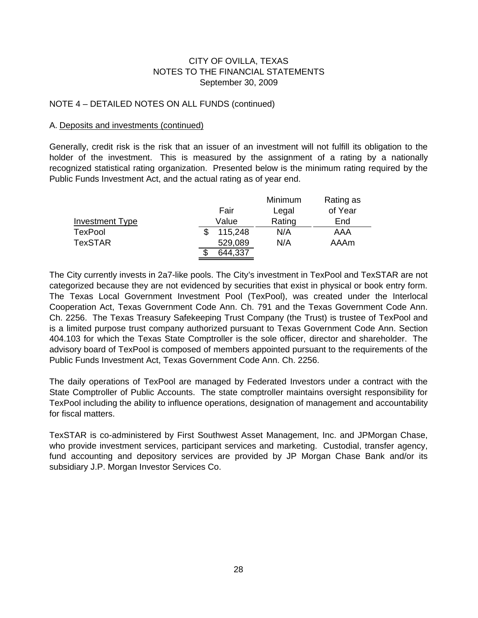#### NOTE 4 – DETAILED NOTES ON ALL FUNDS (continued)

#### A. Deposits and investments (continued)

Generally, credit risk is the risk that an issuer of an investment will not fulfill its obligation to the holder of the investment. This is measured by the assignment of a rating by a nationally recognized statistical rating organization. Presented below is the minimum rating required by the Public Funds Investment Act, and the actual rating as of year end.

|                        |         | Minimum | Rating as |
|------------------------|---------|---------|-----------|
|                        | Fair    | Legal   | of Year   |
| <b>Investment Type</b> | Value   | Rating  | End       |
| <b>TexPool</b>         | 115,248 | N/A     | AAA       |
| <b>TexSTAR</b>         | 529,089 | N/A     | AAAm      |
|                        | 644,337 |         |           |

The City currently invests in 2a7-like pools. The City's investment in TexPool and TexSTAR are not categorized because they are not evidenced by securities that exist in physical or book entry form. The Texas Local Government Investment Pool (TexPool), was created under the Interlocal Cooperation Act, Texas Government Code Ann. Ch. 791 and the Texas Government Code Ann. Ch. 2256. The Texas Treasury Safekeeping Trust Company (the Trust) is trustee of TexPool and is a limited purpose trust company authorized pursuant to Texas Government Code Ann. Section 404.103 for which the Texas State Comptroller is the sole officer, director and shareholder. The advisory board of TexPool is composed of members appointed pursuant to the requirements of the Public Funds Investment Act, Texas Government Code Ann. Ch. 2256.

The daily operations of TexPool are managed by Federated Investors under a contract with the State Comptroller of Public Accounts. The state comptroller maintains oversight responsibility for TexPool including the ability to influence operations, designation of management and accountability for fiscal matters.

TexSTAR is co-administered by First Southwest Asset Management, Inc. and JPMorgan Chase, who provide investment services, participant services and marketing. Custodial, transfer agency, fund accounting and depository services are provided by JP Morgan Chase Bank and/or its subsidiary J.P. Morgan Investor Services Co.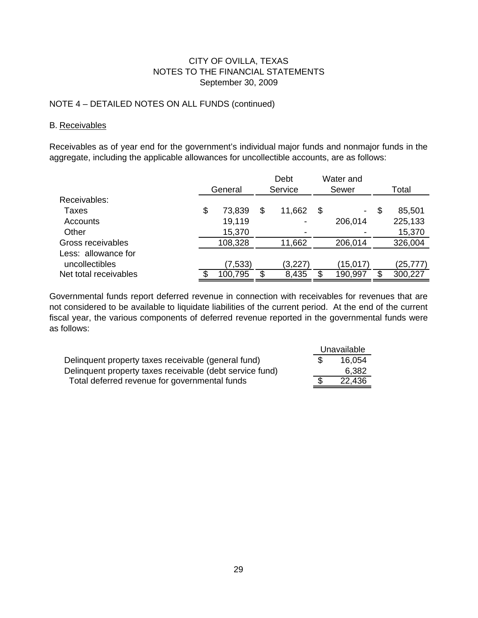#### NOTE 4 – DETAILED NOTES ON ALL FUNDS (continued)

#### B. Receivables

Receivables as of year end for the government's individual major funds and nonmajor funds in the aggregate, including the applicable allowances for uncollectible accounts, are as follows:

|                       |              | Debt         | Water and    |   |          |
|-----------------------|--------------|--------------|--------------|---|----------|
|                       | General      | Service      | Sewer        |   | Total    |
| Receivables:          |              |              |              |   |          |
| Taxes                 | \$<br>73,839 | \$<br>11,662 | \$<br>$\sim$ | S | 85,501   |
| Accounts              | 19,119       |              | 206,014      |   | 225,133  |
| Other                 | 15,370       |              |              |   | 15,370   |
| Gross receivables     | 108,328      | 11,662       | 206,014      |   | 326,004  |
| Less: allowance for   |              |              |              |   |          |
| uncollectibles        | (7,533)      | (3,227)      | (15,017)     |   | (25,777) |
| Net total receivables | 100,795      | 8,435        | 190,997      | œ | 300,227  |

Governmental funds report deferred revenue in connection with receivables for revenues that are not considered to be available to liquidate liabilities of the current period. At the end of the current fiscal year, the various components of deferred revenue reported in the governmental funds were as follows:

|                                                          | Unavailable |
|----------------------------------------------------------|-------------|
| Delinquent property taxes receivable (general fund)      | 16.054      |
| Delinquent property taxes receivable (debt service fund) | 6.382       |
| Total deferred revenue for governmental funds            | 22.436      |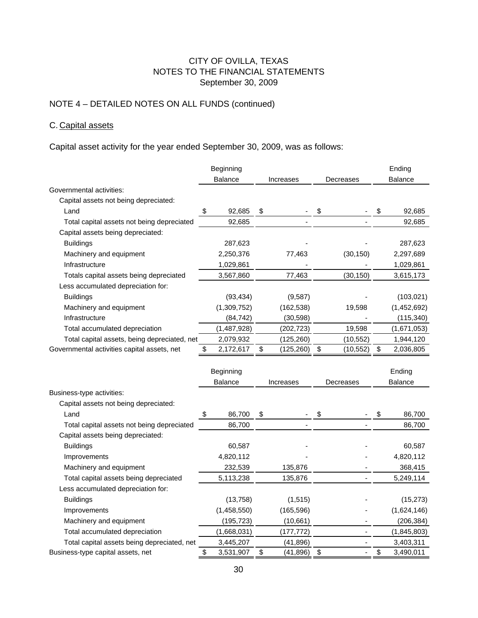# NOTE 4 – DETAILED NOTES ON ALL FUNDS (continued)

## C. Capital assets

Capital asset activity for the year ended September 30, 2009, was as follows:

|                                              | Beginning                   |                |    |            |    |                |                | Ending         |
|----------------------------------------------|-----------------------------|----------------|----|------------|----|----------------|----------------|----------------|
|                                              | <b>Balance</b><br>Increases |                |    | Decreases  |    |                | <b>Balance</b> |                |
| Governmental activities:                     |                             |                |    |            |    |                |                |                |
| Capital assets not being depreciated:        |                             |                |    |            |    |                |                |                |
| Land                                         | \$                          | 92,685         | \$ |            | \$ |                | \$             | 92,685         |
| Total capital assets not being depreciated   |                             | 92,685         |    |            |    |                |                | 92,685         |
| Capital assets being depreciated:            |                             |                |    |            |    |                |                |                |
| <b>Buildings</b>                             |                             | 287,623        |    |            |    |                |                | 287,623        |
| Machinery and equipment                      |                             | 2,250,376      |    | 77,463     |    | (30, 150)      |                | 2,297,689      |
| Infrastructure                               |                             | 1,029,861      |    |            |    |                |                | 1,029,861      |
| Totals capital assets being depreciated      |                             | 3,567,860      |    | 77,463     |    | (30, 150)      |                | 3,615,173      |
| Less accumulated depreciation for:           |                             |                |    |            |    |                |                |                |
| <b>Buildings</b>                             |                             | (93, 434)      |    | (9,587)    |    |                |                | (103, 021)     |
| Machinery and equipment                      |                             | (1,309,752)    |    | (162, 538) |    | 19,598         |                | (1,452,692)    |
| Infrastructure                               |                             | (84, 742)      |    | (30, 598)  |    |                |                | (115, 340)     |
| Total accumulated depreciation               |                             | (1,487,928)    |    | (202, 723) |    | 19,598         |                | (1,671,053)    |
| Total capital assets, being depreciated, net |                             | 2,079,932      |    | (125, 260) |    | (10, 552)      |                | 1,944,120      |
| Governmental activities capital assets, net  | \$                          | 2,172,617      | \$ | (125, 260) | \$ | (10, 552)      | \$             | 2,036,805      |
|                                              |                             |                |    |            |    |                |                |                |
|                                              |                             | Beginning      |    |            |    |                |                | Ending         |
|                                              |                             | <b>Balance</b> |    | Increases  |    | Decreases      |                | <b>Balance</b> |
| Business-type activities:                    |                             |                |    |            |    |                |                |                |
| Capital assets not being depreciated:        |                             |                |    |            |    |                |                |                |
| Land                                         | \$                          | 86,700         | \$ |            | \$ |                | \$             | 86,700         |
| Total capital assets not being depreciated   |                             | 86,700         |    |            |    |                |                | 86,700         |
| Capital assets being depreciated:            |                             |                |    |            |    |                |                |                |
| <b>Buildings</b>                             |                             | 60,587         |    |            |    |                |                | 60,587         |
| Improvements                                 |                             | 4,820,112      |    |            |    |                |                | 4,820,112      |
| Machinery and equipment                      |                             | 232,539        |    | 135,876    |    |                |                | 368,415        |
| Total capital assets being depreciated       |                             | 5,113,238      |    | 135,876    |    |                |                | 5,249,114      |
| Less accumulated depreciation for:           |                             |                |    |            |    |                |                |                |
| <b>Buildings</b>                             |                             | (13, 758)      |    | (1, 515)   |    |                |                | (15, 273)      |
| Improvements                                 |                             | (1,458,550)    |    | (165, 596) |    |                |                | (1,624,146)    |
| Machinery and equipment                      |                             | (195, 723)     |    | (10, 661)  |    |                |                | (206, 384)     |
| Total accumulated depreciation               |                             | (1,668,031)    |    | (177, 772) |    | $\overline{a}$ |                | (1,845,803)    |
| Total capital assets being depreciated, net  |                             | 3,445,207      |    | (41, 896)  |    | $\frac{1}{2}$  |                | 3,403,311      |
| Business-type capital assets, net            | \$                          | 3,531,907      | \$ | (41, 896)  | \$ | $\frac{1}{2}$  | \$             | 3,490,011      |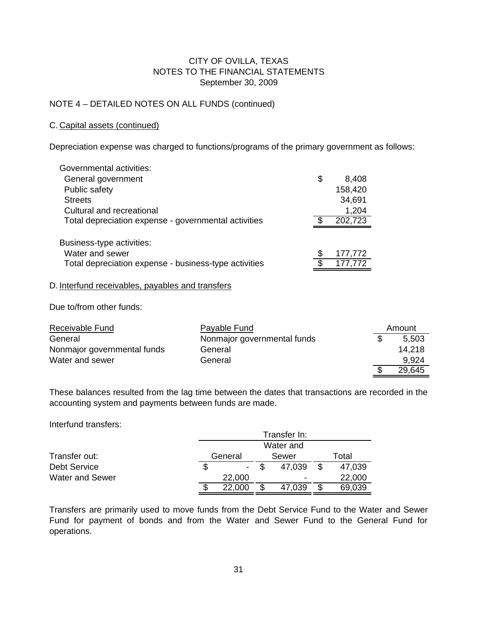#### NOTE 4 – DETAILED NOTES ON ALL FUNDS (continued)

#### C. Capital assets (continued)

Depreciation expense was charged to functions/programs of the primary government as follows:

| Governmental activities:                              |               |
|-------------------------------------------------------|---------------|
| General government                                    | \$<br>8,408   |
| Public safety                                         | 158,420       |
| <b>Streets</b>                                        | 34,691        |
| Cultural and recreational                             | 1,204         |
| Total depreciation expense - governmental activities  | 202,723       |
| Business-type activities:                             |               |
| Water and sewer                                       | \$<br>177,772 |
| Total depreciation expense - business-type activities | \$<br>177,772 |

#### D. Interfund receivables, payables and transfers

Due to/from other funds:

| Receivable Fund             | Payable Fund                | Amount |
|-----------------------------|-----------------------------|--------|
| General                     | Nonmajor governmental funds | 5.503  |
| Nonmajor governmental funds | General                     | 14.218 |
| Water and sewer             | General                     | 9,924  |
|                             |                             | 29.645 |

These balances resulted from the lag time between the dates that transactions are recorded in the accounting system and payments between funds are made.

Interfund transfers:

|                        |    | Transfer In: |  |        |       |        |  |  |  |  |  |
|------------------------|----|--------------|--|--------|-------|--------|--|--|--|--|--|
|                        |    | Water and    |  |        |       |        |  |  |  |  |  |
| Transfer out:          |    | General      |  | Sewer  | Total |        |  |  |  |  |  |
| <b>Debt Service</b>    | \$ |              |  | 47,039 |       | 47,039 |  |  |  |  |  |
| <b>Water and Sewer</b> |    | 22,000       |  | ۰      |       | 22,000 |  |  |  |  |  |
|                        | S  | 22,000       |  | 47,039 |       | 69,039 |  |  |  |  |  |

Transfers are primarily used to move funds from the Debt Service Fund to the Water and Sewer Fund for payment of bonds and from the Water and Sewer Fund to the General Fund for operations.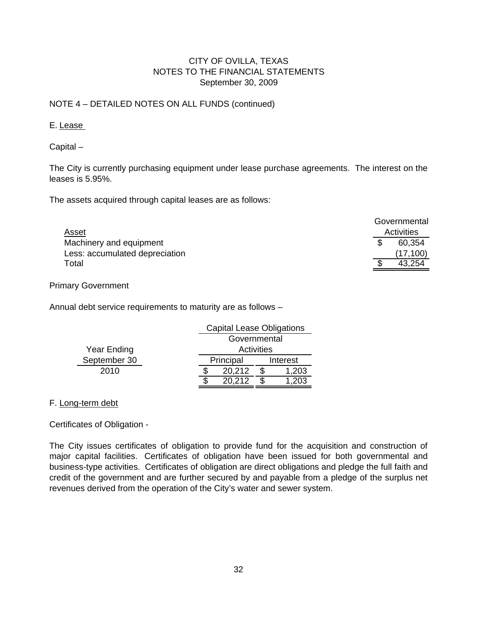#### NOTE 4 – DETAILED NOTES ON ALL FUNDS (continued)

#### E. Lease

Capital –

The City is currently purchasing equipment under lease purchase agreements. The interest on the leases is 5.95%.

The assets acquired through capital leases are as follows:

|                                | Governmental |
|--------------------------------|--------------|
| Asset                          | Activities   |
| Machinery and equipment        | 60.354       |
| Less: accumulated depreciation | (17, 100)    |
| Total                          | 43,254       |

Primary Government

Annual debt service requirements to maturity are as follows –

|              | <b>Capital Lease Obligations</b> |          |       |  |  |  |
|--------------|----------------------------------|----------|-------|--|--|--|
|              | Governmental                     |          |       |  |  |  |
| Year Ending  | Activities                       |          |       |  |  |  |
| September 30 | Principal                        | Interest |       |  |  |  |
| 2010         | 20,212                           |          | 1,203 |  |  |  |
|              | 20.212                           |          |       |  |  |  |

#### F. Long-term debt

Certificates of Obligation -

The City issues certificates of obligation to provide fund for the acquisition and construction of major capital facilities. Certificates of obligation have been issued for both governmental and business-type activities. Certificates of obligation are direct obligations and pledge the full faith and credit of the government and are further secured by and payable from a pledge of the surplus net revenues derived from the operation of the City's water and sewer system.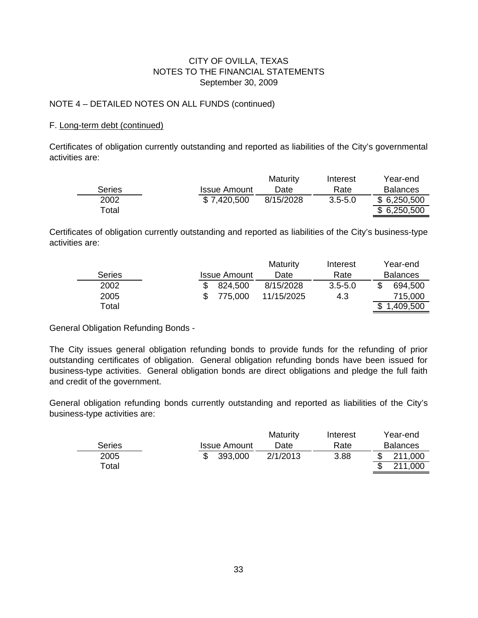#### NOTE 4 – DETAILED NOTES ON ALL FUNDS (continued)

#### F. Long-term debt (continued)

Certificates of obligation currently outstanding and reported as liabilities of the City's governmental activities are:

|               |                     | <b>Maturity</b> | Interest    | Year-end        |
|---------------|---------------------|-----------------|-------------|-----------------|
| <b>Series</b> | <b>Issue Amount</b> | Date            | Rate        | <b>Balances</b> |
| 2002          | \$7,420,500         | 8/15/2028       | $3.5 - 5.0$ | \$6,250,500     |
| Total         |                     |                 |             | \$6,250,500     |

Certificates of obligation currently outstanding and reported as liabilities of the City's business-type activities are:

|               |                     | Maturity   | Interest    | Year-end        |
|---------------|---------------------|------------|-------------|-----------------|
| <b>Series</b> | <b>Issue Amount</b> | Date       | Rate        | <b>Balances</b> |
| 2002          | 824.500             | 8/15/2028  | $3.5 - 5.0$ | 694,500         |
| 2005          | 775,000             | 11/15/2025 | 4.3         | 715,000         |
| Total         |                     |            |             | 1,409,500       |

General Obligation Refunding Bonds -

The City issues general obligation refunding bonds to provide funds for the refunding of prior outstanding certificates of obligation. General obligation refunding bonds have been issued for business-type activities. General obligation bonds are direct obligations and pledge the full faith and credit of the government.

General obligation refunding bonds currently outstanding and reported as liabilities of the City's business-type activities are:

|               |                     | <b>Maturity</b> | Interest | Year-end        |
|---------------|---------------------|-----------------|----------|-----------------|
| <b>Series</b> | <b>Issue Amount</b> | Date            | Rate     | <b>Balances</b> |
| 2005          | 393.000             | 2/1/2013        | 3.88     | 211,000         |
| Total         |                     |                 |          | 211,000         |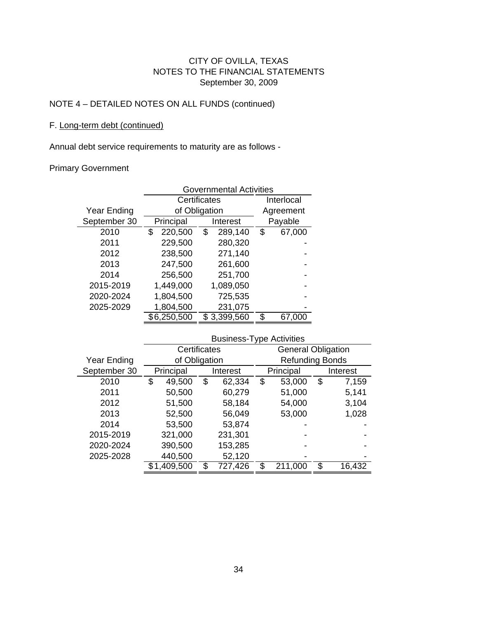# NOTE 4 – DETAILED NOTES ON ALL FUNDS (continued)

#### F. Long-term debt (continued)

Annual debt service requirements to maturity are as follows -

#### Primary Government

|              | <b>Governmental Activities</b> |               |              |  |  |  |  |  |  |
|--------------|--------------------------------|---------------|--------------|--|--|--|--|--|--|
|              |                                | Certificates  | Interlocal   |  |  |  |  |  |  |
| Year Ending  |                                | of Obligation | Agreement    |  |  |  |  |  |  |
| September 30 | Principal                      | Interest      | Payable      |  |  |  |  |  |  |
| 2010         | 220,500<br>\$                  | \$<br>289,140 | \$<br>67,000 |  |  |  |  |  |  |
| 2011         | 229,500                        | 280,320       |              |  |  |  |  |  |  |
| 2012         | 238,500                        | 271,140       |              |  |  |  |  |  |  |
| 2013         | 247,500                        | 261,600       |              |  |  |  |  |  |  |
| 2014         | 256,500                        | 251,700       |              |  |  |  |  |  |  |
| 2015-2019    | 1,449,000                      | 1,089,050     |              |  |  |  |  |  |  |
| 2020-2024    | 1,804,500                      | 725,535       |              |  |  |  |  |  |  |
| 2025-2029    | 1,804,500                      | 231,075       |              |  |  |  |  |  |  |
|              | \$6,250,500<br>\$3,399,560     |               | \$<br>67,000 |  |  |  |  |  |  |
|              | Rusingss-Tyng Activities       |               |              |  |  |  |  |  |  |

|              | <b>DUSTILESS-TANC ACTIVITIES</b> |               |          |         |           |                           |    |        |  |          |
|--------------|----------------------------------|---------------|----------|---------|-----------|---------------------------|----|--------|--|----------|
|              |                                  | Certificates  |          |         |           | <b>General Obligation</b> |    |        |  |          |
| Year Ending  |                                  | of Obligation |          |         |           | <b>Refunding Bonds</b>    |    |        |  |          |
| September 30 |                                  | Principal     | Interest |         | Principal |                           |    |        |  | Interest |
| 2010         | \$                               | 49,500        | \$       | 62,334  | \$        | 53,000                    | \$ | 7,159  |  |          |
| 2011         |                                  | 50,500        |          | 60,279  |           | 51,000                    |    | 5,141  |  |          |
| 2012         |                                  | 51,500        |          | 58,184  |           | 54,000                    |    | 3,104  |  |          |
| 2013         |                                  | 52,500        |          | 56,049  |           | 53,000                    |    | 1,028  |  |          |
| 2014         |                                  | 53,500        |          | 53,874  |           |                           |    |        |  |          |
| 2015-2019    |                                  | 321,000       |          | 231,301 |           |                           |    |        |  |          |
| 2020-2024    |                                  | 390,500       |          | 153,285 |           |                           |    |        |  |          |
| 2025-2028    |                                  | 440,500       |          | 52,120  |           |                           |    |        |  |          |
|              |                                  | \$1,409,500   |          | 727,426 |           | 211,000                   | \$ | 16,432 |  |          |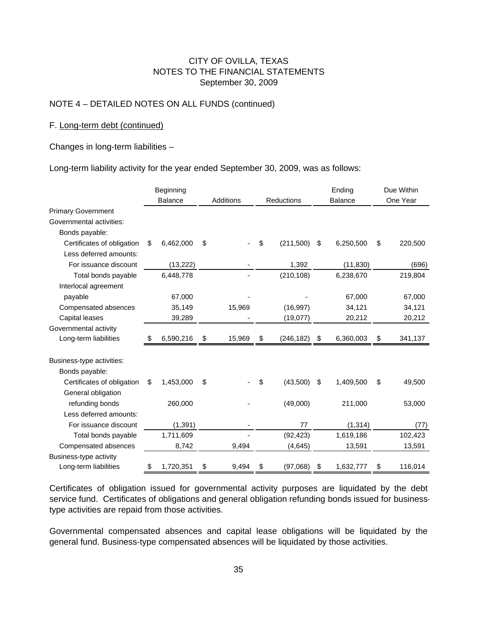#### NOTE 4 – DETAILED NOTES ON ALL FUNDS (continued)

#### F. Long-term debt (continued)

Changes in long-term liabilities –

Long-term liability activity for the year ended September 30, 2009, was as follows:

|                            | Beginning |                |           |        | Ending     | Due Within |                |           |          |         |
|----------------------------|-----------|----------------|-----------|--------|------------|------------|----------------|-----------|----------|---------|
|                            |           | <b>Balance</b> | Additions |        | Reductions |            | <b>Balance</b> |           | One Year |         |
| <b>Primary Government</b>  |           |                |           |        |            |            |                |           |          |         |
| Governmental activities:   |           |                |           |        |            |            |                |           |          |         |
| Bonds payable:             |           |                |           |        |            |            |                |           |          |         |
| Certificates of obligation | \$        | 6,462,000      | \$        |        | \$         | (211,500)  | \$             | 6,250,500 | \$       | 220,500 |
| Less deferred amounts:     |           |                |           |        |            |            |                |           |          |         |
| For issuance discount      |           | (13, 222)      |           |        |            | 1,392      |                | (11, 830) |          | (696)   |
| Total bonds payable        |           | 6,448,778      |           |        |            | (210, 108) |                | 6,238,670 |          | 219,804 |
| Interlocal agreement       |           |                |           |        |            |            |                |           |          |         |
| payable                    |           | 67,000         |           |        |            |            |                | 67,000    |          | 67,000  |
| Compensated absences       |           | 35,149         |           | 15,969 |            | (16, 997)  |                | 34,121    |          | 34,121  |
| Capital leases             |           | 39,289         |           |        |            | (19,077)   |                | 20,212    |          | 20,212  |
| Governmental activity      |           |                |           |        |            |            |                |           |          |         |
| Long-term liabilities      |           | 6,590,216      | \$        | 15,969 | \$         | (246, 182) | - \$           | 6,360,003 | S        | 341,137 |
|                            |           |                |           |        |            |            |                |           |          |         |
| Business-type activities:  |           |                |           |        |            |            |                |           |          |         |
| Bonds payable:             |           |                |           |        |            |            |                |           |          |         |
| Certificates of obligation | \$        | 1,453,000      | \$        |        | \$         | (43,500)   | \$             | 1,409,500 | \$       | 49,500  |
| General obligation         |           |                |           |        |            |            |                |           |          |         |
| refunding bonds            |           | 260,000        |           |        |            | (49,000)   |                | 211,000   |          | 53,000  |
| Less deferred amounts:     |           |                |           |        |            |            |                |           |          |         |
| For issuance discount      |           | (1, 391)       |           |        |            | 77         |                | (1, 314)  |          | (77)    |
| Total bonds payable        |           | 1,711,609      |           |        |            | (92, 423)  |                | 1,619,186 |          | 102,423 |
| Compensated absences       |           | 8,742          |           | 9,494  |            | (4, 645)   |                | 13,591    |          | 13,591  |
| Business-type activity     |           |                |           |        |            |            |                |           |          |         |
| Long-term liabilities      | \$        | 1,720,351      | \$        | 9,494  | \$         | (97,068)   | \$             | 1,632,777 | \$       | 116,014 |

Certificates of obligation issued for governmental activity purposes are liquidated by the debt service fund. Certificates of obligations and general obligation refunding bonds issued for businesstype activities are repaid from those activities.

Governmental compensated absences and capital lease obligations will be liquidated by the general fund. Business-type compensated absences will be liquidated by those activities.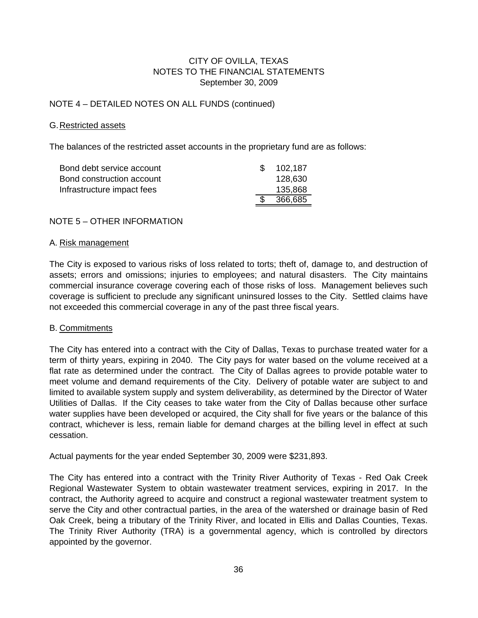#### NOTE 4 – DETAILED NOTES ON ALL FUNDS (continued)

#### G.Restricted assets

The balances of the restricted asset accounts in the proprietary fund are as follows:

| Bond debt service account  | 102,187 |
|----------------------------|---------|
| Bond construction account  | 128,630 |
| Infrastructure impact fees | 135,868 |
|                            | 366,685 |

#### NOTE 5 – OTHER INFORMATION

#### A. Risk management

The City is exposed to various risks of loss related to torts; theft of, damage to, and destruction of assets; errors and omissions; injuries to employees; and natural disasters. The City maintains commercial insurance coverage covering each of those risks of loss. Management believes such coverage is sufficient to preclude any significant uninsured losses to the City. Settled claims have not exceeded this commercial coverage in any of the past three fiscal years.

#### B. Commitments

The City has entered into a contract with the City of Dallas, Texas to purchase treated water for a term of thirty years, expiring in 2040. The City pays for water based on the volume received at a flat rate as determined under the contract. The City of Dallas agrees to provide potable water to meet volume and demand requirements of the City. Delivery of potable water are subject to and limited to available system supply and system deliverability, as determined by the Director of Water Utilities of Dallas. If the City ceases to take water from the City of Dallas because other surface water supplies have been developed or acquired, the City shall for five years or the balance of this contract, whichever is less, remain liable for demand charges at the billing level in effect at such cessation.

Actual payments for the year ended September 30, 2009 were \$231,893.

The City has entered into a contract with the Trinity River Authority of Texas - Red Oak Creek Regional Wastewater System to obtain wastewater treatment services, expiring in 2017. In the contract, the Authority agreed to acquire and construct a regional wastewater treatment system to serve the City and other contractual parties, in the area of the watershed or drainage basin of Red Oak Creek, being a tributary of the Trinity River, and located in Ellis and Dallas Counties, Texas. The Trinity River Authority (TRA) is a governmental agency, which is controlled by directors appointed by the governor.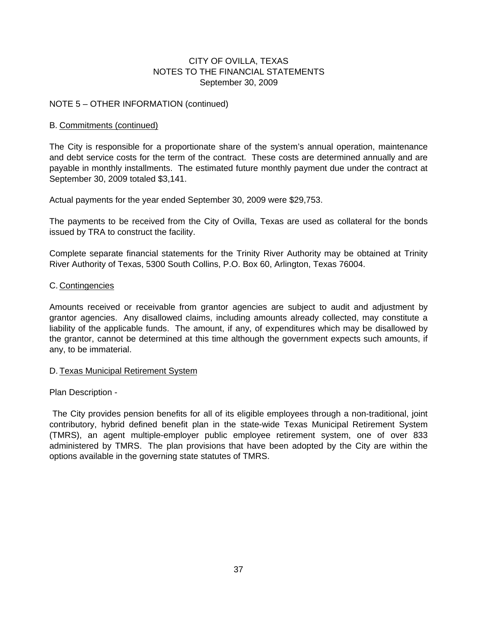#### NOTE 5 – OTHER INFORMATION (continued)

#### B. Commitments (continued)

The City is responsible for a proportionate share of the system's annual operation, maintenance and debt service costs for the term of the contract. These costs are determined annually and are payable in monthly installments. The estimated future monthly payment due under the contract at September 30, 2009 totaled \$3,141.

Actual payments for the year ended September 30, 2009 were \$29,753.

The payments to be received from the City of Ovilla, Texas are used as collateral for the bonds issued by TRA to construct the facility.

Complete separate financial statements for the Trinity River Authority may be obtained at Trinity River Authority of Texas, 5300 South Collins, P.O. Box 60, Arlington, Texas 76004.

#### C. Contingencies

Amounts received or receivable from grantor agencies are subject to audit and adjustment by grantor agencies. Any disallowed claims, including amounts already collected, may constitute a liability of the applicable funds. The amount, if any, of expenditures which may be disallowed by the grantor, cannot be determined at this time although the government expects such amounts, if any, to be immaterial.

#### D. Texas Municipal Retirement System

Plan Description -

The City provides pension benefits for all of its eligible employees through a non-traditional, joint contributory, hybrid defined benefit plan in the state-wide Texas Municipal Retirement System (TMRS), an agent multiple-employer public employee retirement system, one of over 833 administered by TMRS. The plan provisions that have been adopted by the City are within the options available in the governing state statutes of TMRS.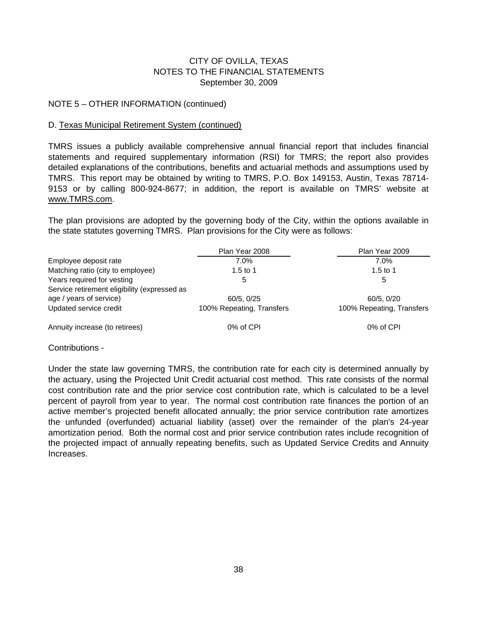#### NOTE 5 – OTHER INFORMATION (continued)

#### D. Texas Municipal Retirement System (continued)

TMRS issues a publicly available comprehensive annual financial report that includes financial statements and required supplementary information (RSI) for TMRS; the report also provides detailed explanations of the contributions, benefits and actuarial methods and assumptions used by TMRS. This report may be obtained by writing to TMRS, P.O. Box 149153, Austin, Texas 78714- 9153 or by calling 800-924-8677; in addition, the report is available on TMRS' website at www.TMRS.com.

The plan provisions are adopted by the governing body of the City, within the options available in the state statutes governing TMRS. Plan provisions for the City were as follows:

|                                              | Plan Year 2008            | Plan Year 2009            |
|----------------------------------------------|---------------------------|---------------------------|
| Employee deposit rate                        | $7.0\%$                   | $7.0\%$                   |
| Matching ratio (city to employee)            | 1.5 to 1                  | 1.5 to 1                  |
| Years required for vesting                   | 5                         | 5                         |
| Service retirement eligibility (expressed as |                           |                           |
| age / years of service)                      | 60/5, 0/25                | 60/5.0/20                 |
| Updated service credit                       | 100% Repeating, Transfers | 100% Repeating, Transfers |
| Annuity increase (to retirees)               | 0% of CPI                 | 0% of CPI                 |

Contributions -

Under the state law governing TMRS, the contribution rate for each city is determined annually by the actuary, using the Projected Unit Credit actuarial cost method. This rate consists of the normal cost contribution rate and the prior service cost contribution rate, which is calculated to be a level percent of payroll from year to year. The normal cost contribution rate finances the portion of an active member's projected benefit allocated annually; the prior service contribution rate amortizes the unfunded (overfunded) actuarial liability (asset) over the remainder of the plan's 24-year amortization period. Both the normal cost and prior service contribution rates include recognition of the projected impact of annually repeating benefits, such as Updated Service Credits and Annuity Increases.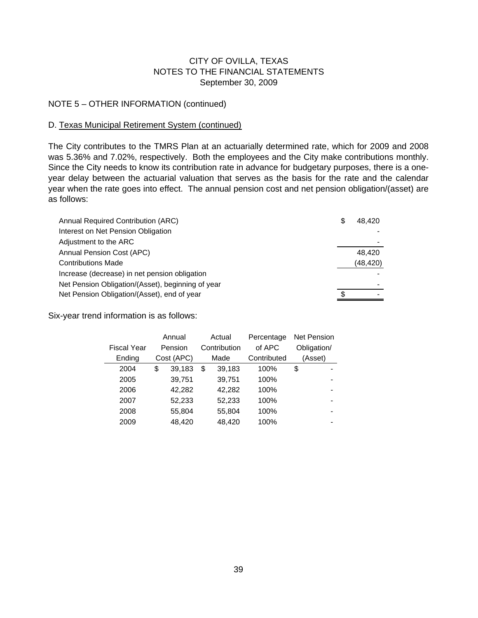#### NOTE 5 – OTHER INFORMATION (continued)

#### D. Texas Municipal Retirement System (continued)

The City contributes to the TMRS Plan at an actuarially determined rate, which for 2009 and 2008 was 5.36% and 7.02%, respectively. Both the employees and the City make contributions monthly. Since the City needs to know its contribution rate in advance for budgetary purposes, there is a oneyear delay between the actuarial valuation that serves as the basis for the rate and the calendar year when the rate goes into effect. The annual pension cost and net pension obligation/(asset) are as follows:

| Annual Required Contribution (ARC)                | S | 48.420    |
|---------------------------------------------------|---|-----------|
| Interest on Net Pension Obligation                |   |           |
| Adjustment to the ARC                             |   |           |
| Annual Pension Cost (APC)                         |   | 48.420    |
| <b>Contributions Made</b>                         |   | (48, 420) |
| Increase (decrease) in net pension obligation     |   |           |
| Net Pension Obligation/(Asset), beginning of year |   |           |
| Net Pension Obligation/(Asset), end of year       |   |           |

Six-year trend information is as follows:

|             | Annual       | Actual       | Percentage  | <b>Net Pension</b> |
|-------------|--------------|--------------|-------------|--------------------|
| Fiscal Year | Pension      | Contribution | of APC      | Obligation/        |
| Ending      | Cost (APC)   | Made         | Contributed | (Asset)            |
| 2004        | \$<br>39,183 | \$<br>39,183 | 100%        | \$                 |
| 2005        | 39,751       | 39,751       | 100%        |                    |
| 2006        | 42,282       | 42,282       | 100%        | -                  |
| 2007        | 52,233       | 52,233       | 100%        | -                  |
| 2008        | 55,804       | 55,804       | 100%        | -                  |
| 2009        | 48.420       | 48.420       | 100%        |                    |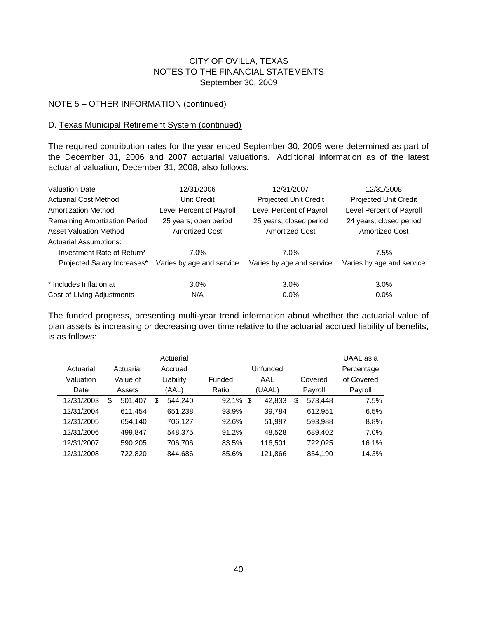#### NOTE 5 – OTHER INFORMATION (continued)

#### D. Texas Municipal Retirement System (continued)

The required contribution rates for the year ended September 30, 2009 were determined as part of the December 31, 2006 and 2007 actuarial valuations. Additional information as of the latest actuarial valuation, December 31, 2008, also follows:

| <b>Valuation Date</b>                | 12/31/2006                | 12/31/2007                | 12/31/2008                   |
|--------------------------------------|---------------------------|---------------------------|------------------------------|
| <b>Actuarial Cost Method</b>         | Unit Credit               | Projected Unit Credit     | <b>Projected Unit Credit</b> |
| <b>Amortization Method</b>           | Level Percent of Payroll  | Level Percent of Payroll  | Level Percent of Payroll     |
| <b>Remaining Amortization Period</b> | 25 years; open period     | 25 years; closed period   | 24 years; closed period      |
| <b>Asset Valuation Method</b>        | <b>Amortized Cost</b>     | <b>Amortized Cost</b>     | <b>Amortized Cost</b>        |
| <b>Actuarial Assumptions:</b>        |                           |                           |                              |
| Investment Rate of Return*           | $7.0\%$                   | 7.0%                      | 7.5%                         |
| Projected Salary Increases*          | Varies by age and service | Varies by age and service | Varies by age and service    |
| * Includes Inflation at              | $3.0\%$                   | 3.0%                      | 3.0%                         |
| Cost-of-Living Adjustments           | N/A                       | $0.0\%$                   | $0.0\%$                      |

The funded progress, presenting multi-year trend information about whether the actuarial value of plan assets is increasing or decreasing over time relative to the actuarial accrued liability of benefits, is as follows:

|            |               |   | Actuarial |             |          |   |         | UAAL as a  |
|------------|---------------|---|-----------|-------------|----------|---|---------|------------|
| Actuarial  | Actuarial     |   | Accrued   |             | Unfunded |   |         | Percentage |
| Valuation  | Value of      |   | Liability | Funded      | AAL      |   | Covered | of Covered |
| Date       | Assets        |   | (AAL)     | Ratio       | (UAAL)   |   | Payroll | Payroll    |
| 12/31/2003 | \$<br>501,407 | S | 544.240   | $92.1\%$ \$ | 42,833   | S | 573.448 | 7.5%       |
| 12/31/2004 | 611,454       |   | 651,238   | 93.9%       | 39,784   |   | 612,951 | 6.5%       |
| 12/31/2005 | 654.140       |   | 706.127   | 92.6%       | 51.987   |   | 593,988 | 8.8%       |
| 12/31/2006 | 499,847       |   | 548,375   | 91.2%       | 48,528   |   | 689,402 | $7.0\%$    |
| 12/31/2007 | 590.205       |   | 706.706   | 83.5%       | 116.501  |   | 722,025 | 16.1%      |
| 12/31/2008 | 722,820       |   | 844.686   | 85.6%       | 121,866  |   | 854,190 | 14.3%      |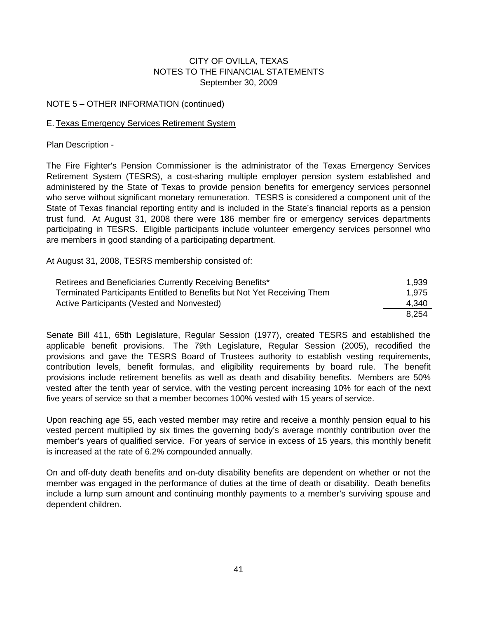#### NOTE 5 – OTHER INFORMATION (continued)

#### E. Texas Emergency Services Retirement System

Plan Description -

The Fire Fighter's Pension Commissioner is the administrator of the Texas Emergency Services Retirement System (TESRS), a cost-sharing multiple employer pension system established and administered by the State of Texas to provide pension benefits for emergency services personnel who serve without significant monetary remuneration. TESRS is considered a component unit of the State of Texas financial reporting entity and is included in the State's financial reports as a pension trust fund. At August 31, 2008 there were 186 member fire or emergency services departments participating in TESRS. Eligible participants include volunteer emergency services personnel who are members in good standing of a participating department.

At August 31, 2008, TESRS membership consisted of:

| Retirees and Beneficiaries Currently Receiving Benefits*                | 1.939 |
|-------------------------------------------------------------------------|-------|
| Terminated Participants Entitled to Benefits but Not Yet Receiving Them | 1.975 |
| Active Participants (Vested and Nonvested)                              | 4.340 |
|                                                                         | 8.254 |

Senate Bill 411, 65th Legislature, Regular Session (1977), created TESRS and established the applicable benefit provisions. The 79th Legislature, Regular Session (2005), recodified the provisions and gave the TESRS Board of Trustees authority to establish vesting requirements, contribution levels, benefit formulas, and eligibility requirements by board rule. The benefit provisions include retirement benefits as well as death and disability benefits. Members are 50% vested after the tenth year of service, with the vesting percent increasing 10% for each of the next five years of service so that a member becomes 100% vested with 15 years of service.

Upon reaching age 55, each vested member may retire and receive a monthly pension equal to his vested percent multiplied by six times the governing body's average monthly contribution over the member's years of qualified service. For years of service in excess of 15 years, this monthly benefit is increased at the rate of 6.2% compounded annually.

On and off-duty death benefits and on-duty disability benefits are dependent on whether or not the member was engaged in the performance of duties at the time of death or disability. Death benefits include a lump sum amount and continuing monthly payments to a member's surviving spouse and dependent children.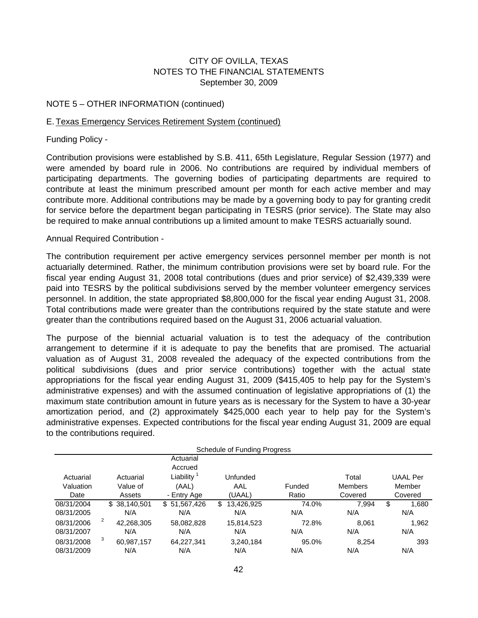#### NOTE 5 – OTHER INFORMATION (continued)

#### E. Texas Emergency Services Retirement System (continued)

Funding Policy -

Contribution provisions were established by S.B. 411, 65th Legislature, Regular Session (1977) and were amended by board rule in 2006. No contributions are required by individual members of participating departments. The governing bodies of participating departments are required to contribute at least the minimum prescribed amount per month for each active member and may contribute more. Additional contributions may be made by a governing body to pay for granting credit for service before the department began participating in TESRS (prior service). The State may also be required to make annual contributions up a limited amount to make TESRS actuarially sound.

#### Annual Required Contribution -

The contribution requirement per active emergency services personnel member per month is not actuarially determined. Rather, the minimum contribution provisions were set by board rule. For the fiscal year ending August 31, 2008 total contributions (dues and prior service) of \$2,439,339 were paid into TESRS by the political subdivisions served by the member volunteer emergency services personnel. In addition, the state appropriated \$8,800,000 for the fiscal year ending August 31, 2008. Total contributions made were greater than the contributions required by the state statute and were greater than the contributions required based on the August 31, 2006 actuarial valuation.

The purpose of the biennial actuarial valuation is to test the adequacy of the contribution arrangement to determine if it is adequate to pay the benefits that are promised. The actuarial valuation as of August 31, 2008 revealed the adequacy of the expected contributions from the political subdivisions (dues and prior service contributions) together with the actual state appropriations for the fiscal year ending August 31, 2009 (\$415,405 to help pay for the System's administrative expenses) and with the assumed continuation of legislative appropriations of (1) the maximum state contribution amount in future years as is necessary for the System to have a 30-year amortization period, and (2) approximately \$425,000 each year to help pay for the System's administrative expenses. Expected contributions for the fiscal year ending August 31, 2009 are equal to the contributions required.

| Schedule of Funding Progress |   |              |              |                  |        |                |    |                 |
|------------------------------|---|--------------|--------------|------------------|--------|----------------|----|-----------------|
|                              |   |              | Actuarial    |                  |        |                |    |                 |
|                              |   |              | Accrued      |                  |        |                |    |                 |
| Actuarial                    |   | Actuarial    | Liability    | Unfunded         |        | Total          |    | <b>UAAL</b> Per |
| Valuation                    |   | Value of     | (AAL)        | AAL              | Funded | <b>Members</b> |    | Member          |
| Date                         |   | Assets       | - Entry Age  | (UAAL)           | Ratio  | Covered        |    | Covered         |
| 08/31/2004                   |   | \$38,140,501 | \$51,567,426 | \$<br>13,426,925 | 74.0%  | 7.994          | \$ | 1.680           |
| 08/31/2005                   |   | N/A          | N/A          | N/A              | N/A    | N/A            |    | N/A             |
| 08/31/2006                   | 2 | 42,268,305   | 58,082,828   | 15,814,523       | 72.8%  | 8.061          |    | 1,962           |
| 08/31/2007                   |   | N/A          | N/A          | N/A              | N/A    | N/A            |    | N/A             |
| 08/31/2008                   | 3 | 60,987,157   | 64,227,341   | 3,240,184        | 95.0%  | 8.254          |    | 393             |
| 08/31/2009                   |   | N/A          | N/A          | N/A              | N/A    | N/A            |    | N/A             |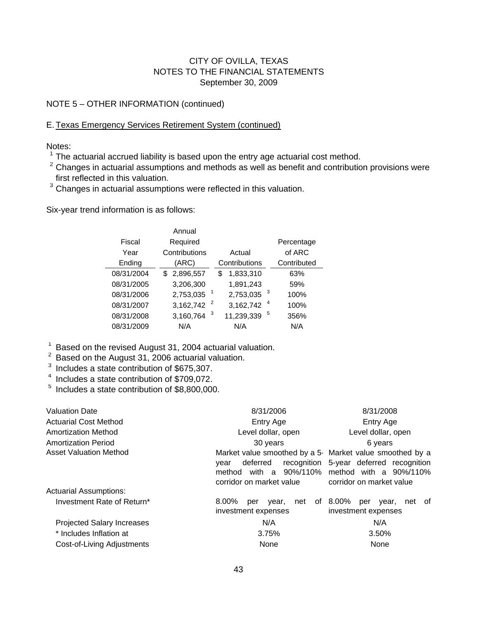#### NOTE 5 – OTHER INFORMATION (continued)

#### E. Texas Emergency Services Retirement System (continued)

Notes:

 $1$  The actuarial accrued liability is based upon the entry age actuarial cost method.

 $2$  Changes in actuarial assumptions and methods as well as benefit and contribution provisions were first reflected in this valuation.

<sup>3</sup> Changes in actuarial assumptions were reflected in this valuation.

Six-year trend information is as follows:

|            | Annual         |                 |             |
|------------|----------------|-----------------|-------------|
| Fiscal     | Required       |                 | Percentage  |
| Year       | Contributions  | Actual          | of ARC      |
| Ending     | (ARC)          | Contributions   | Contributed |
| 08/31/2004 | \$2,896,557    | 1,833,310<br>\$ | 63%         |
| 08/31/2005 | 3,206,300      | 1,891,243       | 59%         |
| 08/31/2006 | 2,753,035      | 3<br>2,753,035  | 100%        |
| 08/31/2007 | 3,162,742      | 4<br>3,162,742  | 100%        |
| 08/31/2008 | 3<br>3,160,764 | 5<br>11,239,339 | 356%        |
| 08/31/2009 | N/A            | N/A             | N/A         |
|            |                |                 |             |

 $\frac{1}{6}$  Based on the revised August 31, 2004 actuarial valuation.

<sup>2</sup> Based on the August 31, 2006 actuarial valuation.

- <sup>3</sup> Includes a state contribution of \$675,307.
- <sup>4</sup> Includes a state contribution of \$709,072.

<sup>5</sup> Includes a state contribution of \$8,800,000.

| <b>Valuation Date</b>             | 8/31/2006                                                                                                                         | 8/31/2008                                                                                         |  |  |  |
|-----------------------------------|-----------------------------------------------------------------------------------------------------------------------------------|---------------------------------------------------------------------------------------------------|--|--|--|
| <b>Actuarial Cost Method</b>      | Entry Age                                                                                                                         | Entry Age                                                                                         |  |  |  |
| <b>Amortization Method</b>        | Level dollar, open                                                                                                                | Level dollar, open                                                                                |  |  |  |
| <b>Amortization Period</b>        | 30 years                                                                                                                          | 6 years                                                                                           |  |  |  |
| Asset Valuation Method            | Market value smoothed by a 5- Market value smoothed by a<br>deferred<br>recognition<br>vear<br>method<br>corridor on market value | 5-year deferred recognition<br>with a 90%/110% method with a 90%/110%<br>corridor on market value |  |  |  |
| <b>Actuarial Assumptions:</b>     |                                                                                                                                   |                                                                                                   |  |  |  |
| Investment Rate of Return*        | 8.00%<br>of<br>net<br>vear.<br>per<br>investment expenses                                                                         | 8.00%<br>net of<br>per<br>vear,<br>investment expenses                                            |  |  |  |
| <b>Projected Salary Increases</b> | N/A                                                                                                                               | N/A                                                                                               |  |  |  |
| * Includes Inflation at           | 3.75%                                                                                                                             | 3.50%                                                                                             |  |  |  |
| Cost-of-Living Adjustments        | None                                                                                                                              | None                                                                                              |  |  |  |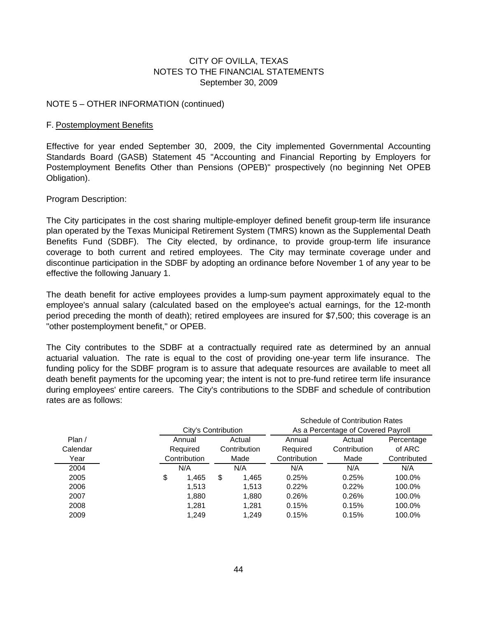#### NOTE 5 – OTHER INFORMATION (continued)

#### F. Postemployment Benefits

Effective for year ended September 30, 2009, the City implemented Governmental Accounting Standards Board (GASB) Statement 45 "Accounting and Financial Reporting by Employers for Postemployment Benefits Other than Pensions (OPEB)" prospectively (no beginning Net OPEB Obligation).

Program Description:

The City participates in the cost sharing multiple-employer defined benefit group-term life insurance plan operated by the Texas Municipal Retirement System (TMRS) known as the Supplemental Death Benefits Fund (SDBF). The City elected, by ordinance, to provide group-term life insurance coverage to both current and retired employees. The City may terminate coverage under and discontinue participation in the SDBF by adopting an ordinance before November 1 of any year to be effective the following January 1.

The death benefit for active employees provides a lump-sum payment approximately equal to the employee's annual salary (calculated based on the employee's actual earnings, for the 12-month period preceding the month of death); retired employees are insured for \$7,500; this coverage is an "other postemployment benefit," or OPEB.

The City contributes to the SDBF at a contractually required rate as determined by an annual actuarial valuation. The rate is equal to the cost of providing one-year term life insurance. The funding policy for the SDBF program is to assure that adequate resources are available to meet all death benefit payments for the upcoming year; the intent is not to pre-fund retiree term life insurance during employees' entire careers. The City's contributions to the SDBF and schedule of contribution rates are as follows:

|          |                     |   |              |              | <b>Schedule of Contribution Rates</b> |             |
|----------|---------------------|---|--------------|--------------|---------------------------------------|-------------|
|          | City's Contribution |   |              |              | As a Percentage of Covered Payroll    |             |
| Plan/    | Annual              |   | Actual       | Annual       | Actual                                | Percentage  |
| Calendar | Required            |   | Contribution | Required     | Contribution                          | of ARC      |
| Year     | Contribution        |   | Made         | Contribution | Made                                  | Contributed |
| 2004     | N/A                 |   | N/A          | N/A          | N/A                                   | N/A         |
| 2005     | \$<br>1,465         | S | 1,465        | 0.25%        | 0.25%                                 | 100.0%      |
| 2006     | 1,513               |   | 1.513        | 0.22%        | 0.22%                                 | 100.0%      |
| 2007     | 1,880               |   | 1,880        | 0.26%        | 0.26%                                 | 100.0%      |
| 2008     | 1.281               |   | 1,281        | 0.15%        | 0.15%                                 | 100.0%      |
| 2009     | 1.249               |   | 1.249        | 0.15%        | 0.15%                                 | 100.0%      |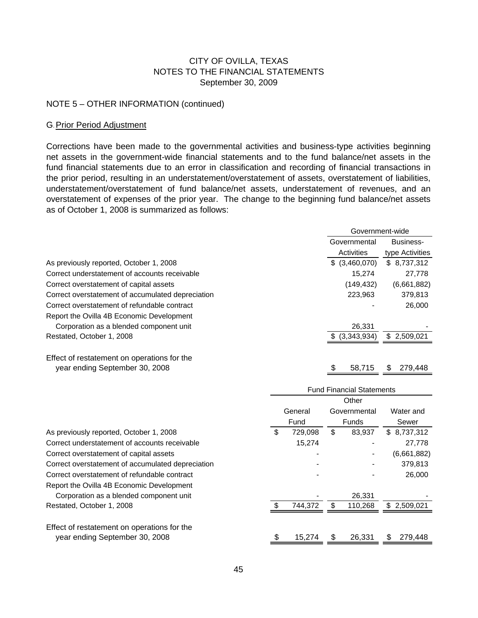#### NOTE 5 – OTHER INFORMATION (continued)

#### G.Prior Period Adjustment

Corrections have been made to the governmental activities and business-type activities beginning net assets in the government-wide financial statements and to the fund balance/net assets in the fund financial statements due to an error in classification and recording of financial transactions in the prior period, resulting in an understatement/overstatement of assets, overstatement of liabilities, understatement/overstatement of fund balance/net assets, understatement of revenues, and an overstatement of expenses of the prior year. The change to the beginning fund balance/net assets as of October 1, 2008 is summarized as follows:

|                                                   | Government-wide            |                              |  |
|---------------------------------------------------|----------------------------|------------------------------|--|
|                                                   | Governmental<br>Activities | Business-<br>type Activities |  |
| As previously reported, October 1, 2008           | \$ (3,460,070)             | \$8,737,312                  |  |
| Correct understatement of accounts receivable     | 15.274                     | 27,778                       |  |
| Correct overstatement of capital assets           | (149,432)                  | (6,661,882)                  |  |
| Correct overstatement of accumulated depreciation | 223,963                    | 379,813                      |  |
| Correct overstatement of refundable contract      |                            | 26,000                       |  |
| Report the Ovilla 4B Economic Development         |                            |                              |  |
| Corporation as a blended component unit           | 26,331                     |                              |  |
| Restated, October 1, 2008                         | $$$ $(3,343,934)$          | \$2,509,021                  |  |
| Effect of restatement on operations for the       |                            |                              |  |

Effect of restatement on operations for the year ending September 30, 2008 58,715 \$ 58,715 \$ 279,448

|                                                   |    |         | <b>Fund Financial Statements</b> |               |
|---------------------------------------------------|----|---------|----------------------------------|---------------|
|                                                   |    |         | Other                            |               |
|                                                   |    | General | Governmental                     | Water and     |
|                                                   |    | Fund    | Funds                            | Sewer         |
| As previously reported, October 1, 2008           | S  | 729.098 | \$<br>83,937                     | \$8,737,312   |
| Correct understatement of accounts receivable     |    | 15,274  |                                  | 27,778        |
| Correct overstatement of capital assets           |    |         |                                  | (6,661,882)   |
| Correct overstatement of accumulated depreciation |    |         |                                  | 379,813       |
| Correct overstatement of refundable contract      |    |         |                                  | 26,000        |
| Report the Ovilla 4B Economic Development         |    |         |                                  |               |
| Corporation as a blended component unit           |    |         | 26,331                           |               |
| Restated, October 1, 2008                         |    | 744.372 | 110,268                          | \$2,509,021   |
| Effect of restatement on operations for the       |    |         |                                  |               |
| year ending September 30, 2008                    | \$ | 15,274  | 26,331                           | \$<br>279,448 |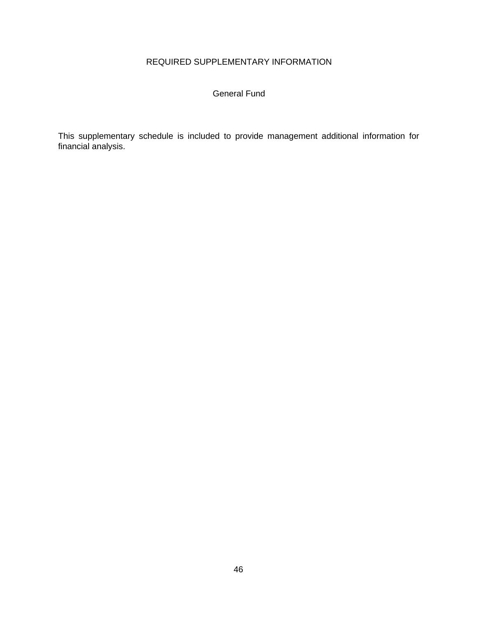# REQUIRED SUPPLEMENTARY INFORMATION

#### General Fund

This supplementary schedule is included to provide management additional information for financial analysis.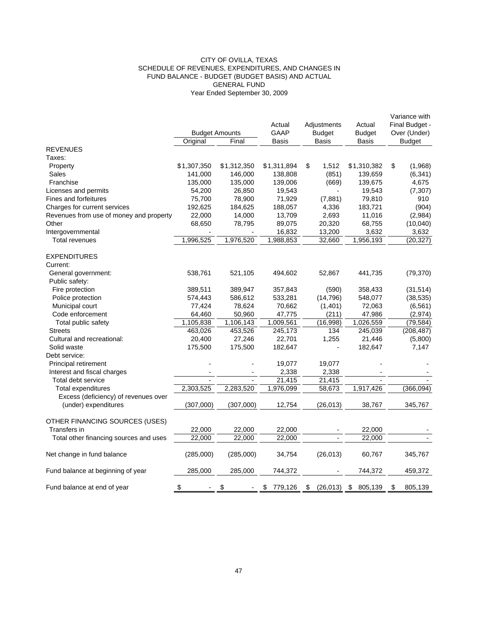#### CITY OF OVILLA, TEXAS SCHEDULE OF REVENUES, EXPENDITURES, AND CHANGES IN FUND BALANCE - BUDGET (BUDGET BASIS) AND ACTUAL GENERAL FUND Year Ended September 30, 2009

|                                         |                           | <b>Budget Amounts</b> | Actual<br><b>GAAP</b> | Adjustments<br><b>Budget</b> | Actual<br><b>Budget</b> | Variance with<br>Final Budget -<br>Over (Under) |
|-----------------------------------------|---------------------------|-----------------------|-----------------------|------------------------------|-------------------------|-------------------------------------------------|
|                                         | Original                  | Final                 | <b>Basis</b>          | <b>Basis</b>                 | <b>Basis</b>            | <b>Budget</b>                                   |
| <b>REVENUES</b>                         |                           |                       |                       |                              |                         |                                                 |
| Taxes:                                  |                           |                       |                       |                              |                         |                                                 |
| Property                                | \$1,307,350               | \$1,312,350           | \$1,311,894           | \$<br>1,512                  | \$1,310,382             | \$<br>(1,968)                                   |
| Sales                                   | 141,000                   | 146,000               | 138,808               | (851)                        | 139,659                 | (6, 341)                                        |
| Franchise                               | 135,000                   | 135,000               | 139,006               | (669)                        | 139,675                 | 4,675                                           |
| Licenses and permits                    | 54,200                    | 26,850                | 19,543                |                              | 19,543                  | (7, 307)                                        |
| Fines and forfeitures                   | 75,700                    | 78,900                | 71,929                | (7,881)                      | 79,810                  | 910                                             |
| Charges for current services            | 192,625                   | 184,625               | 188,057               | 4,336                        | 183,721                 | (904)                                           |
| Revenues from use of money and property | 22,000                    | 14,000                | 13,709                | 2,693                        | 11,016                  | (2,984)                                         |
| Other                                   | 68,650                    | 78,795                | 89,075                | 20,320                       | 68,755                  | (10,040)                                        |
| Intergovernmental                       |                           |                       | 16,832                | 13,200                       | 3,632                   | 3,632                                           |
| Total revenues                          | 1,996,525                 | 1,976,520             | 1,988,853             | 32,660                       | 1,956,193               | (20, 327)                                       |
| <b>EXPENDITURES</b>                     |                           |                       |                       |                              |                         |                                                 |
| Current:                                |                           |                       |                       |                              |                         |                                                 |
| General government:                     | 538,761                   | 521,105               | 494,602               | 52,867                       | 441,735                 | (79, 370)                                       |
| Public safety:                          |                           |                       |                       |                              |                         |                                                 |
| Fire protection                         | 389,511                   | 389,947               | 357,843               | (590)                        | 358,433                 | (31, 514)                                       |
| Police protection                       | 574,443                   | 586,612               | 533,281               | (14, 796)                    | 548,077                 | (38, 535)                                       |
| Municipal court                         | 77,424                    | 78,624                | 70,662                | (1,401)                      | 72,063                  | (6, 561)                                        |
| Code enforcement                        | 64,460                    | 50,960                | 47,775                | (211)                        | 47,986                  | (2,974)                                         |
| Total public safety                     | 1,105,838                 | 1,106,143             | 1,009,561             | (16,998)                     | 1,026,559               | (79, 584)                                       |
| <b>Streets</b>                          | 463,026                   | 453,526               | 245,173               | 134                          | 245,039                 | (208, 487)                                      |
| Cultural and recreational:              | 20,400                    | 27,246                | 22,701                | 1,255                        | 21,446                  | (5,800)                                         |
| Solid waste                             | 175,500                   | 175,500               | 182,647               |                              | 182,647                 | 7,147                                           |
| Debt service:                           |                           |                       |                       |                              |                         |                                                 |
| Principal retirement                    |                           |                       | 19,077                | 19,077                       |                         |                                                 |
| Interest and fiscal charges             |                           |                       | 2,338                 | 2,338                        |                         |                                                 |
| Total debt service                      |                           | $\overline{a}$        | 21,415                | 21,415                       |                         |                                                 |
| Total expenditures                      | 2,303,525                 | 2,283,520             | 1,976,099             | 58,673                       | 1,917,426               | (366,094)                                       |
| Excess (deficiency) of revenues over    |                           |                       |                       |                              |                         |                                                 |
| (under) expenditures                    | (307,000)                 | (307,000)             | 12,754                | (26, 013)                    | 38,767                  | 345,767                                         |
| OTHER FINANCING SOURCES (USES)          |                           |                       |                       |                              |                         |                                                 |
| Transfers in                            | 22,000                    | 22,000                | 22,000                |                              | 22,000                  |                                                 |
| Total other financing sources and uses  | 22,000                    | 22,000                | 22,000                |                              | 22,000                  |                                                 |
| Net change in fund balance              | (285,000)                 | (285,000)             | 34,754                | (26, 013)                    | 60,767                  | 345,767                                         |
| Fund balance at beginning of year       | 285,000                   | 285,000               | 744,372               |                              | 744,372                 | 459,372                                         |
| Fund balance at end of year             | $\boldsymbol{\mathsf{S}}$ | \$                    | \$<br>779,126         | (26, 013)<br>\$              | \$<br>805,139           | \$<br>805,139                                   |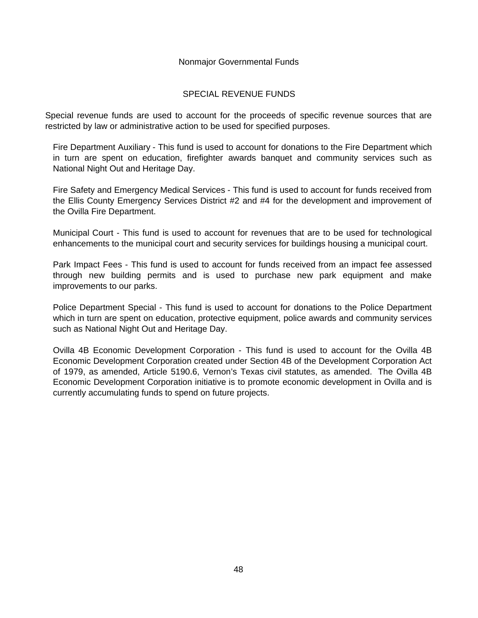#### Nonmajor Governmental Funds

#### SPECIAL REVENUE FUNDS

Special revenue funds are used to account for the proceeds of specific revenue sources that are restricted by law or administrative action to be used for specified purposes.

Fire Department Auxiliary - This fund is used to account for donations to the Fire Department which in turn are spent on education, firefighter awards banquet and community services such as National Night Out and Heritage Day.

Fire Safety and Emergency Medical Services - This fund is used to account for funds received from the Ellis County Emergency Services District #2 and #4 for the development and improvement of the Ovilla Fire Department.

Municipal Court - This fund is used to account for revenues that are to be used for technological enhancements to the municipal court and security services for buildings housing a municipal court.

Park Impact Fees - This fund is used to account for funds received from an impact fee assessed through new building permits and is used to purchase new park equipment and make improvements to our parks.

Police Department Special - This fund is used to account for donations to the Police Department which in turn are spent on education, protective equipment, police awards and community services such as National Night Out and Heritage Day.

Ovilla 4B Economic Development Corporation - This fund is used to account for the Ovilla 4B Economic Development Corporation created under Section 4B of the Development Corporation Act of 1979, as amended, Article 5190.6, Vernon's Texas civil statutes, as amended. The Ovilla 4B Economic Development Corporation initiative is to promote economic development in Ovilla and is currently accumulating funds to spend on future projects.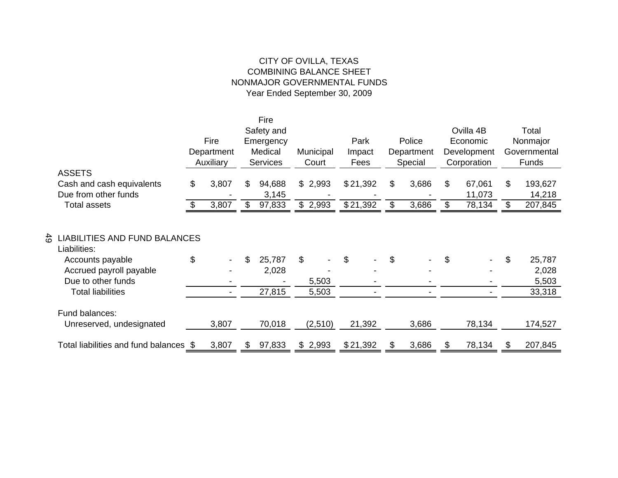# CITY OF OVILLA, TEXAS COMBINING BALANCE SHEET NONMAJOR GOVERNMENTAL FUNDS Year Ended September 30, 2009

|                                                                                                                                                                        |     |            |     | Fire                      |                      |          |    |            |                |             |                                          |
|------------------------------------------------------------------------------------------------------------------------------------------------------------------------|-----|------------|-----|---------------------------|----------------------|----------|----|------------|----------------|-------------|------------------------------------------|
|                                                                                                                                                                        |     |            |     | Safety and                |                      |          |    |            |                | Ovilla 4B   | Total                                    |
|                                                                                                                                                                        |     | Fire       |     | Emergency                 |                      | Park     |    | Police     |                | Economic    | Nonmajor                                 |
|                                                                                                                                                                        |     | Department |     | Medical                   | Municipal            | Impact   |    | Department |                | Development | Governmental                             |
|                                                                                                                                                                        |     | Auxiliary  |     | <b>Services</b>           | Court                | Fees     |    | Special    |                | Corporation | <b>Funds</b>                             |
| <b>ASSETS</b>                                                                                                                                                          |     |            |     |                           |                      |          |    |            |                |             |                                          |
| Cash and cash equivalents                                                                                                                                              | \$  | 3,807      | \$. | 94,688                    | \$2,993              | \$21,392 | \$ | 3,686      | \$             | 67,061      | \$<br>193,627                            |
| Due from other funds                                                                                                                                                   |     |            |     | 3,145                     |                      |          |    |            |                | 11,073      | 14,218                                   |
| <b>Total assets</b>                                                                                                                                                    | \$. | 3,807      | \$  | 97,833                    | \$2,993              | \$21,392 | \$ | 3,686      | $\mathfrak{S}$ | 78,134      | \$<br>207,845                            |
| $\frac{4}{5}$<br><b>LIABILITIES AND FUND BALANCES</b><br>Liabilities:<br>Accounts payable<br>Accrued payroll payable<br>Due to other funds<br><b>Total liabilities</b> | \$  |            | \$  | 25,787<br>2,028<br>27,815 | \$<br>5,503<br>5,503 | \$       | \$ |            | \$             |             | \$<br>25,787<br>2,028<br>5,503<br>33,318 |
| Fund balances:<br>Unreserved, undesignated                                                                                                                             |     | 3,807      |     | 70,018                    | (2,510)              | 21,392   |    | 3,686      |                | 78,134      | 174,527                                  |
| Total liabilities and fund balances \$                                                                                                                                 |     | 3,807      | \$  | 97,833                    | \$2,993              | \$21,392 | S  | 3,686      |                | 78,134      | 207,845                                  |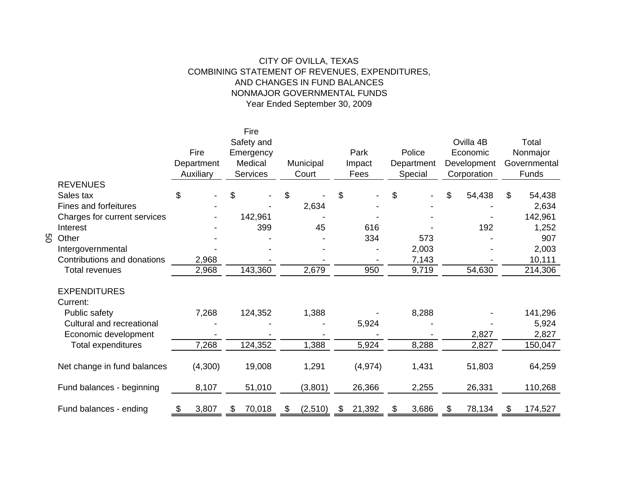### CITY OF OVILLA, TEXAS COMBINING STATEMENT OF REVENUES, EXPENDITURES, AND CHANGES IN FUND BALANCES NONMAJOR GOVERNMENTAL FUNDSYear Ended September 30, 2009

|   |                              |             | Fire            |               |              |             |              |               |
|---|------------------------------|-------------|-----------------|---------------|--------------|-------------|--------------|---------------|
|   |                              |             | Safety and      |               |              |             | Ovilla 4B    | Total         |
|   |                              | Fire        | Emergency       |               | Park         | Police      | Economic     | Nonmajor      |
|   |                              | Department  | Medical         | Municipal     | Impact       | Department  | Development  | Governmental  |
|   |                              | Auxiliary   | <b>Services</b> | Court         | Fees         | Special     | Corporation  | Funds         |
|   | <b>REVENUES</b>              |             |                 |               |              |             |              |               |
|   | Sales tax                    | \$          | \$              | \$            | \$           | \$          | \$<br>54,438 | \$<br>54,438  |
|   | <b>Fines and forfeitures</b> |             |                 | 2,634         |              |             |              | 2,634         |
|   | Charges for current services |             | 142,961         |               |              |             |              | 142,961       |
|   | Interest                     |             | 399             | 45            | 616          |             | 192          | 1,252         |
| 8 | Other                        |             |                 |               | 334          | 573         |              | 907           |
|   | Intergovernmental            |             |                 |               |              | 2,003       |              | 2,003         |
|   | Contributions and donations  | 2,968       |                 |               |              | 7,143       |              | 10,111        |
|   | <b>Total revenues</b>        | 2,968       | 143,360         | 2,679         | 950          | 9,719       | 54,630       | 214,306       |
|   |                              |             |                 |               |              |             |              |               |
|   | <b>EXPENDITURES</b>          |             |                 |               |              |             |              |               |
|   | Current:                     |             |                 |               |              |             |              |               |
|   | Public safety                | 7,268       | 124,352         | 1,388         |              | 8,288       |              | 141,296       |
|   | Cultural and recreational    |             |                 |               | 5,924        |             |              | 5,924         |
|   | Economic development         |             |                 |               |              |             | 2,827        | 2,827         |
|   | Total expenditures           | 7,268       | 124,352         | 1,388         | 5,924        | 8,288       | 2,827        | 150,047       |
|   |                              |             |                 |               |              |             |              |               |
|   | Net change in fund balances  | (4,300)     | 19,008          | 1,291         | (4, 974)     | 1,431       | 51,803       | 64,259        |
|   | Fund balances - beginning    | 8,107       | 51,010          | (3,801)       | 26,366       | 2,255       | 26,331       | 110,268       |
|   | Fund balances - ending       | \$<br>3,807 | \$<br>70,018    | \$<br>(2,510) | \$<br>21,392 | \$<br>3,686 | \$<br>78,134 | \$<br>174,527 |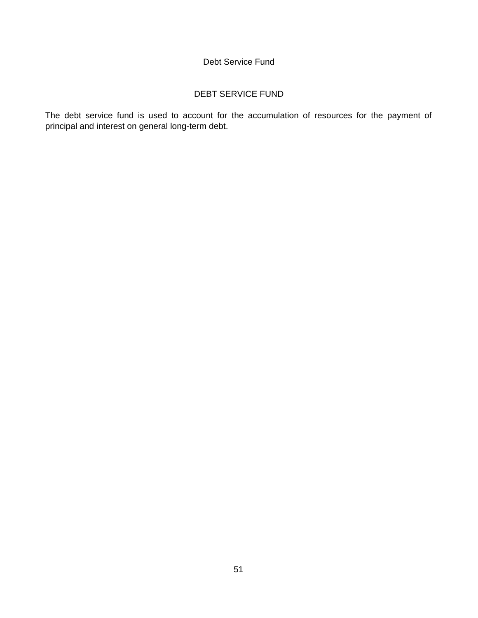#### Debt Service Fund

#### DEBT SERVICE FUND

The debt service fund is used to account for the accumulation of resources for the payment of principal and interest on general long-term debt.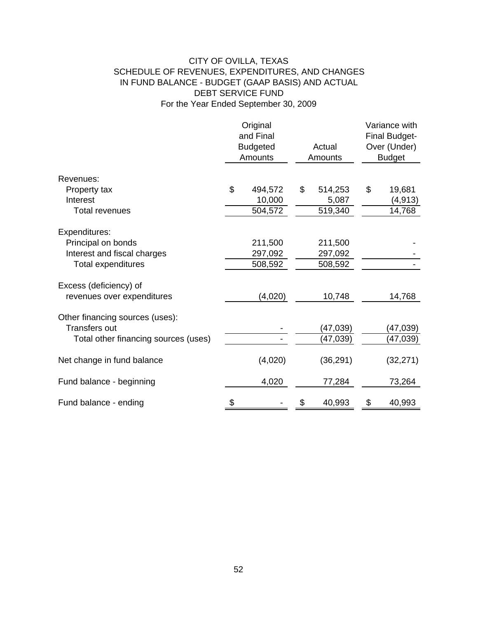### CITY OF OVILLA, TEXAS SCHEDULE OF REVENUES, EXPENDITURES, AND CHANGES IN FUND BALANCE - BUDGET (GAAP BASIS) AND ACTUAL DEBT SERVICE FUND For the Year Ended September 30, 2009

|                                      | Original<br>and Final<br><b>Budgeted</b><br>Actual<br>Amounts<br>Amounts |         |    |           | Variance with<br><b>Final Budget-</b><br>Over (Under)<br><b>Budget</b> |
|--------------------------------------|--------------------------------------------------------------------------|---------|----|-----------|------------------------------------------------------------------------|
| Revenues:                            |                                                                          |         |    |           |                                                                        |
| Property tax                         | \$                                                                       | 494,572 | \$ | 514,253   | \$<br>19,681                                                           |
| Interest                             |                                                                          | 10,000  |    | 5,087     | (4, 913)                                                               |
| <b>Total revenues</b>                |                                                                          | 504,572 |    | 519,340   | 14,768                                                                 |
| Expenditures:                        |                                                                          |         |    |           |                                                                        |
| Principal on bonds                   |                                                                          | 211,500 |    | 211,500   |                                                                        |
| Interest and fiscal charges          |                                                                          | 297,092 |    | 297,092   |                                                                        |
| <b>Total expenditures</b>            |                                                                          | 508,592 |    | 508,592   |                                                                        |
| Excess (deficiency) of               |                                                                          |         |    |           |                                                                        |
| revenues over expenditures           |                                                                          | (4,020) |    | 10,748    | 14,768                                                                 |
| Other financing sources (uses):      |                                                                          |         |    |           |                                                                        |
| <b>Transfers out</b>                 |                                                                          |         |    | (47, 039) | (47,039)                                                               |
| Total other financing sources (uses) |                                                                          |         |    | (47,039)  | (47,039)                                                               |
| Net change in fund balance           |                                                                          | (4,020) |    | (36, 291) | (32, 271)                                                              |
| Fund balance - beginning             |                                                                          | 4,020   |    | 77,284    | 73,264                                                                 |
| Fund balance - ending                |                                                                          |         | \$ | 40,993    | \$<br>40,993                                                           |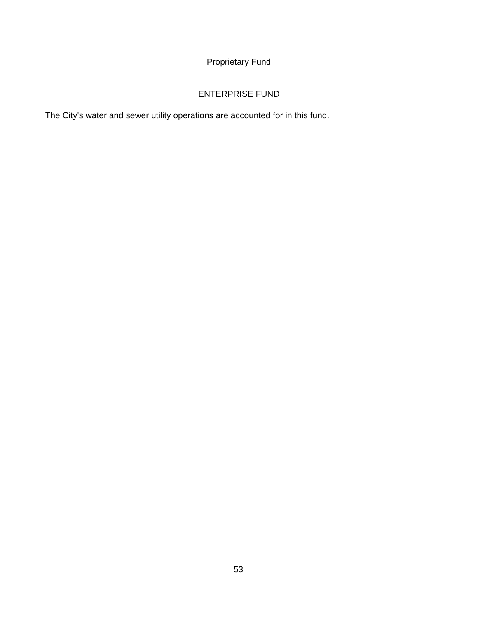# Proprietary Fund

# ENTERPRISE FUND

The City's water and sewer utility operations are accounted for in this fund.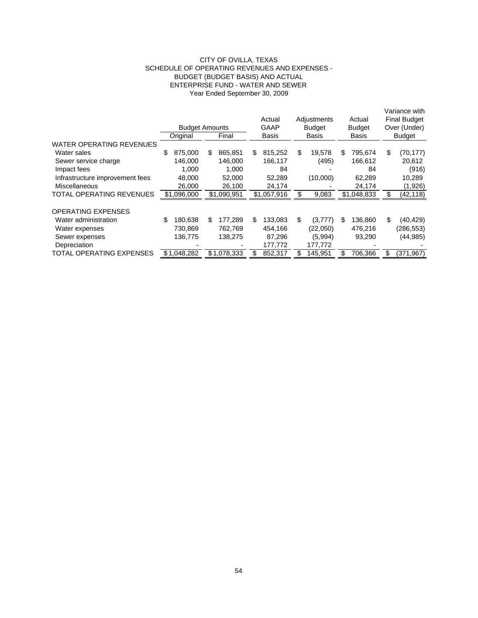#### CITY OF OVILLA, TEXAS SCHEDULE OF OPERATING REVENUES AND EXPENSES - BUDGET (BUDGET BASIS) AND ACTUAL ENTERPRISE FUND - WATER AND SEWER Year Ended September 30, 2009

|                                 |    | <b>Budget Amounts</b><br>Original |     | Final       | Actual<br>GAAP<br>Basis |    | Adjustments<br><b>Budget</b><br><b>Basis</b> |    | Actual<br><b>Budget</b><br>Basis |     | Variance with<br><b>Final Budget</b><br>Over (Under)<br><b>Budget</b> |
|---------------------------------|----|-----------------------------------|-----|-------------|-------------------------|----|----------------------------------------------|----|----------------------------------|-----|-----------------------------------------------------------------------|
| <b>WATER OPERATING REVENUES</b> |    |                                   |     |             |                         |    |                                              |    |                                  |     |                                                                       |
| Water sales                     | \$ | 875.000                           | \$. | 865.851     | \$<br>815.252           | \$ | 19.578                                       | \$ | 795.674                          | \$  | (70, 177)                                                             |
| Sewer service charge            |    | 146.000                           |     | 146.000     | 166,117                 |    | (495)                                        |    | 166,612                          |     | 20,612                                                                |
| Impact fees                     |    | 1.000                             |     | 1.000       | 84                      |    |                                              |    | 84                               |     | (916)                                                                 |
| Infrastructure improvement fees |    | 48.000                            |     | 52.000      | 52.289                  |    | (10,000)                                     |    | 62.289                           |     | 10,289                                                                |
| Miscellaneous                   |    | 26,000                            |     | 26,100      | 24,174                  |    |                                              |    | 24,174                           |     | (1,926)                                                               |
| TOTAL OPERATING REVENUES        |    | \$1,096,000                       |     | \$1,090,951 | \$1,057,916             | S  | 9,083                                        |    | \$1,048,833                      | \$  | (42,118)                                                              |
|                                 |    |                                   |     |             |                         |    |                                              |    |                                  |     |                                                                       |
| <b>OPERATING EXPENSES</b>       |    |                                   |     |             |                         |    |                                              |    |                                  |     |                                                                       |
| Water administration            | S  | 180.638                           | S   | 177.289     | \$<br>133,083           | \$ | (3,777)                                      | \$ | 136,860                          | \$. | (40, 429)                                                             |
| Water expenses                  |    | 730.869                           |     | 762.769     | 454.166                 |    | (22.050)                                     |    | 476,216                          |     | (286, 553)                                                            |
| Sewer expenses                  |    | 136,775                           |     | 138,275     | 87,296                  |    | (5,994)                                      |    | 93,290                           |     | (44,985)                                                              |
| Depreciation                    |    |                                   |     |             | 177,772                 |    | 177,772                                      |    |                                  |     |                                                                       |
| TOTAL OPERATING EXPENSES        |    | \$1.048.282                       |     | \$1.078.333 | 852,317                 | £. | 145,951                                      | S  | 706,366                          | \$  | (371, 967)                                                            |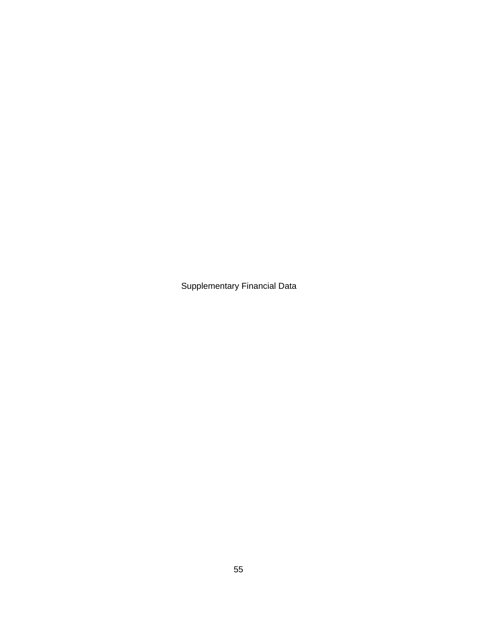Supplementary Financial Data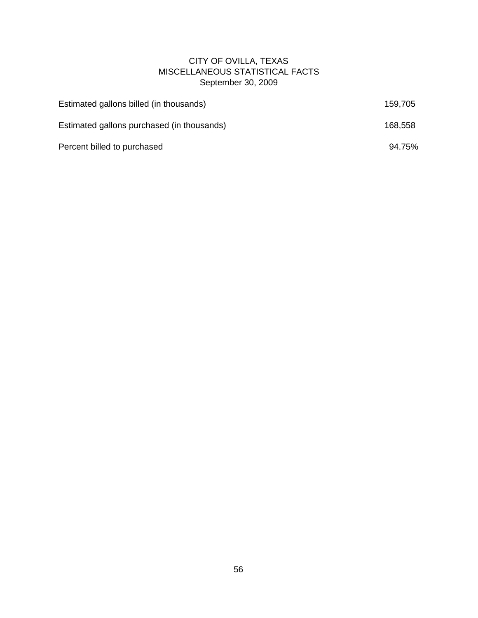## CITY OF OVILLA, TEXAS MISCELLANEOUS STATISTICAL FACTS September 30, 2009

| Estimated gallons billed (in thousands)    | 159.705 |
|--------------------------------------------|---------|
| Estimated gallons purchased (in thousands) | 168,558 |
| Percent billed to purchased                | 94.75%  |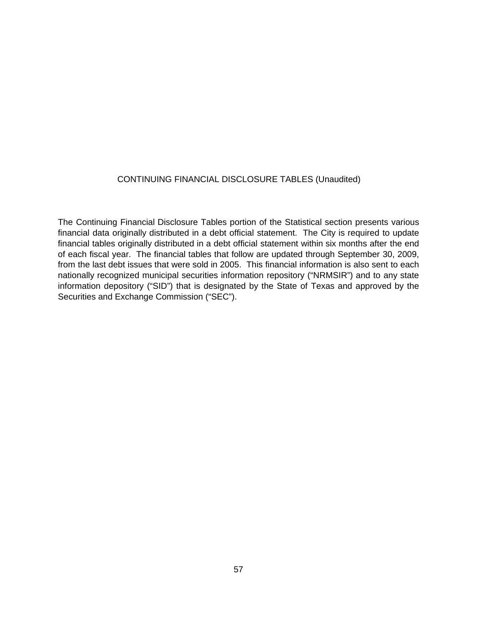#### CONTINUING FINANCIAL DISCLOSURE TABLES (Unaudited)

The Continuing Financial Disclosure Tables portion of the Statistical section presents various financial data originally distributed in a debt official statement. The City is required to update financial tables originally distributed in a debt official statement within six months after the end of each fiscal year. The financial tables that follow are updated through September 30, 2009, from the last debt issues that were sold in 2005. This financial information is also sent to each nationally recognized municipal securities information repository ("NRMSIR") and to any state information depository ("SID") that is designated by the State of Texas and approved by the Securities and Exchange Commission ("SEC").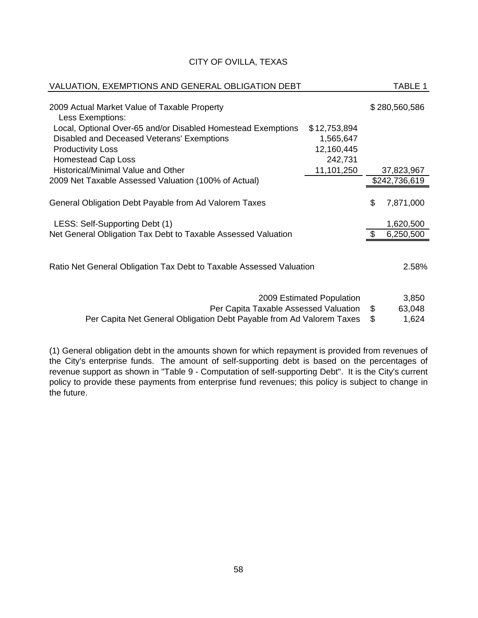| VALUATION, EXEMPTIONS AND GENERAL OBLIGATION DEBT                   |                           | TABLE 1         |
|---------------------------------------------------------------------|---------------------------|-----------------|
| 2009 Actual Market Value of Taxable Property<br>Less Exemptions:    |                           | \$280,560,586   |
| Local, Optional Over-65 and/or Disabled Homestead Exemptions        | \$12,753,894              |                 |
| Disabled and Deceased Veterans' Exemptions                          | 1,565,647                 |                 |
| <b>Productivity Loss</b>                                            | 12,160,445                |                 |
| <b>Homestead Cap Loss</b>                                           | 242,731                   |                 |
| Historical/Minimal Value and Other                                  | 11,101,250                | 37,823,967      |
| 2009 Net Taxable Assessed Valuation (100% of Actual)                |                           | \$242,736,619   |
|                                                                     |                           |                 |
| General Obligation Debt Payable from Ad Valorem Taxes               |                           | \$<br>7,871,000 |
| LESS: Self-Supporting Debt (1)                                      |                           | 1,620,500       |
| Net General Obligation Tax Debt to Taxable Assessed Valuation       |                           | 6,250,500       |
|                                                                     |                           |                 |
| Ratio Net General Obligation Tax Debt to Taxable Assessed Valuation |                           | 2.58%           |
|                                                                     |                           |                 |
|                                                                     | 2009 Estimated Population | 3,850           |

Per Capita Taxable Assessed Valuation  $$63,048$ 

Per Capita Net General Obligation Debt Payable from Ad Valorem Taxes \$1,624

(1) General obligation debt in the amounts shown for which repayment is provided from revenues of the City's enterprise funds. The amount of self-supporting debt is based on the percentages of revenue support as shown in "Table 9 - Computation of self-supporting Debt". It is the City's current policy to provide these payments from enterprise fund revenues; this policy is subject to change in the future.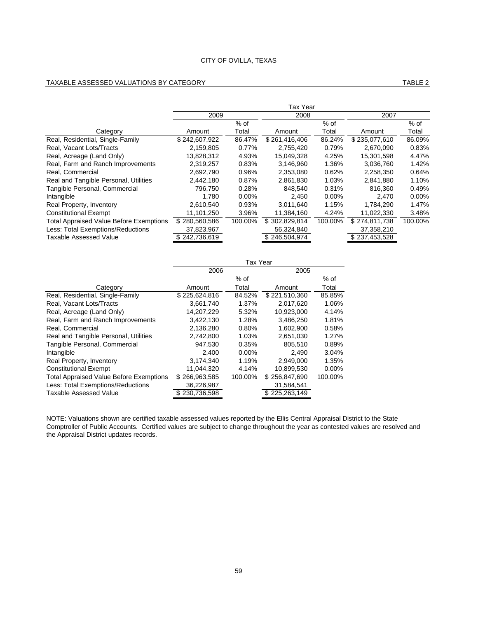#### TAXABLE ASSESSED VALUATIONS BY CATEGORY TABLE 2

|                                                | Tax Year      |          |               |          |               |          |  |  |  |
|------------------------------------------------|---------------|----------|---------------|----------|---------------|----------|--|--|--|
|                                                | 2009          |          | 2008          |          | 2007          |          |  |  |  |
|                                                |               | $%$ of   |               | $%$ of   |               | $%$ of   |  |  |  |
| Category                                       | Amount        | Total    | Amount        | Total    | Amount        | Total    |  |  |  |
| Real, Residential, Single-Family               | \$242,607,922 | 86.47%   | \$261,416,406 | 86.24%   | \$235,077,610 | 86.09%   |  |  |  |
| Real, Vacant Lots/Tracts                       | 2,159,805     | 0.77%    | 2,755,420     | 0.79%    | 2,670,090     | 0.83%    |  |  |  |
| Real, Acreage (Land Only)                      | 13,828,312    | 4.93%    | 15,049,328    | 4.25%    | 15,301,598    | 4.47%    |  |  |  |
| Real, Farm and Ranch Improvements              | 2.319.257     | 0.83%    | 3.146.960     | 1.36%    | 3.036.760     | 1.42%    |  |  |  |
| Real, Commercial                               | 2,692,790     | 0.96%    | 2,353,080     | 0.62%    | 2,258,350     | 0.64%    |  |  |  |
| Real and Tangible Personal, Utilities          | 2,442,180     | 0.87%    | 2,861,830     | 1.03%    | 2,841,880     | 1.10%    |  |  |  |
| Tangible Personal, Commercial                  | 796.750       | 0.28%    | 848.540       | 0.31%    | 816,360       | 0.49%    |  |  |  |
| Intangible                                     | 1.780         | $0.00\%$ | 2.450         | $0.00\%$ | 2.470         | $0.00\%$ |  |  |  |
| Real Property, Inventory                       | 2,610,540     | 0.93%    | 3.011.640     | 1.15%    | 1.784.290     | 1.47%    |  |  |  |
| <b>Constitutional Exempt</b>                   | 11,101,250    | 3.96%    | 11.384.160    | 4.24%    | 11.022.330    | 3.48%    |  |  |  |
| <b>Total Appraised Value Before Exemptions</b> | \$280,560,586 | 100.00%  | \$302,829,814 | 100.00%  | \$274.811.738 | 100.00%  |  |  |  |
| Less: Total Exemptions/Reductions              | 37,823,967    |          | 56,324,840    |          | 37,358,210    |          |  |  |  |
| Taxable Assessed Value                         | \$242,736,619 |          | \$246,504,974 |          | \$237,453,528 |          |  |  |  |

|                                                | Tax Year      |          |               |          |  |  |  |
|------------------------------------------------|---------------|----------|---------------|----------|--|--|--|
|                                                | 2006          |          | 2005          |          |  |  |  |
|                                                |               | $%$ of   |               | % of     |  |  |  |
| Category                                       | Amount        | Total    | Amount        | Total    |  |  |  |
| Real, Residential, Single-Family               | \$225,624,816 | 84.52%   | \$221,510,360 | 85.85%   |  |  |  |
| Real, Vacant Lots/Tracts                       | 3,661,740     | 1.37%    | 2.017.620     | 1.06%    |  |  |  |
| Real, Acreage (Land Only)                      | 14,207,229    | 5.32%    | 10.923.000    | 4.14%    |  |  |  |
| Real, Farm and Ranch Improvements              | 3,422,130     | 1.28%    | 3,486,250     | 1.81%    |  |  |  |
| Real, Commercial                               | 2,136,280     | 0.80%    | 1,602,900     | 0.58%    |  |  |  |
| Real and Tangible Personal, Utilities          | 2,742,800     | 1.03%    | 2,651,030     | 1.27%    |  |  |  |
| Tangible Personal, Commercial                  | 947,530       | 0.35%    | 805.510       | 0.89%    |  |  |  |
| Intangible                                     | 2.400         | $0.00\%$ | 2.490         | 3.04%    |  |  |  |
| Real Property, Inventory                       | 3.174.340     | 1.19%    | 2.949.000     | 1.35%    |  |  |  |
| <b>Constitutional Exempt</b>                   | 11,044,320    | 4.14%    | 10,899,530    | $0.00\%$ |  |  |  |
| <b>Total Appraised Value Before Exemptions</b> | \$266,963,585 | 100.00%  | \$256,847,690 | 100.00%  |  |  |  |
| Less: Total Exemptions/Reductions              | 36,226,987    |          | 31,584,541    |          |  |  |  |
| Taxable Assessed Value                         | 230,736,598   |          | \$225,263,149 |          |  |  |  |

NOTE: Valuations shown are certified taxable assessed values reported by the Ellis Central Appraisal District to the State Comptroller of Public Accounts. Certified values are subject to change throughout the year as contested values are resolved and the Appraisal District updates records.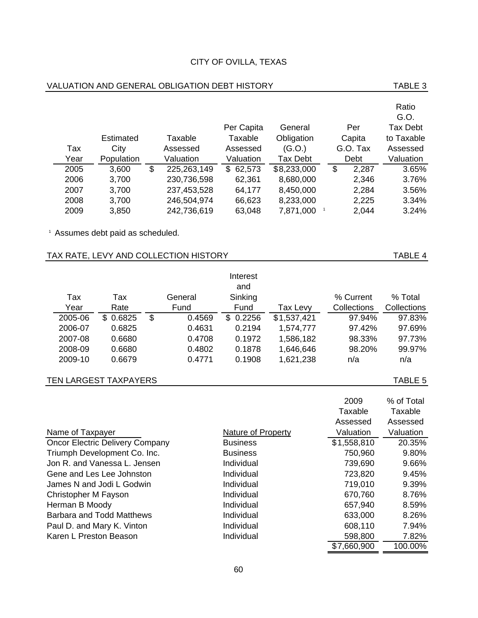|                        |                                              |              |                                       | Per Capita                | General         | Per                   | <b>Tax Debt</b> |
|------------------------|----------------------------------------------|--------------|---------------------------------------|---------------------------|-----------------|-----------------------|-----------------|
|                        | Estimated                                    |              | Taxable                               | Taxable                   | Obligation      | Capita                | to Taxable      |
| Tax                    | City                                         |              | Assessed                              | Assessed                  | (G.O.)          | G.O. Tax              | Assessed        |
| Year                   | Population                                   |              | Valuation                             | Valuation                 | <b>Tax Debt</b> | Debt                  | Valuation       |
| 2005                   | 3,600                                        | $\mathbb{S}$ | 225,263,149                           | \$62,573                  | \$8,233,000     | \$<br>2,287           | 3.65%           |
| 2006                   | 3,700                                        |              | 230,736,598                           | 62,361                    | 8,680,000       | 2,346                 | 3.76%           |
| 2007                   | 3,700                                        |              | 237,453,528                           | 64,177                    | 8,450,000       | 2,284                 | 3.56%           |
| 2008                   | 3,700                                        |              | 246,504,974                           | 66,623                    | 8,233,000       | 2,225                 | 3.34%           |
| 2009                   | 3,850                                        |              | 242,736,619                           | 63,048                    | 7,871,000       | $\mathbf{1}$<br>2,044 | 3.24%           |
|                        | <sup>1</sup> Assumes debt paid as scheduled. |              |                                       |                           |                 |                       |                 |
|                        |                                              |              | TAX RATE, LEVY AND COLLECTION HISTORY |                           |                 |                       | TABLE 4         |
|                        |                                              |              |                                       | Interest                  |                 |                       |                 |
|                        |                                              |              |                                       | and                       |                 |                       |                 |
| Tax                    | Tax                                          |              | General                               | Sinking                   |                 | % Current             | % Total         |
| Year                   | Rate                                         |              | Fund                                  | Fund                      | Tax Levy        | Collections           | Collections     |
| 2005-06                | \$0.6825                                     | \$           | 0.4569                                | \$0.2256                  | \$1,537,421     | 97.94%                | 97.83%          |
| 2006-07                | 0.6825                                       |              | 0.4631                                | 0.2194                    | 1,574,777       | 97.42%                | 97.69%          |
| 2007-08                | 0.6680                                       |              | 0.4708                                | 0.1972                    | 1,586,182       | 98.33%                | 97.73%          |
| 2008-09                | 0.6680                                       |              | 0.4802                                | 0.1878                    | 1,646,646       | 98.20%                | 99.97%          |
| 2009-10                | 0.6679                                       |              | 0.4771                                | 0.1908                    | 1,621,238       | n/a                   | n/a             |
|                        | <b>TEN LARGEST TAXPAYERS</b>                 |              |                                       |                           |                 |                       | TABLE 5         |
|                        |                                              |              |                                       |                           |                 |                       |                 |
|                        |                                              |              |                                       |                           |                 | 2009                  | % of Total      |
|                        |                                              |              |                                       |                           |                 | Taxable               | Taxable         |
|                        |                                              |              |                                       |                           |                 | Assessed              | Assessed        |
| Name of Taxpayer       |                                              |              |                                       | <b>Nature of Property</b> |                 | Valuation             | Valuation       |
|                        | <b>Oncor Electric Delivery Company</b>       |              |                                       | <b>Business</b>           |                 | \$1,558,810           | 20.35%          |
|                        | Triumph Development Co. Inc.                 |              |                                       | <b>Business</b>           |                 | 750,960               | 9.80%           |
|                        | Jon R. and Vanessa L. Jensen                 |              |                                       | Individual                |                 | 739,690               | 9.66%           |
|                        | Gene and Les Lee Johnston                    |              |                                       | Individual                |                 | 723,820               | 9.45%           |
|                        | James N and Jodi L Godwin                    |              |                                       | Individual                |                 | 719,010               | 9.39%           |
| Christopher M Fayson   |                                              |              |                                       | Individual                |                 | 670,760               | 8.76%           |
| Herman B Moody         |                                              |              |                                       | Individual                |                 | 657,940               | 8.59%           |
|                        | <b>Barbara and Todd Matthews</b>             |              |                                       | Individual                |                 | 633,000               | 8.26%           |
|                        | Paul D. and Mary K. Vinton                   |              |                                       | Individual                |                 | 608,110               | 7.94%           |
| Karen L Preston Beason |                                              |              |                                       | Individual                |                 | 598,800               | 7.82%           |
|                        |                                              |              |                                       |                           |                 | \$7,660,900           | 100.00%         |

#### VALUATION AND GENERAL OBLIGATION DEBT HISTORY **TABLE 3**

# 60

Ratio G.O.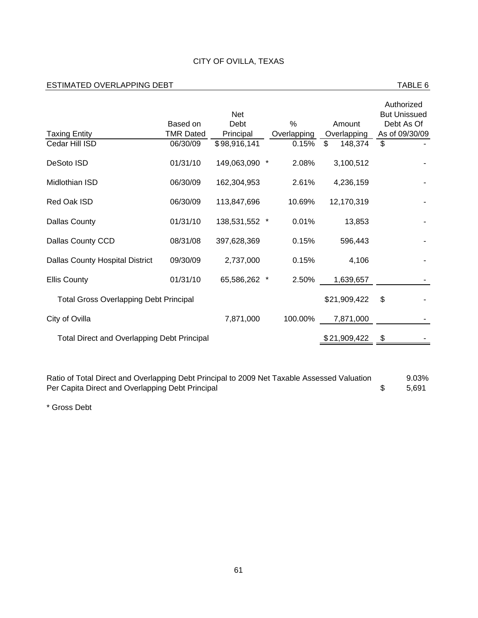#### ESTIMATED OVERLAPPING DEBT **TABLE 6**

|                                                    | Based on         | <b>Net</b><br>Debt | $\%$        | Amount        | Authorized<br><b>But Unissued</b><br>Debt As Of |
|----------------------------------------------------|------------------|--------------------|-------------|---------------|-------------------------------------------------|
| <b>Taxing Entity</b>                               | <b>TMR Dated</b> | Principal          | Overlapping | Overlapping   | As of 09/30/09                                  |
| Cedar Hill ISD                                     | 06/30/09         | \$98,916,141       | 0.15%       | 148,374<br>\$ | \$                                              |
| DeSoto ISD                                         | 01/31/10         | 149,063,090 *      | 2.08%       | 3,100,512     |                                                 |
| Midlothian ISD                                     | 06/30/09         | 162,304,953        | 2.61%       | 4,236,159     |                                                 |
| Red Oak ISD                                        | 06/30/09         | 113,847,696        | 10.69%      | 12.170.319    |                                                 |
| <b>Dallas County</b>                               | 01/31/10         | 138,531,552 *      | $0.01\%$    | 13,853        |                                                 |
| Dallas County CCD                                  | 08/31/08         | 397,628,369        | 0.15%       | 596,443       |                                                 |
| <b>Dallas County Hospital District</b>             | 09/30/09         | 2,737,000          | 0.15%       | 4,106         |                                                 |
| <b>Ellis County</b>                                | 01/31/10         | 65,586,262 *       | 2.50%       | 1,639,657     |                                                 |
| <b>Total Gross Overlapping Debt Principal</b>      |                  |                    |             | \$21,909,422  | \$                                              |
| City of Ovilla                                     |                  | 7,871,000          | 100.00%     | 7,871,000     |                                                 |
| <b>Total Direct and Overlapping Debt Principal</b> |                  |                    |             | \$21,909,422  | \$                                              |

Ratio of Total Direct and Overlapping Debt Principal to 2009 Net Taxable Assessed Valuation 9.03% Per Capita Direct and Overlapping Debt Principal 5,691 \$5,691

\* Gross Debt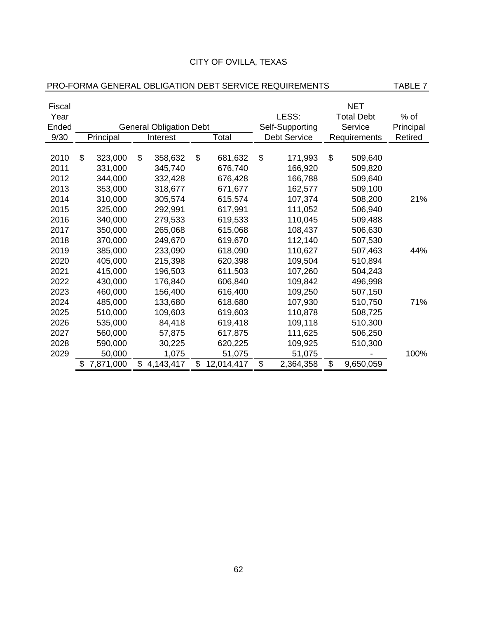| CITY OF OVILLA, TEXAS |  |
|-----------------------|--|
|-----------------------|--|

# PRO-FORMA GENERAL OBLIGATION DEBT SERVICE REQUIREMENTS TABLE 7

| Fiscal |    |           |    |                                |       | <b>NET</b> |                   |                     |        |              |           |
|--------|----|-----------|----|--------------------------------|-------|------------|-------------------|---------------------|--------|--------------|-----------|
| Year   |    |           |    |                                | LESS: |            | <b>Total Debt</b> |                     | $%$ of |              |           |
| Ended  |    |           |    | <b>General Obligation Debt</b> |       |            |                   | Self-Supporting     |        | Service      | Principal |
| 9/30   |    | Principal |    | Interest                       |       | Total      |                   | <b>Debt Service</b> |        | Requirements | Retired   |
|        |    |           |    |                                |       |            |                   |                     |        |              |           |
| 2010   | \$ | 323,000   | \$ | 358,632                        | \$    | 681,632    | \$                | 171,993             | \$     | 509,640      |           |
| 2011   |    | 331,000   |    | 345,740                        |       | 676,740    |                   | 166,920             |        | 509,820      |           |
| 2012   |    | 344,000   |    | 332,428                        |       | 676,428    |                   | 166,788             |        | 509,640      |           |
| 2013   |    | 353,000   |    | 318,677                        |       | 671,677    |                   | 162,577             |        | 509,100      |           |
| 2014   |    | 310,000   |    | 305,574                        |       | 615,574    |                   | 107,374             |        | 508,200      | 21%       |
| 2015   |    | 325,000   |    | 292,991                        |       | 617,991    |                   | 111,052             |        | 506,940      |           |
| 2016   |    | 340,000   |    | 279,533                        |       | 619,533    |                   | 110,045             |        | 509,488      |           |
| 2017   |    | 350,000   |    | 265,068                        |       | 615,068    |                   | 108,437             |        | 506,630      |           |
| 2018   |    | 370,000   |    | 249,670                        |       | 619,670    |                   | 112,140             |        | 507,530      |           |
| 2019   |    | 385,000   |    | 233,090                        |       | 618,090    |                   | 110,627             |        | 507,463      | 44%       |
| 2020   |    | 405,000   |    | 215,398                        |       | 620,398    |                   | 109,504             |        | 510,894      |           |
| 2021   |    | 415,000   |    | 196,503                        |       | 611,503    |                   | 107,260             |        | 504,243      |           |
| 2022   |    | 430,000   |    | 176,840                        |       | 606,840    |                   | 109,842             |        | 496,998      |           |
| 2023   |    | 460,000   |    | 156,400                        |       | 616,400    |                   | 109,250             |        | 507,150      |           |
| 2024   |    | 485,000   |    | 133,680                        |       | 618,680    |                   | 107,930             |        | 510,750      | 71%       |
| 2025   |    | 510,000   |    | 109,603                        |       | 619,603    |                   | 110,878             |        | 508,725      |           |
| 2026   |    | 535,000   |    | 84,418                         |       | 619,418    |                   | 109,118             |        | 510,300      |           |
| 2027   |    | 560,000   |    | 57,875                         |       | 617,875    |                   | 111,625             |        | 506,250      |           |
| 2028   |    | 590,000   |    | 30,225                         |       | 620,225    |                   | 109,925             |        | 510,300      |           |
| 2029   |    | 50,000    |    | 1,075                          |       | 51,075     |                   | 51,075              |        |              | 100%      |
|        | S  | 7,871,000 | \$ | 4,143,417                      | \$    | 12,014,417 | \$                | 2,364,358           | \$     | 9,650,059    |           |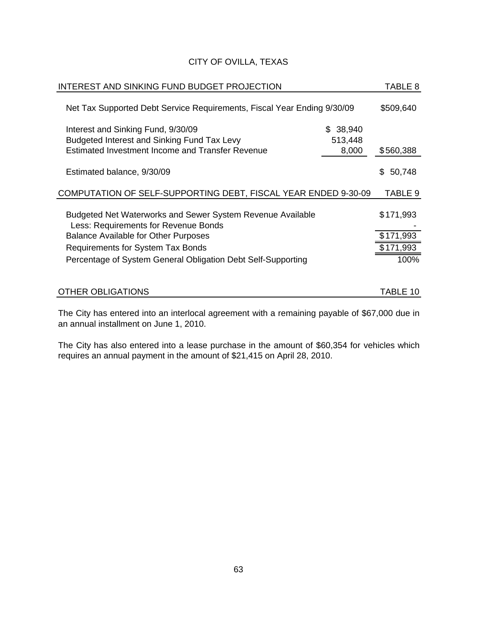| INTEREST AND SINKING FUND BUDGET PROJECTION                                                        |                     | TABLE 8      |
|----------------------------------------------------------------------------------------------------|---------------------|--------------|
| Net Tax Supported Debt Service Requirements, Fiscal Year Ending 9/30/09                            |                     | \$509,640    |
| Interest and Sinking Fund, 9/30/09<br>Budgeted Interest and Sinking Fund Tax Levy                  | \$38,940<br>513,448 |              |
| Estimated Investment Income and Transfer Revenue                                                   | 8,000               | \$560,388    |
| Estimated balance, 9/30/09                                                                         |                     | 50,748<br>S. |
| COMPUTATION OF SELF-SUPPORTING DEBT, FISCAL YEAR ENDED 9-30-09                                     |                     | TABLE 9      |
| Budgeted Net Waterworks and Sewer System Revenue Available<br>Less: Requirements for Revenue Bonds |                     | \$171,993    |
| <b>Balance Available for Other Purposes</b>                                                        |                     | \$171,993    |
| Requirements for System Tax Bonds                                                                  |                     | \$171,993    |
| Percentage of System General Obligation Debt Self-Supporting                                       |                     | 100%         |
|                                                                                                    |                     |              |
| <b>OTHER OBLIGATIONS</b>                                                                           |                     | TABLE 10     |

The City has entered into an interlocal agreement with a remaining payable of \$67,000 due in an annual installment on June 1, 2010.

The City has also entered into a lease purchase in the amount of \$60,354 for vehicles which requires an annual payment in the amount of \$21,415 on April 28, 2010.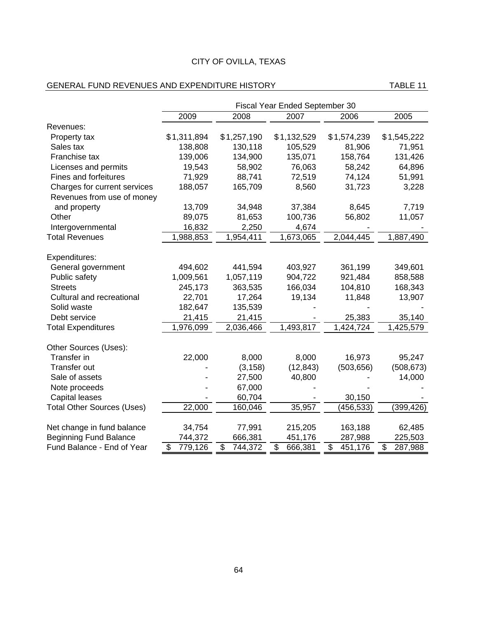#### GENERAL FUND REVENUES AND EXPENDITURE HISTORY TABLE 11

|                                   | Fiscal Year Ended September 30 |                                     |                                     |                                     |                                     |  |
|-----------------------------------|--------------------------------|-------------------------------------|-------------------------------------|-------------------------------------|-------------------------------------|--|
|                                   | 2009                           | 2008                                | 2007                                | 2006                                | 2005                                |  |
| Revenues:                         |                                |                                     |                                     |                                     |                                     |  |
| Property tax                      | \$1,311,894                    | \$1,257,190                         | \$1,132,529                         | \$1,574,239                         | \$1,545,222                         |  |
| Sales tax                         | 138,808                        | 130,118                             | 105,529                             | 81,906                              | 71,951                              |  |
| Franchise tax                     | 139,006                        | 134,900                             | 135,071                             | 158,764                             | 131,426                             |  |
| Licenses and permits              | 19,543                         | 58,902                              | 76,063                              | 58,242                              | 64,896                              |  |
| <b>Fines and forfeitures</b>      | 71,929                         | 88,741                              | 72,519                              | 74,124                              | 51,991                              |  |
| Charges for current services      | 188,057                        | 165,709                             | 8,560                               | 31,723                              | 3,228                               |  |
| Revenues from use of money        |                                |                                     |                                     |                                     |                                     |  |
| and property                      | 13,709                         | 34,948                              | 37,384                              | 8,645                               | 7,719                               |  |
| Other                             | 89,075                         | 81,653                              | 100,736                             | 56,802                              | 11,057                              |  |
| Intergovernmental                 | 16,832                         | 2,250                               | 4,674                               |                                     |                                     |  |
| <b>Total Revenues</b>             | 1,988,853                      | 1,954,411                           | 1,673,065                           | 2,044,445                           | 1,887,490                           |  |
|                                   |                                |                                     |                                     |                                     |                                     |  |
| Expenditures:                     |                                |                                     |                                     |                                     |                                     |  |
| General government                | 494,602                        | 441,594                             | 403,927                             | 361,199                             | 349,601                             |  |
| Public safety                     | 1,009,561                      | 1,057,119                           | 904,722                             | 921,484                             | 858,588                             |  |
| <b>Streets</b>                    | 245,173                        | 363,535                             | 166,034                             | 104,810                             | 168,343                             |  |
| Cultural and recreational         | 22,701                         | 17,264                              | 19,134                              | 11,848                              | 13,907                              |  |
| Solid waste                       | 182,647                        | 135,539                             |                                     |                                     |                                     |  |
| Debt service                      | 21,415                         | 21,415                              |                                     | 25,383                              | 35,140                              |  |
| <b>Total Expenditures</b>         | 1,976,099                      | 2,036,466                           | 1,493,817                           | 1,424,724                           | 1,425,579                           |  |
| Other Sources (Uses):             |                                |                                     |                                     |                                     |                                     |  |
| Transfer in                       | 22,000                         | 8,000                               | 8,000                               | 16,973                              | 95,247                              |  |
| <b>Transfer out</b>               |                                | (3, 158)                            | (12, 843)                           | (503, 656)                          | (508, 673)                          |  |
| Sale of assets                    |                                | 27,500                              | 40,800                              |                                     | 14,000                              |  |
| Note proceeds                     |                                | 67,000                              |                                     |                                     |                                     |  |
| <b>Capital leases</b>             |                                | 60,704                              |                                     | 30,150                              |                                     |  |
| <b>Total Other Sources (Uses)</b> | 22,000                         | 160,046                             | 35,957                              | (456,533)                           | (399,426)                           |  |
|                                   |                                |                                     |                                     |                                     |                                     |  |
| Net change in fund balance        | 34,754                         | 77,991                              | 215,205                             | 163,188                             | 62,485                              |  |
| <b>Beginning Fund Balance</b>     | 744,372                        | 666,381                             | 451,176                             | 287,988                             | 225,503                             |  |
| Fund Balance - End of Year        | \$<br>779,126                  | $\overline{\mathcal{S}}$<br>744,372 | $\overline{\mathcal{S}}$<br>666,381 | $\overline{\mathcal{S}}$<br>451,176 | $\overline{\mathcal{S}}$<br>287,988 |  |